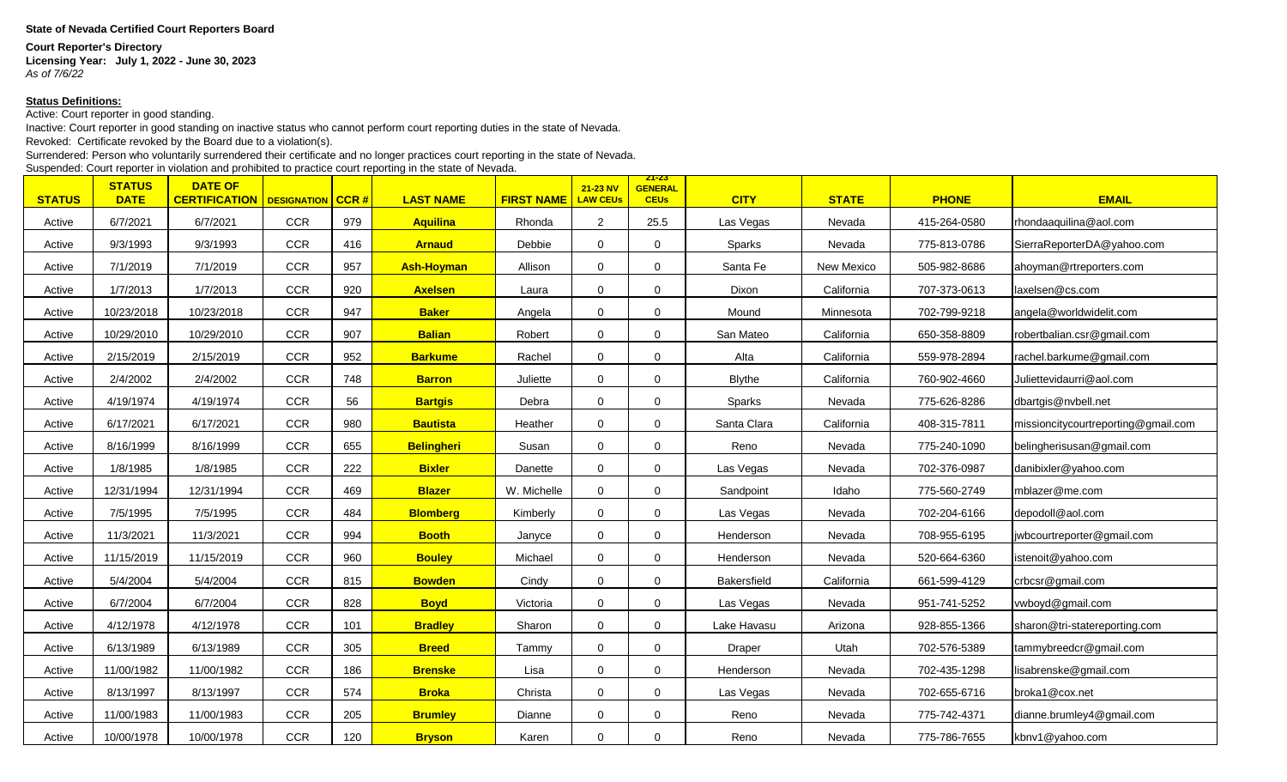## **State of Nevada Certified Court Reporters Board**

## **Court Reporter's Directory**

**Licensing Year: July 1, 2022 - June 30, 2023** *As of 7/6/22*

## **Status Definitions:**

Active: Court reporter in good standing.

Inactive: Court reporter in good standing on inactive status who cannot perform court reporting duties in the state of Nevada.

Revoked: Certificate revoked by the Board due to a violation(s).

Surrendered: Person who voluntarily surrendered their certificate and no longer practices court reporting in the state of Nevada.

Suspended: Court reporter in violation and prohibited to practice court reporting in the state of Nevada.

| <b>STATUS</b> | <b>STATUS</b><br><b>DATE</b> | <b>DATE OF</b><br><b>CERTIFICATION</b> | <b>DESIGNATION CCR #</b> |     | <b>LAST NAME</b>  | <b>FIRST NAME</b> | 21-23 NV<br><b>LAW CEUs</b> | <u> 21-23 </u><br><b>GENERAL</b><br><b>CEUs</b> | <b>CITY</b>   | <b>STATE</b> | <b>PHONE</b> | <b>EMAIL</b>                        |
|---------------|------------------------------|----------------------------------------|--------------------------|-----|-------------------|-------------------|-----------------------------|-------------------------------------------------|---------------|--------------|--------------|-------------------------------------|
| Active        | 6/7/2021                     | 6/7/2021                               | <b>CCR</b>               | 979 | <b>Aquilina</b>   | Rhonda            | $\overline{2}$              | 25.5                                            | Las Vegas     | Nevada       | 415-264-0580 | rhondaaquilina@aol.com              |
| Active        | 9/3/1993                     | 9/3/1993                               | <b>CCR</b>               | 416 | <b>Arnaud</b>     | Debbie            | 0                           | $\Omega$                                        | Sparks        | Nevada       | 775-813-0786 | SierraReporterDA@yahoo.com          |
| Active        | 7/1/2019                     | 7/1/2019                               | <b>CCR</b>               | 957 | <b>Ash-Hoyman</b> | Allison           | 0                           | $\Omega$                                        | Santa Fe      | New Mexico   | 505-982-8686 | ahoyman@rtreporters.com             |
| Active        | 1/7/2013                     | 1/7/2013                               | CCR                      | 920 | <b>Axelsen</b>    | Laura             | 0                           | $\Omega$                                        | Dixon         | California   | 707-373-0613 | laxelsen@cs.com                     |
| Active        | 10/23/2018                   | 10/23/2018                             | <b>CCR</b>               | 947 | <b>Baker</b>      | Angela            | 0                           | $\Omega$                                        | Mound         | Minnesota    | 702-799-9218 | angela@worldwidelit.com             |
| Active        | 10/29/2010                   | 10/29/2010                             | <b>CCR</b>               | 907 | <b>Balian</b>     | Robert            | 0                           | $\Omega$                                        | San Mateo     | California   | 650-358-8809 | robertbalian.csr@gmail.com          |
| Active        | 2/15/2019                    | 2/15/2019                              | CCR                      | 952 | <b>Barkume</b>    | Rachel            | 0                           | 0                                               | Alta          | California   | 559-978-2894 | rachel.barkume@gmail.com            |
| Active        | 2/4/2002                     | 2/4/2002                               | <b>CCR</b>               | 748 | <b>Barron</b>     | Juliette          | $\mathbf 0$                 | $\Omega$                                        | <b>Blythe</b> | California   | 760-902-4660 | Juliettevidaurri@aol.com            |
| Active        | 4/19/1974                    | 4/19/1974                              | <b>CCR</b>               | 56  | <b>Bartgis</b>    | Debra             | $\mathbf 0$                 | $\Omega$                                        | Sparks        | Nevada       | 775-626-8286 | dbartgis@nvbell.net                 |
| Active        | 6/17/2021                    | 6/17/2021                              | <b>CCR</b>               | 980 | <b>Bautista</b>   | Heather           | $\mathbf 0$                 | 0                                               | Santa Clara   | California   | 408-315-7811 | missioncitycourtreporting@gmail.com |
| Active        | 8/16/1999                    | 8/16/1999                              | <b>CCR</b>               | 655 | <b>Belingheri</b> | Susan             | 0                           | 0                                               | Reno          | Nevada       | 775-240-1090 | belingherisusan@gmail.com           |
| Active        | 1/8/1985                     | 1/8/1985                               | CCR                      | 222 | <b>Bixler</b>     | Danette           | 0                           | $\Omega$                                        | Las Vegas     | Nevada       | 702-376-0987 | danibixler@yahoo.com                |
| Active        | 12/31/1994                   | 12/31/1994                             | <b>CCR</b>               | 469 | <b>Blazer</b>     | W. Michelle       | 0                           | 0                                               | Sandpoint     | Idaho        | 775-560-2749 | mblazer@me.com                      |
| Active        | 7/5/1995                     | 7/5/1995                               | CCR                      | 484 | <b>Blomberg</b>   | Kimberly          | 0                           | 0                                               | Las Vegas     | Nevada       | 702-204-6166 | depodoll@aol.com                    |
| Active        | 11/3/2021                    | 11/3/2021                              | <b>CCR</b>               | 994 | <b>Booth</b>      | Janyce            | 0                           | 0                                               | Henderson     | Nevada       | 708-955-6195 | jwbcourtreporter@gmail.com          |
| Active        | 11/15/2019                   | 11/15/2019                             | <b>CCR</b>               | 960 | <b>Bouley</b>     | Michael           | 0                           | $\Omega$                                        | Henderson     | Nevada       | 520-664-6360 | istenoit@yahoo.com                  |
| Active        | 5/4/2004                     | 5/4/2004                               | <b>CCR</b>               | 815 | <b>Bowden</b>     | Cindy             | 0                           | $\Omega$                                        | Bakersfield   | California   | 661-599-4129 | crbcsr@gmail.com                    |
| Active        | 6/7/2004                     | 6/7/2004                               | <b>CCR</b>               | 828 | <b>Boyd</b>       | Victoria          | $\mathbf 0$                 | $\Omega$                                        | Las Vegas     | Nevada       | 951-741-5252 | vwboyd@gmail.com                    |
| Active        | 4/12/1978                    | 4/12/1978                              | <b>CCR</b>               | 101 | <b>Bradley</b>    | Sharon            | 0                           | $\Omega$                                        | Lake Havasu   | Arizona      | 928-855-1366 | sharon@tri-statereporting.com       |
| Active        | 6/13/1989                    | 6/13/1989                              | <b>CCR</b>               | 305 | <b>Breed</b>      | Tammy             | $\mathbf 0$                 | $\Omega$                                        | Draper        | Utah         | 702-576-5389 | tammybreedcr@gmail.com              |
| Active        | 11/00/1982                   | 11/00/1982                             | <b>CCR</b>               | 186 | <b>Brenske</b>    | Lisa              | $\mathbf 0$                 | $\Omega$                                        | Henderson     | Nevada       | 702-435-1298 | lisabrenske@gmail.com               |
| Active        | 8/13/1997                    | 8/13/1997                              | <b>CCR</b>               | 574 | <b>Broka</b>      | Christa           | 0                           | 0                                               | Las Vegas     | Nevada       | 702-655-6716 | broka1@cox.net                      |
| Active        | 11/00/1983                   | 11/00/1983                             | CCR                      | 205 | <b>Brumley</b>    | Dianne            | 0                           | $\Omega$                                        | Reno          | Nevada       | 775-742-4371 | dianne.brumley4@gmail.com           |
| Active        | 10/00/1978                   | 10/00/1978                             | <b>CCR</b>               | 120 | <b>Bryson</b>     | Karen             | 0                           | 0                                               | Reno          | Nevada       | 775-786-7655 | kbnv1@yahoo.com                     |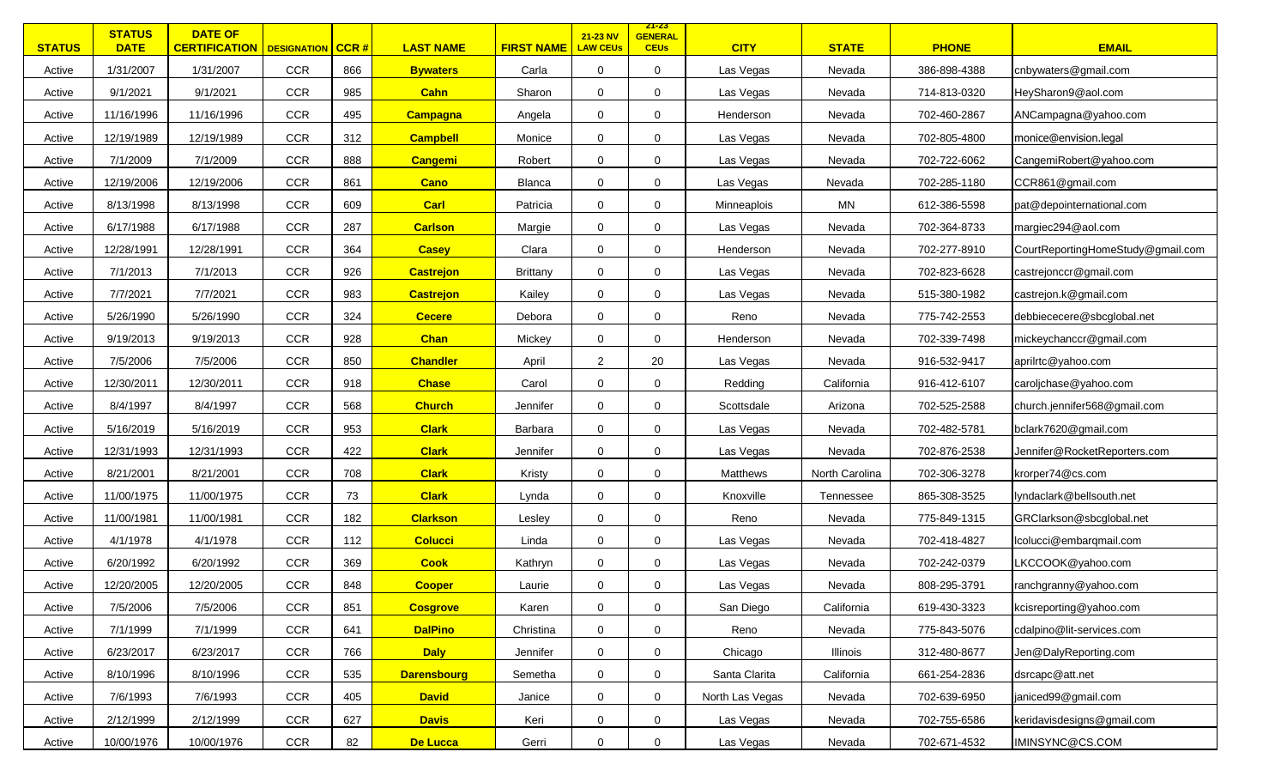| <b>STATUS</b> | <b>STATUS</b><br><b>DATE</b> | <b>DATE OF</b><br><b>CERTIFICATION</b>   DESIGNATION |            | $ $ CCR # | <b>LAST NAME</b>   | <b>FIRST NAME</b> | 21-23 NV<br><b>LAW CEUs</b> | <u> 21-23 </u><br><b>GENERAL</b><br><b>CEUs</b> | <b>CITY</b>     | <b>STATE</b>   | <b>PHONE</b> | <b>EMAIL</b>                      |
|---------------|------------------------------|------------------------------------------------------|------------|-----------|--------------------|-------------------|-----------------------------|-------------------------------------------------|-----------------|----------------|--------------|-----------------------------------|
| Active        | 1/31/2007                    | 1/31/2007                                            | <b>CCR</b> | 866       | <b>Bywaters</b>    | Carla             | 0                           | $\mathbf 0$                                     | Las Vegas       | Nevada         | 386-898-4388 | cnbywaters@gmail.com              |
| Active        | 9/1/2021                     | 9/1/2021                                             | <b>CCR</b> | 985       | <b>Cahn</b>        | Sharon            | 0                           | 0                                               | Las Vegas       | Nevada         | 714-813-0320 | HeySharon9@aol.com                |
| Active        | 11/16/1996                   | 11/16/1996                                           | <b>CCR</b> | 495       | <b>Campagna</b>    | Angela            | $\mathbf 0$                 | $\mathbf 0$                                     | Henderson       | Nevada         | 702-460-2867 | ANCampagna@yahoo.com              |
| Active        | 12/19/1989                   | 12/19/1989                                           | CCR        | 312       | <b>Campbell</b>    | Monice            | $\mathbf 0$                 | $\mathbf 0$                                     | Las Vegas       | Nevada         | 702-805-4800 | monice@envision.legal             |
| Active        | 7/1/2009                     | 7/1/2009                                             | <b>CCR</b> | 888       | <b>Cangemi</b>     | Robert            | $\mathbf 0$                 | $\Omega$                                        | Las Vegas       | Nevada         | 702-722-6062 | CangemiRobert@yahoo.com           |
| Active        | 12/19/2006                   | 12/19/2006                                           | <b>CCR</b> | 861       | Cano               | Blanca            | $\mathbf 0$                 | $\mathbf 0$                                     | Las Vegas       | Nevada         | 702-285-1180 | CCR861@gmail.com                  |
| Active        | 8/13/1998                    | 8/13/1998                                            | <b>CCR</b> | 609       | <b>Carl</b>        | Patricia          | $\mathbf 0$                 | $\Omega$                                        | Minneaplois     | MN             | 612-386-5598 | pat@depointernational.com         |
| Active        | 6/17/1988                    | 6/17/1988                                            | <b>CCR</b> | 287       | <b>Carlson</b>     | Margie            | $\mathbf 0$                 | $\Omega$                                        | Las Vegas       | Nevada         | 702-364-8733 | margiec294@aol.com                |
| Active        | 12/28/1991                   | 12/28/1991                                           | <b>CCR</b> | 364       | <b>Casey</b>       | Clara             | $\mathbf 0$                 | $\mathbf 0$                                     | Henderson       | Nevada         | 702-277-8910 | CourtReportingHomeStudy@gmail.com |
| Active        | 7/1/2013                     | 7/1/2013                                             | <b>CCR</b> | 926       | <b>Castrejon</b>   | <b>Brittany</b>   | $\mathbf 0$                 | $\mathbf 0$                                     | Las Vegas       | Nevada         | 702-823-6628 | castrejonccr@gmail.com            |
| Active        | 7/7/2021                     | 7/7/2021                                             | <b>CCR</b> | 983       | <b>Castrejon</b>   | Kailey            | 0                           | $\mathbf 0$                                     | Las Vegas       | Nevada         | 515-380-1982 | castrejon.k@gmail.com             |
| Active        | 5/26/1990                    | 5/26/1990                                            | <b>CCR</b> | 324       | <b>Cecere</b>      | Debora            | 0                           | 0                                               | Reno            | Nevada         | 775-742-2553 | debbiececere@sbcglobal.net        |
| Active        | 9/19/2013                    | 9/19/2013                                            | <b>CCR</b> | 928       | <b>Chan</b>        | Mickey            | 0                           | $\mathbf 0$                                     | Henderson       | Nevada         | 702-339-7498 | mickeychanccr@gmail.com           |
| Active        | 7/5/2006                     | 7/5/2006                                             | CCR        | 850       | <b>Chandler</b>    | April             | $\overline{2}$              | 20                                              | Las Vegas       | Nevada         | 916-532-9417 | aprilrtc@yahoo.com                |
| Active        | 12/30/2011                   | 12/30/2011                                           | <b>CCR</b> | 918       | <b>Chase</b>       | Carol             | 0                           | $\mathbf 0$                                     | Redding         | California     | 916-412-6107 | caroljchase@yahoo.com             |
| Active        | 8/4/1997                     | 8/4/1997                                             | CCR        | 568       | <b>Church</b>      | Jennifer          | $\mathbf 0$                 | $\mathbf 0$                                     | Scottsdale      | Arizona        | 702-525-2588 | church.jennifer568@gmail.com      |
| Active        | 5/16/2019                    | 5/16/2019                                            | <b>CCR</b> | 953       | <b>Clark</b>       | Barbara           | $\mathbf 0$                 | $\Omega$                                        | Las Vegas       | Nevada         | 702-482-5781 | bclark7620@gmail.com              |
| Active        | 12/31/1993                   | 12/31/1993                                           | <b>CCR</b> | 422       | <b>Clark</b>       | Jennifer          | $\mathbf 0$                 | $\mathbf 0$                                     | Las Vegas       | Nevada         | 702-876-2538 | Jennifer@RocketReporters.com      |
| Active        | 8/21/2001                    | 8/21/2001                                            | <b>CCR</b> | 708       | <b>Clark</b>       | Kristy            | $\mathbf 0$                 | $\mathbf 0$                                     | Matthews        | North Carolina | 702-306-3278 | krorper74@cs.com                  |
| Active        | 11/00/1975                   | 11/00/1975                                           | CCR        | 73        | <b>Clark</b>       | Lynda             | $\mathbf 0$                 | $\Omega$                                        | Knoxville       | Tennessee      | 865-308-3525 | lyndaclark@bellsouth.net          |
| Active        | 11/00/1981                   | 11/00/1981                                           | <b>CCR</b> | 182       | <b>Clarkson</b>    | Lesley            | $\mathbf 0$                 | $\mathbf 0$                                     | Reno            | Nevada         | 775-849-1315 | GRClarkson@sbcglobal.net          |
| Active        | 4/1/1978                     | 4/1/1978                                             | <b>CCR</b> | 112       | <b>Colucci</b>     | Linda             | $\mathbf 0$                 | $\mathbf 0$                                     | Las Vegas       | Nevada         | 702-418-4827 | Icolucci@embarqmail.com           |
| Active        | 6/20/1992                    | 6/20/1992                                            | <b>CCR</b> | 369       | <b>Cook</b>        | Kathryn           | 0                           | $\mathbf 0$                                     | Las Vegas       | Nevada         | 702-242-0379 | LKCCOOK@yahoo.com                 |
| Active        | 12/20/2005                   | 12/20/2005                                           | <b>CCR</b> | 848       | <b>Cooper</b>      | Laurie            | $\mathbf 0$                 | $\mathbf 0$                                     | Las Vegas       | Nevada         | 808-295-3791 | ranchgranny@yahoo.com             |
| Active        | 7/5/2006                     | 7/5/2006                                             | CCR        | 851       | <b>Cosgrove</b>    | Karen             | 0                           | $\mathbf 0$                                     | San Diego       | California     | 619-430-3323 | kcisreporting@yahoo.com           |
| Active        | 7/1/1999                     | 7/1/1999                                             | CCR        | 641       | <b>DalPino</b>     | Christina         | $\mathbf 0$                 | $\mathbf 0$                                     | Reno            | Nevada         | 775-843-5076 | cdalpino@lit-services.com         |
| Active        | 6/23/2017                    | 6/23/2017                                            | CCR        | 766       | <b>Daly</b>        | Jennifer          | 0                           | $\mathbf 0$                                     | Chicago         | Illinois       | 312-480-8677 | Jen@DalyReporting.com             |
| Active        | 8/10/1996                    | 8/10/1996                                            | CCR        | 535       | <b>Darensbourg</b> | Semetha           | 0                           | $\mathbf 0$                                     | Santa Clarita   | California     | 661-254-2836 | dsrcapc@att.net                   |
| Active        | 7/6/1993                     | 7/6/1993                                             | CCR        | 405       | <b>David</b>       | Janice            | 0                           | 0                                               | North Las Vegas | Nevada         | 702-639-6950 | janiced99@gmail.com               |
| Active        | 2/12/1999                    | 2/12/1999                                            | <b>CCR</b> | 627       | <b>Davis</b>       | Keri              | $\mathbf 0$                 | $\mathbf 0$                                     | Las Vegas       | Nevada         | 702-755-6586 | keridavisdesigns@gmail.com        |
| Active        | 10/00/1976                   | 10/00/1976                                           | CCR        | 82        | De Lucca           | Gerri             | $\mathbf 0$                 | $\mathbf 0$                                     | Las Vegas       | Nevada         | 702-671-4532 | IMINSYNC@CS.COM                   |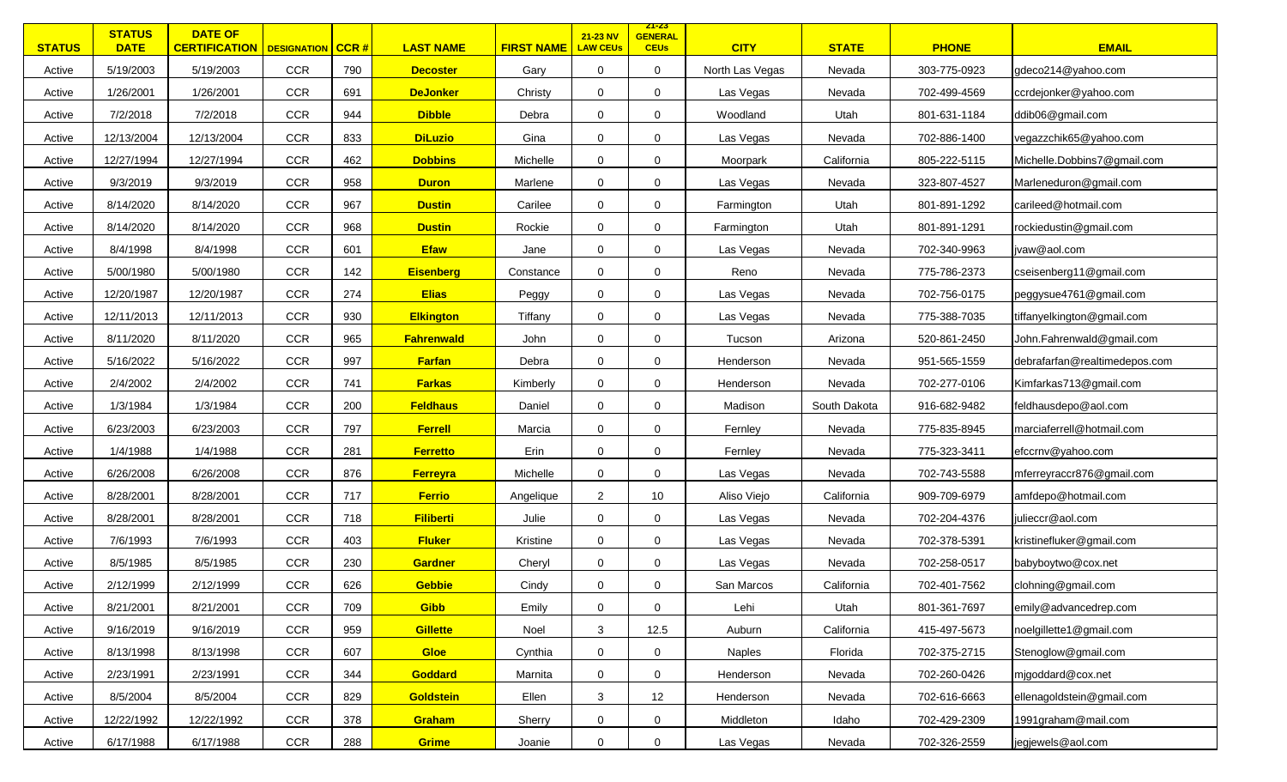| <b>STATUS</b> | <b>STATUS</b><br><b>DATE</b> | <b>DATE OF</b><br><b>CERTIFICATION</b>   DESIGNATION |            | $ $ CCR # | <b>LAST NAME</b>  | <b>FIRST NAME</b> | 21-23 NV<br><b>LAW CEUs</b> | <u> 21-23 </u><br><b>GENERAL</b><br><b>CEUs</b> | <b>CITY</b>     | <b>STATE</b> | <b>PHONE</b> | <b>EMAIL</b>                  |
|---------------|------------------------------|------------------------------------------------------|------------|-----------|-------------------|-------------------|-----------------------------|-------------------------------------------------|-----------------|--------------|--------------|-------------------------------|
| Active        | 5/19/2003                    | 5/19/2003                                            | <b>CCR</b> | 790       | <b>Decoster</b>   | Gary              | $\mathbf 0$                 | 0                                               | North Las Vegas | Nevada       | 303-775-0923 | gdeco214@yahoo.com            |
| Active        | 1/26/2001                    | 1/26/2001                                            | <b>CCR</b> | 691       | <b>DeJonker</b>   | Christy           | 0                           | 0                                               | Las Vegas       | Nevada       | 702-499-4569 | ccrdejonker@yahoo.com         |
| Active        | 7/2/2018                     | 7/2/2018                                             | <b>CCR</b> | 944       | <b>Dibble</b>     | Debra             | 0                           | $\mathbf 0$                                     | Woodland        | Utah         | 801-631-1184 | ddib06@gmail.com              |
| Active        | 12/13/2004                   | 12/13/2004                                           | CCR        | 833       | <b>DiLuzio</b>    | Gina              | $\mathbf 0$                 | $\mathbf 0$                                     | Las Vegas       | Nevada       | 702-886-1400 | vegazzchik65@yahoo.com        |
| Active        | 12/27/1994                   | 12/27/1994                                           | <b>CCR</b> | 462       | <b>Dobbins</b>    | Michelle          | $\mathbf 0$                 | $\Omega$                                        | Moorpark        | California   | 805-222-5115 | Michelle.Dobbins7@gmail.com   |
| Active        | 9/3/2019                     | 9/3/2019                                             | <b>CCR</b> | 958       | <b>Duron</b>      | Marlene           | $\mathbf 0$                 | $\mathbf 0$                                     | Las Vegas       | Nevada       | 323-807-4527 | Marleneduron@gmail.com        |
| Active        | 8/14/2020                    | 8/14/2020                                            | <b>CCR</b> | 967       | <b>Dustin</b>     | Carilee           | $\mathbf 0$                 | $\Omega$                                        | Farmington      | Utah         | 801-891-1292 | carileed@hotmail.com          |
| Active        | 8/14/2020                    | 8/14/2020                                            | <b>CCR</b> | 968       | <b>Dustin</b>     | Rockie            | $\mathbf 0$                 | $\Omega$                                        | Farmington      | Utah         | 801-891-1291 | rockiedustin@gmail.com        |
| Active        | 8/4/1998                     | 8/4/1998                                             | <b>CCR</b> | 601       | <b>Efaw</b>       | Jane              | $\mathbf 0$                 | $\mathbf 0$                                     | Las Vegas       | Nevada       | 702-340-9963 | jvaw@aol.com                  |
| Active        | 5/00/1980                    | 5/00/1980                                            | <b>CCR</b> | 142       | <b>Eisenberg</b>  | Constance         | $\mathbf 0$                 | $\mathbf 0$                                     | Reno            | Nevada       | 775-786-2373 | cseisenberg11@gmail.com       |
| Active        | 12/20/1987                   | 12/20/1987                                           | <b>CCR</b> | 274       | <b>Elias</b>      | Peggy             | 0                           | $\mathbf 0$                                     | Las Vegas       | Nevada       | 702-756-0175 | peggysue4761@gmail.com        |
| Active        | 12/11/2013                   | 12/11/2013                                           | <b>CCR</b> | 930       | <b>Elkington</b>  | Tiffany           | 0                           | 0                                               | Las Vegas       | Nevada       | 775-388-7035 | tiffanyelkington@gmail.com    |
| Active        | 8/11/2020                    | 8/11/2020                                            | <b>CCR</b> | 965       | <b>Fahrenwald</b> | John              | 0                           | $\mathbf 0$                                     | Tucson          | Arizona      | 520-861-2450 | John.Fahrenwald@gmail.com     |
| Active        | 5/16/2022                    | 5/16/2022                                            | CCR        | 997       | <b>Farfan</b>     | Debra             | $\mathbf 0$                 | $\mathbf 0$                                     | Henderson       | Nevada       | 951-565-1559 | debrafarfan@realtimedepos.com |
| Active        | 2/4/2002                     | 2/4/2002                                             | <b>CCR</b> | 741       | <b>Farkas</b>     | Kimberly          | 0                           | $\mathbf 0$                                     | Henderson       | Nevada       | 702-277-0106 | Kimfarkas713@gmail.com        |
| Active        | 1/3/1984                     | 1/3/1984                                             | CCR        | 200       | <b>Feldhaus</b>   | Daniel            | $\mathbf 0$                 | $\mathbf 0$                                     | Madison         | South Dakota | 916-682-9482 | feldhausdepo@aol.com          |
| Active        | 6/23/2003                    | 6/23/2003                                            | <b>CCR</b> | 797       | <b>Ferrell</b>    | Marcia            | $\mathbf 0$                 | $\Omega$                                        | Fernley         | Nevada       | 775-835-8945 | marciaferrell@hotmail.com     |
| Active        | 1/4/1988                     | 1/4/1988                                             | <b>CCR</b> | 281       | <b>Ferretto</b>   | Erin              | $\mathbf 0$                 | $\mathbf 0$                                     | Fernley         | Nevada       | 775-323-3411 | efccrnv@yahoo.com             |
| Active        | 6/26/2008                    | 6/26/2008                                            | <b>CCR</b> | 876       | Ferreyra          | Michelle          | $\mathbf 0$                 | $\mathbf 0$                                     | Las Vegas       | Nevada       | 702-743-5588 | mferreyraccr876@gmail.com     |
| Active        | 8/28/2001                    | 8/28/2001                                            | CCR        | 717       | <b>Ferrio</b>     | Angelique         | $\overline{2}$              | 10                                              | Aliso Viejo     | California   | 909-709-6979 | amfdepo@hotmail.com           |
| Active        | 8/28/2001                    | 8/28/2001                                            | <b>CCR</b> | 718       | <b>Filiberti</b>  | Julie             | $\mathbf 0$                 | $\mathbf 0$                                     | Las Vegas       | Nevada       | 702-204-4376 | julieccr@aol.com              |
| Active        | 7/6/1993                     | 7/6/1993                                             | <b>CCR</b> | 403       | <b>Fluker</b>     | Kristine          | $\mathbf 0$                 | $\mathbf 0$                                     | Las Vegas       | Nevada       | 702-378-5391 | kristinefluker@gmail.com      |
| Active        | 8/5/1985                     | 8/5/1985                                             | <b>CCR</b> | 230       | Gardner           | Cheryl            | 0                           | $\mathbf 0$                                     | Las Vegas       | Nevada       | 702-258-0517 | babyboytwo@cox.net            |
| Active        | 2/12/1999                    | 2/12/1999                                            | <b>CCR</b> | 626       | <b>Gebbie</b>     | Cindy             | $\mathbf 0$                 | $\mathbf 0$                                     | San Marcos      | California   | 702-401-7562 | clohning@gmail.com            |
| Active        | 8/21/2001                    | 8/21/2001                                            | <b>CCR</b> | 709       | <b>Gibb</b>       | Emily             | 0                           | $\mathbf 0$                                     | Lehi            | Utah         | 801-361-7697 | emily@advancedrep.com         |
| Active        | 9/16/2019                    | 9/16/2019                                            | CCR        | 959       | <b>Gillette</b>   | Noel              | 3                           | 12.5                                            | Auburn          | California   | 415-497-5673 | noelgillette1@gmail.com       |
| Active        | 8/13/1998                    | 8/13/1998                                            | CCR        | 607       | <b>Gloe</b>       | Cynthia           | 0                           | $\mathbf 0$                                     | Naples          | Florida      | 702-375-2715 | Stenoglow@gmail.com           |
| Active        | 2/23/1991                    | 2/23/1991                                            | <b>CCR</b> | 344       | <b>Goddard</b>    | Marnita           | 0                           | $\mathbf 0$                                     | Henderson       | Nevada       | 702-260-0426 | migoddard@cox.net             |
| Active        | 8/5/2004                     | 8/5/2004                                             | CCR        | 829       | <b>Goldstein</b>  | Ellen             | 3                           | 12                                              | Henderson       | Nevada       | 702-616-6663 | ellenagoldstein@gmail.com     |
| Active        | 12/22/1992                   | 12/22/1992                                           | <b>CCR</b> | 378       | Graham            | Sherry            | $\mathbf 0$                 | 0                                               | Middleton       | Idaho        | 702-429-2309 | 1991graham@mail.com           |
| Active        | 6/17/1988                    | 6/17/1988                                            | CCR        | 288       | Grime             | Joanie            | $\mathbf 0$                 | $\mathbf 0$                                     | Las Vegas       | Nevada       | 702-326-2559 | jegjewels@aol.com             |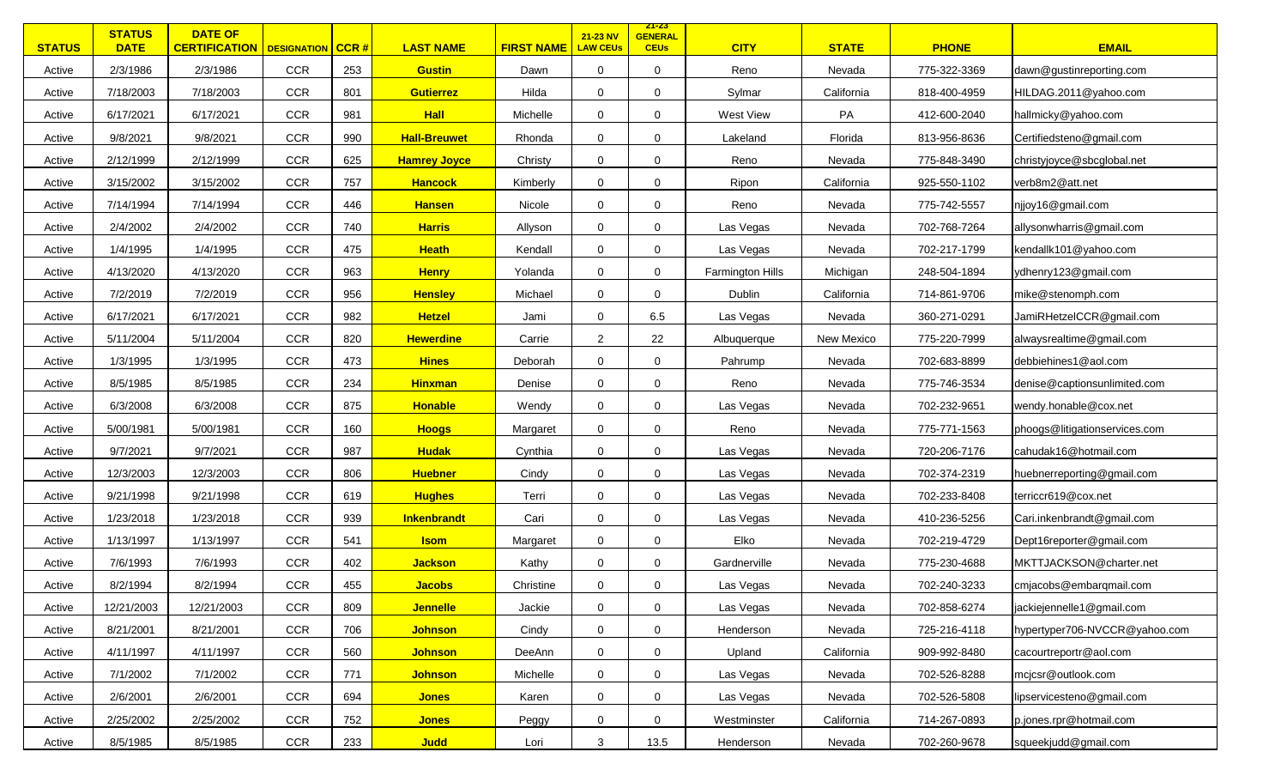| <b>STATUS</b> | <b>STATUS</b><br><b>DATE</b> | <b>DATE OF</b><br><b>CERTIFICATION</b>   DESIGNATION   CCR # |            |     | <b>LAST NAME</b>    | <b>FIRST NAME</b> | 21-23 NV<br><b>LAW CEUs</b> | <u>ZT-ZS</u><br><b>GENERAL</b><br><b>CEUs</b> | <b>CITY</b>      | <b>STATE</b> | <b>PHONE</b> | <b>EMAIL</b>                  |
|---------------|------------------------------|--------------------------------------------------------------|------------|-----|---------------------|-------------------|-----------------------------|-----------------------------------------------|------------------|--------------|--------------|-------------------------------|
| Active        | 2/3/1986                     | 2/3/1986                                                     | <b>CCR</b> | 253 | <b>Gustin</b>       | Dawn              | $\mathbf 0$                 | 0                                             | Reno             | Nevada       | 775-322-3369 | dawn@gustinreporting.com      |
| Active        | 7/18/2003                    | 7/18/2003                                                    | <b>CCR</b> | 801 | <b>Gutierrez</b>    | Hilda             | $\mathbf 0$                 | 0                                             | Sylmar           | California   | 818-400-4959 | HILDAG.2011@yahoo.com         |
| Active        | 6/17/2021                    | 6/17/2021                                                    | <b>CCR</b> | 981 | <b>Hall</b>         | Michelle          | 0                           | $\mathbf 0$                                   | West View        | PA           | 412-600-2040 | hallmicky@yahoo.com           |
| Active        | 9/8/2021                     | 9/8/2021                                                     | <b>CCR</b> | 990 | <b>Hall-Breuwet</b> | Rhonda            | $\mathbf 0$                 | $\mathbf 0$                                   | Lakeland         | Florida      | 813-956-8636 | Certifiedsteno@gmail.com      |
| Active        | 2/12/1999                    | 2/12/1999                                                    | CCR        | 625 | <b>Hamrey Joyce</b> | Christy           | $\mathbf 0$                 | $\Omega$                                      | Reno             | Nevada       | 775-848-3490 | christyjoyce@sbcglobal.net    |
| Active        | 3/15/2002                    | 3/15/2002                                                    | <b>CCR</b> | 757 | <b>Hancock</b>      | Kimberly          | $\mathbf 0$                 | 0                                             | Ripon            | California   | 925-550-1102 | verb8m2@att.net               |
| Active        | 7/14/1994                    | 7/14/1994                                                    | <b>CCR</b> | 446 | <b>Hansen</b>       | Nicole            | $\mathbf 0$                 | $\mathbf 0$                                   | Reno             | Nevada       | 775-742-5557 | njjoy16@gmail.com             |
| Active        | 2/4/2002                     | 2/4/2002                                                     | CCR        | 740 | <b>Harris</b>       | Allyson           | $\mathbf 0$                 | 0                                             | Las Vegas        | Nevada       | 702-768-7264 | allysonwharris@gmail.com      |
| Active        | 1/4/1995                     | 1/4/1995                                                     | <b>CCR</b> | 475 | <b>Heath</b>        | Kendall           | $\mathbf 0$                 | 0                                             | Las Vegas        | Nevada       | 702-217-1799 | kendallk101@yahoo.com         |
| Active        | 4/13/2020                    | 4/13/2020                                                    | <b>CCR</b> | 963 | <b>Henry</b>        | Yolanda           | $\mathbf 0$                 | 0                                             | Farmington Hills | Michigan     | 248-504-1894 | ydhenry123@gmail.com          |
| Active        | 7/2/2019                     | 7/2/2019                                                     | <b>CCR</b> | 956 | <b>Hensley</b>      | Michael           | 0                           | 0                                             | Dublin           | California   | 714-861-9706 | mike@stenomph.com             |
| Active        | 6/17/2021                    | 6/17/2021                                                    | <b>CCR</b> | 982 | <b>Hetzel</b>       | Jami              | 0                           | 6.5                                           | Las Vegas        | Nevada       | 360-271-0291 | JamiRHetzelCCR@gmail.com      |
| Active        | 5/11/2004                    | 5/11/2004                                                    | <b>CCR</b> | 820 | <b>Hewerdine</b>    | Carrie            | $\overline{2}$              | 22                                            | Albuquerque      | New Mexico   | 775-220-7999 | alwaysrealtime@gmail.com      |
| Active        | 1/3/1995                     | 1/3/1995                                                     | <b>CCR</b> | 473 | <b>Hines</b>        | Deborah           | 0                           | 0                                             | Pahrump          | Nevada       | 702-683-8899 | debbiehines1@aol.com          |
| Active        | 8/5/1985                     | 8/5/1985                                                     | <b>CCR</b> | 234 | <b>Hinxman</b>      | Denise            | 0                           | 0                                             | Reno             | Nevada       | 775-746-3534 | denise@captionsunlimited.com  |
| Active        | 6/3/2008                     | 6/3/2008                                                     | <b>CCR</b> | 875 | <b>Honable</b>      | Wendy             | $\mathbf 0$                 | $\mathbf 0$                                   | Las Vegas        | Nevada       | 702-232-9651 | wendy.honable@cox.net         |
| Active        | 5/00/1981                    | 5/00/1981                                                    | CCR        | 160 | <b>Hoogs</b>        | Margaret          | $\mathbf 0$                 | $\mathbf 0$                                   | Reno             | Nevada       | 775-771-1563 | phoogs@litigationservices.com |
| Active        | 9/7/2021                     | 9/7/2021                                                     | <b>CCR</b> | 987 | <b>Hudak</b>        | Cynthia           | $\mathbf 0$                 | 0                                             | Las Vegas        | Nevada       | 720-206-7176 | cahudak16@hotmail.com         |
| Active        | 12/3/2003                    | 12/3/2003                                                    | <b>CCR</b> | 806 | <b>Huebner</b>      | Cindy             | $\mathbf 0$                 | 0                                             | Las Vegas        | Nevada       | 702-374-2319 | huebnerreporting@gmail.com    |
| Active        | 9/21/1998                    | 9/21/1998                                                    | CCR        | 619 | <b>Hughes</b>       | Terri             | $\mathbf 0$                 | $\mathbf 0$                                   | Las Vegas        | Nevada       | 702-233-8408 | terriccr619@cox.net           |
| Active        | 1/23/2018                    | 1/23/2018                                                    | <b>CCR</b> | 939 | Inkenbrandt         | Cari              | $\mathbf 0$                 | 0                                             | Las Vegas        | Nevada       | 410-236-5256 | Cari.inkenbrandt@gmail.com    |
| Active        | 1/13/1997                    | 1/13/1997                                                    | <b>CCR</b> | 541 | <b>Isom</b>         | Margaret          | $\mathbf 0$                 | 0                                             | Elko             | Nevada       | 702-219-4729 | Dept16reporter@gmail.com      |
| Active        | 7/6/1993                     | 7/6/1993                                                     | <b>CCR</b> | 402 | <b>Jackson</b>      | Kathy             | $\mathbf 0$                 | 0                                             | Gardnerville     | Nevada       | 775-230-4688 | MKTTJACKSON@charter.net       |
| Active        | 8/2/1994                     | 8/2/1994                                                     | CCR        | 455 | <b>Jacobs</b>       | Christine         | $\mathbf 0$                 | 0                                             | Las Vegas        | Nevada       | 702-240-3233 | cmjacobs@embarqmail.com       |
| Active        | 12/21/2003                   | 12/21/2003                                                   | CCR        | 809 | <b>Jennelle</b>     | Jackie            | $\boldsymbol{0}$            | $\mathbf 0$                                   | Las Vegas        | Nevada       | 702-858-6274 | jackiejennelle1@gmail.com     |
| Active        | 8/21/2001                    | 8/21/2001                                                    | CCR        | 706 | <b>Johnson</b>      | Cindy             | $\mathbf 0$                 | 0                                             | Henderson        | Nevada       | 725-216-4118 | hypertyper706-NVCCR@yahoo.com |
| Active        | 4/11/1997                    | 4/11/1997                                                    | <b>CCR</b> | 560 | <b>Johnson</b>      | DeeAnn            | $\mathbf 0$                 | 0                                             | Upland           | California   | 909-992-8480 | cacourtreportr@aol.com        |
| Active        | 7/1/2002                     | 7/1/2002                                                     | <b>CCR</b> | 771 | <b>Johnson</b>      | Michelle          | 0                           | 0                                             | Las Vegas        | Nevada       | 702-526-8288 | mcjcsr@outlook.com            |
| Active        | 2/6/2001                     | 2/6/2001                                                     | CCR        | 694 | <b>Jones</b>        | Karen             | 0                           | 0                                             | Las Vegas        | Nevada       | 702-526-5808 | lipservicesteno@gmail.com     |
| Active        | 2/25/2002                    | 2/25/2002                                                    | <b>CCR</b> | 752 | <b>Jones</b>        | Peggy             | 0                           | 0                                             | Westminster      | California   | 714-267-0893 | p.jones.rpr@hotmail.com       |
| Active        | 8/5/1985                     | 8/5/1985                                                     | CCR        | 233 | <b>Judd</b>         | Lori              | $\mathbf{3}$                | 13.5                                          | Henderson        | Nevada       | 702-260-9678 | squeekjudd@gmail.com          |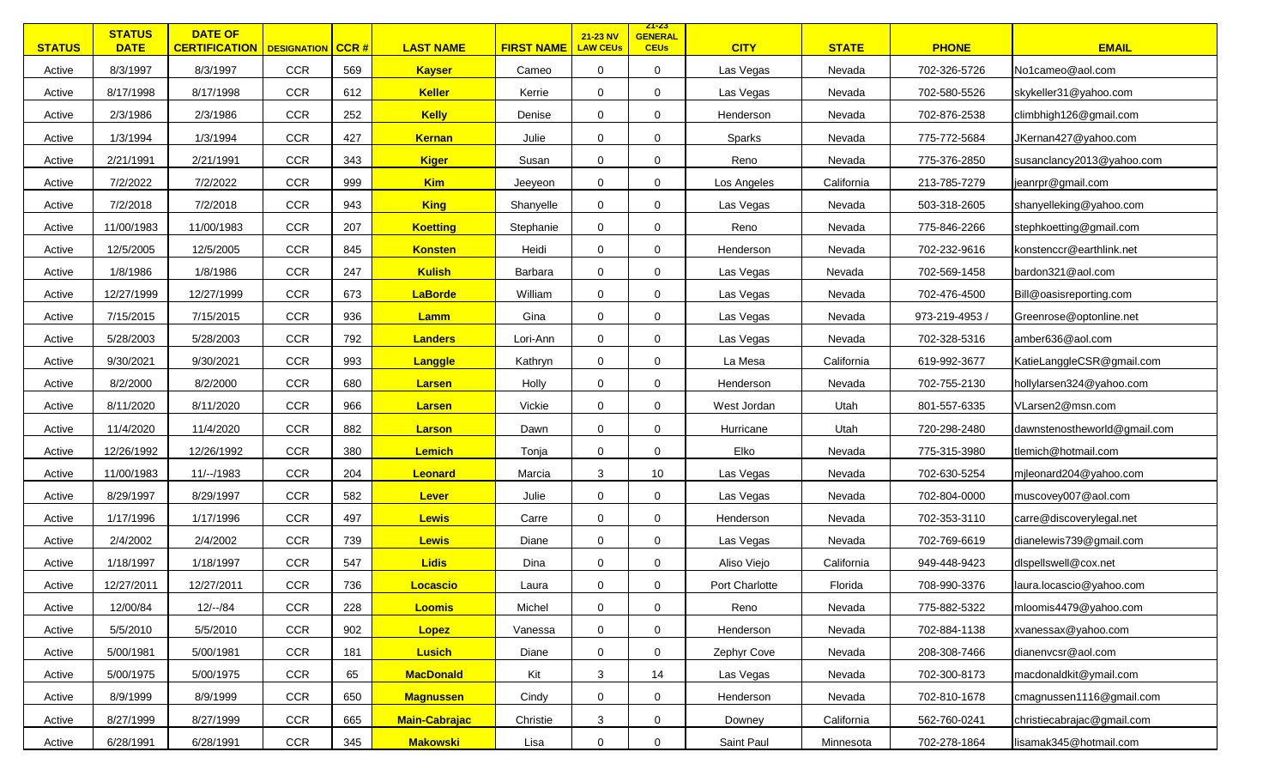| <b>STATUS</b> | <b>STATUS</b><br><b>DATE</b> | <b>DATE OF</b><br><b>CERTIFICATION   DESIGNATION   CCR #</b> |            |     | <b>LAST NAME</b>     | <b>FIRST NAME</b> | 21-23 NV<br><b>LAW CEUs</b> | <u>ZT-ZS</u><br><b>GENERAL</b><br><b>CEUs</b> | <b>CITY</b>    | <b>STATE</b> | <b>PHONE</b>   | <b>EMAIL</b>                 |
|---------------|------------------------------|--------------------------------------------------------------|------------|-----|----------------------|-------------------|-----------------------------|-----------------------------------------------|----------------|--------------|----------------|------------------------------|
| Active        | 8/3/1997                     | 8/3/1997                                                     | <b>CCR</b> | 569 | <b>Kayser</b>        | Cameo             | $\mathbf 0$                 | 0                                             | Las Vegas      | Nevada       | 702-326-5726   | No1cameo@aol.com             |
| Active        | 8/17/1998                    | 8/17/1998                                                    | CCR        | 612 | <b>Keller</b>        | Kerrie            | 0                           | 0                                             | Las Vegas      | Nevada       | 702-580-5526   | skykeller31@yahoo.com        |
| Active        | 2/3/1986                     | 2/3/1986                                                     | CCR        | 252 | <b>Kelly</b>         | Denise            | 0                           | $\mathbf 0$                                   | Henderson      | Nevada       | 702-876-2538   | climbhigh126@gmail.com       |
| Active        | 1/3/1994                     | 1/3/1994                                                     | CCR        | 427 | <b>Kernan</b>        | Julie             | $\mathbf 0$                 | 0                                             | Sparks         | Nevada       | 775-772-5684   | JKernan427@yahoo.com         |
| Active        | 2/21/1991                    | 2/21/1991                                                    | <b>CCR</b> | 343 | <b>Kiger</b>         | Susan             | $\mathbf 0$                 | $\Omega$                                      | Reno           | Nevada       | 775-376-2850   | susanclancy2013@yahoo.com    |
| Active        | 7/2/2022                     | 7/2/2022                                                     | <b>CCR</b> | 999 | <b>Kim</b>           | Jeeyeon           | 0                           | 0                                             | Los Angeles    | California   | 213-785-7279   | jeanrpr@gmail.com            |
| Active        | 7/2/2018                     | 7/2/2018                                                     | <b>CCR</b> | 943 | <b>King</b>          | Shanyelle         | $\mathbf 0$                 | $\mathbf 0$                                   | Las Vegas      | Nevada       | 503-318-2605   | shanyelleking@yahoo.com      |
| Active        | 11/00/1983                   | 11/00/1983                                                   | <b>CCR</b> | 207 | <b>Koetting</b>      | Stephanie         | $\mathbf 0$                 | 0                                             | Reno           | Nevada       | 775-846-2266   | stephkoetting@gmail.com      |
| Active        | 12/5/2005                    | 12/5/2005                                                    | <b>CCR</b> | 845 | <b>Konsten</b>       | Heidi             | $\mathbf 0$                 | 0                                             | Henderson      | Nevada       | 702-232-9616   | konstenccr@earthlink.net     |
| Active        | 1/8/1986                     | 1/8/1986                                                     | CCR        | 247 | <b>Kulish</b>        | Barbara           | $\mathbf 0$                 | 0                                             | Las Vegas      | Nevada       | 702-569-1458   | bardon321@aol.com            |
| Active        | 12/27/1999                   | 12/27/1999                                                   | <b>CCR</b> | 673 | <b>LaBorde</b>       | William           | 0                           | 0                                             | Las Vegas      | Nevada       | 702-476-4500   | Bill@oasisreporting.com      |
| Active        | 7/15/2015                    | 7/15/2015                                                    | <b>CCR</b> | 936 | Lamm                 | Gina              | 0                           | 0                                             | Las Vegas      | Nevada       | 973-219-4953 / | Greenrose@optonline.net      |
| Active        | 5/28/2003                    | 5/28/2003                                                    | CCR        | 792 | <b>Landers</b>       | Lori-Ann          | 0                           | 0                                             | Las Vegas      | Nevada       | 702-328-5316   | amber636@aol.com             |
| Active        | 9/30/2021                    | 9/30/2021                                                    | CCR        | 993 | Langgle              | Kathryn           | 0                           | 0                                             | La Mesa        | California   | 619-992-3677   | KatieLanggleCSR@gmail.com    |
| Active        | 8/2/2000                     | 8/2/2000                                                     | CCR        | 680 | <b>Larsen</b>        | Holly             | 0                           | 0                                             | Henderson      | Nevada       | 702-755-2130   | hollylarsen324@yahoo.com     |
| Active        | 8/11/2020                    | 8/11/2020                                                    | CCR        | 966 | <b>Larsen</b>        | Vickie            | $\mathbf 0$                 | $\mathbf 0$                                   | West Jordan    | Utah         | 801-557-6335   | VLarsen2@msn.com             |
| Active        | 11/4/2020                    | 11/4/2020                                                    | CCR        | 882 | <b>Larson</b>        | Dawn              | $\mathbf 0$                 | $\mathbf 0$                                   | Hurricane      | Utah         | 720-298-2480   | dawnstenostheworld@gmail.com |
| Active        | 12/26/1992                   | 12/26/1992                                                   | <b>CCR</b> | 380 | <b>Lemich</b>        | Tonja             | $\mathbf 0$                 | 0                                             | Elko           | Nevada       | 775-315-3980   | tlemich@hotmail.com          |
| Active        | 11/00/1983                   | 11/--/1983                                                   | CCR        | 204 | Leonard              | Marcia            | $\mathbf{3}$                | 10                                            | Las Vegas      | Nevada       | 702-630-5254   | mjleonard204@yahoo.com       |
| Active        | 8/29/1997                    | 8/29/1997                                                    | CCR        | 582 | Lever                | Julie             | $\mathbf 0$                 | 0                                             | Las Vegas      | Nevada       | 702-804-0000   | muscovey007@aol.com          |
| Active        | 1/17/1996                    | 1/17/1996                                                    | <b>CCR</b> | 497 | <b>Lewis</b>         | Carre             | $\mathbf 0$                 | 0                                             | Henderson      | Nevada       | 702-353-3110   | carre@discoverylegal.net     |
| Active        | 2/4/2002                     | 2/4/2002                                                     | CCR        | 739 | <b>Lewis</b>         | Diane             | $\mathbf 0$                 | 0                                             | Las Vegas      | Nevada       | 702-769-6619   | dianelewis739@gmail.com      |
| Active        | 1/18/1997                    | 1/18/1997                                                    | CCR        | 547 | <b>Lidis</b>         | Dina              | $\mathbf 0$                 | 0                                             | Aliso Viejo    | California   | 949-448-9423   | dispellswell@cox.net         |
| Active        | 12/27/2011                   | 12/27/2011                                                   | CCR        | 736 | Locascio             | Laura             | $\mathbf 0$                 | 0                                             | Port Charlotte | Florida      | 708-990-3376   | laura.locascio@yahoo.com     |
| Active        | 12/00/84                     | $12/-/84$                                                    | CCR        | 228 | <b>Loomis</b>        | Michel            | $\boldsymbol{0}$            | $\overline{0}$                                | Reno           | Nevada       | 775-882-5322   | mloomis4479@yahoo.com        |
| Active        | 5/5/2010                     | 5/5/2010                                                     | CCR        | 902 | Lopez                | Vanessa           | $\mathbf 0$                 | $\mathbf 0$                                   | Henderson      | Nevada       | 702-884-1138   | xvanessax@yahoo.com          |
| Active        | 5/00/1981                    | 5/00/1981                                                    | <b>CCR</b> | 181 | <b>Lusich</b>        | Diane             | $\mathbf 0$                 | $\mathbf 0$                                   | Zephyr Cove    | Nevada       | 208-308-7466   | dianenvcsr@aol.com           |
| Active        | 5/00/1975                    | 5/00/1975                                                    | <b>CCR</b> | 65  | <b>MacDonald</b>     | Kit               | 3                           | 14                                            | Las Vegas      | Nevada       | 702-300-8173   | macdonaldkit@ymail.com       |
| Active        | 8/9/1999                     | 8/9/1999                                                     | CCR        | 650 | <b>Magnussen</b>     | Cindy             | $\mathbf 0$                 | 0                                             | Henderson      | Nevada       | 702-810-1678   | cmagnussen1116@gmail.com     |
| Active        | 8/27/1999                    | 8/27/1999                                                    | <b>CCR</b> | 665 | <b>Main-Cabrajac</b> | Christie          | 3                           | 0                                             | Downey         | California   | 562-760-0241   | christiecabrajac@gmail.com   |
| Active        | 6/28/1991                    | 6/28/1991                                                    | CCR        | 345 | <b>Makowski</b>      | Lisa              | $\mathbf 0$                 | $\mathbf 0$                                   | Saint Paul     | Minnesota    | 702-278-1864   | lisamak345@hotmail.com       |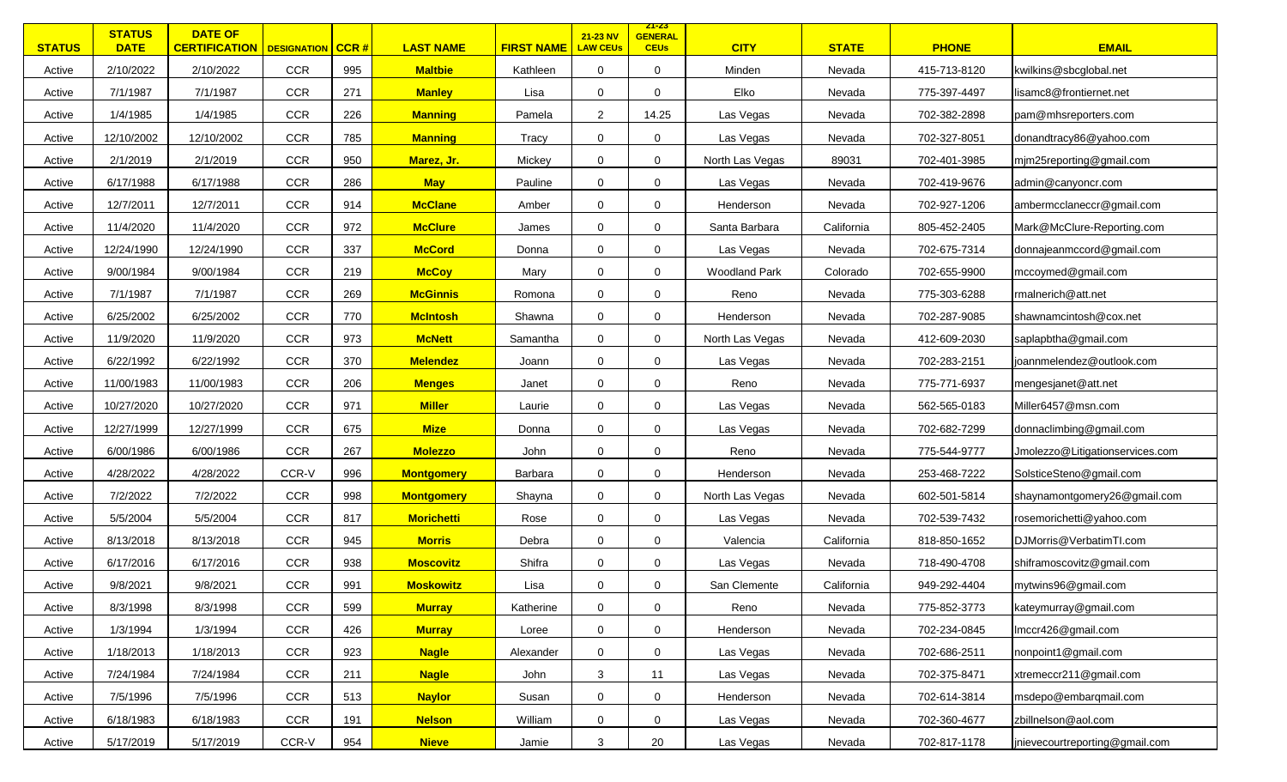| <b>STATUS</b> | <b>STATUS</b><br><b>DATE</b> | <b>DATE OF</b><br><b>CERTIFICATION</b> DESIGNATION |            | CCR# | <b>LAST NAME</b>  | <b>FIRST NAME</b> | 21-23 NV<br><b>LAW CEUs</b> | <u> 21-23 </u><br><b>GENERAL</b><br><b>CEUs</b> | <b>CITY</b>          | <b>STATE</b> | <b>PHONE</b> | <b>EMAIL</b>                    |
|---------------|------------------------------|----------------------------------------------------|------------|------|-------------------|-------------------|-----------------------------|-------------------------------------------------|----------------------|--------------|--------------|---------------------------------|
| Active        | 2/10/2022                    | 2/10/2022                                          | <b>CCR</b> | 995  | <b>Maltbie</b>    | Kathleen          | $\mathbf 0$                 | $\mathbf 0$                                     | Minden               | Nevada       | 415-713-8120 | kwilkins@sbcglobal.net          |
| Active        | 7/1/1987                     | 7/1/1987                                           | <b>CCR</b> | 271  | <b>Manley</b>     | Lisa              | $\mathbf 0$                 | 0                                               | Elko                 | Nevada       | 775-397-4497 | lisamc8@frontiernet.net         |
| Active        | 1/4/1985                     | 1/4/1985                                           | <b>CCR</b> | 226  | <b>Manning</b>    | Pamela            | $\overline{2}$              | 14.25                                           | Las Vegas            | Nevada       | 702-382-2898 | pam@mhsreporters.com            |
| Active        | 12/10/2002                   | 12/10/2002                                         | <b>CCR</b> | 785  | <b>Manning</b>    | Tracy             | $\mathbf 0$                 | $\mathbf 0$                                     | Las Vegas            | Nevada       | 702-327-8051 | donandtracy86@yahoo.com         |
| Active        | 2/1/2019                     | 2/1/2019                                           | <b>CCR</b> | 950  | Marez, Jr.        | Mickey            | $\mathbf 0$                 | $\mathbf 0$                                     | North Las Vegas      | 89031        | 702-401-3985 | mjm25reporting@gmail.com        |
| Active        | 6/17/1988                    | 6/17/1988                                          | <b>CCR</b> | 286  | <b>May</b>        | Pauline           | $\mathbf 0$                 | 0                                               | Las Vegas            | Nevada       | 702-419-9676 | admin@canyoncr.com              |
| Active        | 12/7/2011                    | 12/7/2011                                          | <b>CCR</b> | 914  | <b>McClane</b>    | Amber             | $\mathbf 0$                 | $\Omega$                                        | Henderson            | Nevada       | 702-927-1206 | ambermcclaneccr@gmail.com       |
| Active        | 11/4/2020                    | 11/4/2020                                          | <b>CCR</b> | 972  | <b>McClure</b>    | James             | $\mathbf 0$                 | $\mathbf 0$                                     | Santa Barbara        | California   | 805-452-2405 | Mark@McClure-Reporting.com      |
| Active        | 12/24/1990                   | 12/24/1990                                         | <b>CCR</b> | 337  | <b>McCord</b>     | Donna             | 0                           | $\mathbf 0$                                     | Las Vegas            | Nevada       | 702-675-7314 | donnajeanmccord@gmail.com       |
| Active        | 9/00/1984                    | 9/00/1984                                          | <b>CCR</b> | 219  | <b>McCoy</b>      | Mary              | $\mathbf 0$                 | 0                                               | <b>Woodland Park</b> | Colorado     | 702-655-9900 | mccoymed@gmail.com              |
| Active        | 7/1/1987                     | 7/1/1987                                           | <b>CCR</b> | 269  | <b>McGinnis</b>   | Romona            | $\mathbf 0$                 | 0                                               | Reno                 | Nevada       | 775-303-6288 | rmalnerich@att.net              |
| Active        | 6/25/2002                    | 6/25/2002                                          | <b>CCR</b> | 770  | <b>McIntosh</b>   | Shawna            | 0                           | 0                                               | Henderson            | Nevada       | 702-287-9085 | shawnamcintosh@cox.net          |
| Active        | 11/9/2020                    | 11/9/2020                                          | <b>CCR</b> | 973  | <b>McNett</b>     | Samantha          | 0                           | 0                                               | North Las Vegas      | Nevada       | 412-609-2030 | saplapbtha@gmail.com            |
| Active        | 6/22/1992                    | 6/22/1992                                          | <b>CCR</b> | 370  | <b>Melendez</b>   | Joann             | $\mathbf 0$                 | $\mathbf 0$                                     | Las Vegas            | Nevada       | 702-283-2151 | joannmelendez@outlook.com       |
| Active        | 11/00/1983                   | 11/00/1983                                         | <b>CCR</b> | 206  | <b>Menges</b>     | Janet             | $\mathbf 0$                 | 0                                               | Reno                 | Nevada       | 775-771-6937 | mengesjanet@att.net             |
| Active        | 10/27/2020                   | 10/27/2020                                         | <b>CCR</b> | 971  | <b>Miller</b>     | Laurie            | $\mathbf 0$                 | $\mathbf 0$                                     | Las Vegas            | Nevada       | 562-565-0183 | Miller6457@msn.com              |
| Active        | 12/27/1999                   | 12/27/1999                                         | <b>CCR</b> | 675  | <b>Mize</b>       | Donna             | $\mathbf 0$                 | $\mathbf 0$                                     | Las Vegas            | Nevada       | 702-682-7299 | donnaclimbing@gmail.com         |
| Active        | 6/00/1986                    | 6/00/1986                                          | <b>CCR</b> | 267  | <b>Molezzo</b>    | John              | $\mathbf 0$                 | 0                                               | Reno                 | Nevada       | 775-544-9777 | Jmolezzo@Litigationservices.com |
| Active        | 4/28/2022                    | 4/28/2022                                          | CCR-V      | 996  | <b>Montgomery</b> | Barbara           | 0                           | 0                                               | Henderson            | Nevada       | 253-468-7222 | SolsticeSteno@gmail.com         |
| Active        | 7/2/2022                     | 7/2/2022                                           | <b>CCR</b> | 998  | <b>Montgomery</b> | Shayna            | $\mathbf 0$                 | $\mathbf 0$                                     | North Las Vegas      | Nevada       | 602-501-5814 | shaynamontgomery26@gmail.com    |
| Active        | 5/5/2004                     | 5/5/2004                                           | <b>CCR</b> | 817  | <b>Morichetti</b> | Rose              | $\mathbf 0$                 | $\mathbf 0$                                     | Las Vegas            | Nevada       | 702-539-7432 | rosemorichetti@yahoo.com        |
| Active        | 8/13/2018                    | 8/13/2018                                          | <b>CCR</b> | 945  | <b>Morris</b>     | Debra             | 0                           | 0                                               | Valencia             | California   | 818-850-1652 | DJMorris@VerbatimTI.com         |
| Active        | 6/17/2016                    | 6/17/2016                                          | <b>CCR</b> | 938  | <b>Moscovitz</b>  | Shifra            | 0                           | 0                                               | Las Vegas            | Nevada       | 718-490-4708 | shiframoscovitz@gmail.com       |
| Active        | 9/8/2021                     | 9/8/2021                                           | <b>CCR</b> | 991  | <b>Moskowitz</b>  | Lisa              | 0                           | $\mathbf 0$                                     | San Clemente         | California   | 949-292-4404 | mytwins96@gmail.com             |
| Active        | 8/3/1998                     | 8/3/1998                                           | <b>CCR</b> | 599  | <b>Murray</b>     | Katherine         | 0                           | $\boldsymbol{0}$                                | Reno                 | Nevada       | 775-852-3773 | kateymurray@gmail.com           |
| Active        | 1/3/1994                     | 1/3/1994                                           | CCR        | 426  | <b>Murray</b>     | Loree             | 0                           | 0                                               | Henderson            | Nevada       | 702-234-0845 | Imccr426@gmail.com              |
| Active        | 1/18/2013                    | 1/18/2013                                          | <b>CCR</b> | 923  | <b>Nagle</b>      | Alexander         | 0                           | 0                                               | Las Vegas            | Nevada       | 702-686-2511 | nonpoint1@gmail.com             |
| Active        | 7/24/1984                    | 7/24/1984                                          | <b>CCR</b> | 211  | <b>Nagle</b>      | John              | 3                           | 11                                              | Las Vegas            | Nevada       | 702-375-8471 | xtremeccr211@gmail.com          |
| Active        | 7/5/1996                     | 7/5/1996                                           | CCR        | 513  | <b>Naylor</b>     | Susan             | 0                           | 0                                               | Henderson            | Nevada       | 702-614-3814 | msdepo@embarqmail.com           |
| Active        | 6/18/1983                    | 6/18/1983                                          | <b>CCR</b> | 191  | <b>Nelson</b>     | William           | 0                           | $\mathbf 0$                                     | Las Vegas            | Nevada       | 702-360-4677 | zbillnelson@aol.com             |
| Active        | 5/17/2019                    | 5/17/2019                                          | CCR-V      | 954  | <b>Nieve</b>      | Jamie             | 3                           | 20                                              | Las Vegas            | Nevada       | 702-817-1178 | jnievecourtreporting@gmail.com  |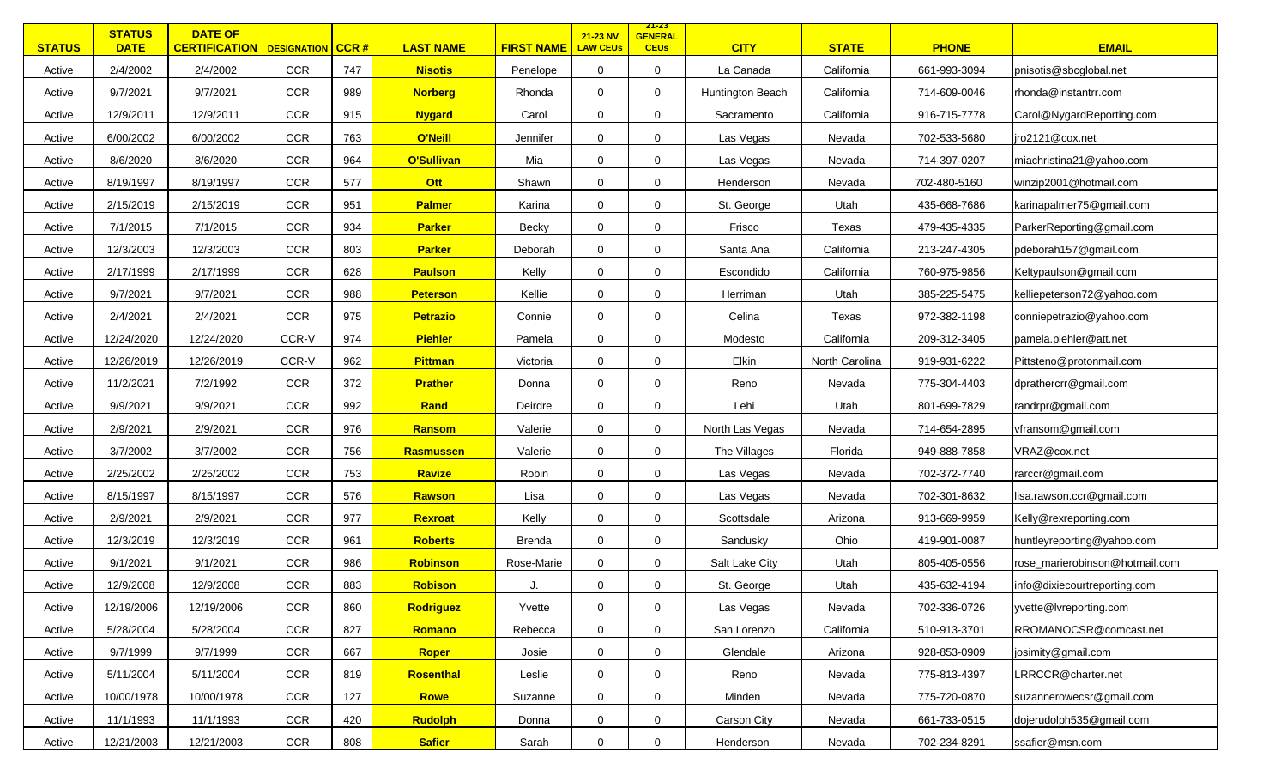| <b>STATUS</b> | <b>STATUS</b><br><b>DATE</b> | <b>DATE OF</b><br><b>CERTIFICATION</b>   DESIGNATION   CCR # |            |     | <b>LAST NAME</b>  | <b>FIRST NAME</b> | 21-23 NV<br><b>LAW CEUs</b> | <u> 21-23 </u><br><b>GENERAL</b><br><b>CEUs</b> | <b>CITY</b>      | <b>STATE</b>   | <b>PHONE</b> | <b>EMAIL</b>                   |
|---------------|------------------------------|--------------------------------------------------------------|------------|-----|-------------------|-------------------|-----------------------------|-------------------------------------------------|------------------|----------------|--------------|--------------------------------|
| Active        | 2/4/2002                     | 2/4/2002                                                     | <b>CCR</b> | 747 | <b>Nisotis</b>    | Penelope          | $\mathbf 0$                 | $\mathbf 0$                                     | La Canada        | California     | 661-993-3094 | pnisotis@sbcglobal.net         |
| Active        | 9/7/2021                     | 9/7/2021                                                     | <b>CCR</b> | 989 | <b>Norberg</b>    | Rhonda            | $\mathbf 0$                 | $\mathbf 0$                                     | Huntington Beach | California     | 714-609-0046 | rhonda@instantrr.com           |
| Active        | 12/9/2011                    | 12/9/2011                                                    | <b>CCR</b> | 915 | <b>Nygard</b>     | Carol             | $\mathbf 0$                 | $\mathbf 0$                                     | Sacramento       | California     | 916-715-7778 | Carol@NygardReporting.com      |
| Active        | 6/00/2002                    | 6/00/2002                                                    | CCR        | 763 | O'Neill           | Jennifer          | $\mathbf 0$                 | $\mathbf 0$                                     | Las Vegas        | Nevada         | 702-533-5680 | jro2121@cox.net                |
| Active        | 8/6/2020                     | 8/6/2020                                                     | <b>CCR</b> | 964 | <b>O'Sullivan</b> | Mia               | $\mathbf 0$                 | $\mathbf 0$                                     | Las Vegas        | Nevada         | 714-397-0207 | miachristina21@yahoo.com       |
| Active        | 8/19/1997                    | 8/19/1997                                                    | <b>CCR</b> | 577 | Ott               | Shawn             | $\mathbf 0$                 | $\mathbf 0$                                     | Henderson        | Nevada         | 702-480-5160 | winzip2001@hotmail.com         |
| Active        | 2/15/2019                    | 2/15/2019                                                    | <b>CCR</b> | 951 | <b>Palmer</b>     | Karina            | $\mathbf 0$                 | $\Omega$                                        | St. George       | Utah           | 435-668-7686 | karinapalmer75@gmail.com       |
| Active        | 7/1/2015                     | 7/1/2015                                                     | <b>CCR</b> | 934 | <b>Parker</b>     | Becky             | $\mathbf 0$                 | $\mathbf 0$                                     | Frisco           | Texas          | 479-435-4335 | ParkerReporting@gmail.com      |
| Active        | 12/3/2003                    | 12/3/2003                                                    | <b>CCR</b> | 803 | <b>Parker</b>     | Deborah           | $\mathbf 0$                 | $\mathbf 0$                                     | Santa Ana        | California     | 213-247-4305 | pdeborah157@gmail.com          |
| Active        | 2/17/1999                    | 2/17/1999                                                    | <b>CCR</b> | 628 | <b>Paulson</b>    | Kelly             | $\mathbf 0$                 | $\mathbf 0$                                     | Escondido        | California     | 760-975-9856 | Keltypaulson@gmail.com         |
| Active        | 9/7/2021                     | 9/7/2021                                                     | <b>CCR</b> | 988 | <b>Peterson</b>   | Kellie            | 0                           | $\mathbf 0$                                     | Herriman         | Utah           | 385-225-5475 | kelliepeterson72@yahoo.com     |
| Active        | 2/4/2021                     | 2/4/2021                                                     | CCR        | 975 | <b>Petrazio</b>   | Connie            | 0                           | $\mathbf 0$                                     | Celina           | Texas          | 972-382-1198 | conniepetrazio@yahoo.com       |
| Active        | 12/24/2020                   | 12/24/2020                                                   | CCR-V      | 974 | <b>Piehler</b>    | Pamela            | 0                           | $\mathbf 0$                                     | Modesto          | California     | 209-312-3405 | pamela.piehler@att.net         |
| Active        | 12/26/2019                   | 12/26/2019                                                   | CCR-V      | 962 | <b>Pittman</b>    | Victoria          | $\mathbf 0$                 | $\mathbf 0$                                     | Elkin            | North Carolina | 919-931-6222 | Pittsteno@protonmail.com       |
| Active        | 11/2/2021                    | 7/2/1992                                                     | CCR        | 372 | <b>Prather</b>    | Donna             | $\mathbf 0$                 | $\mathbf 0$                                     | Reno             | Nevada         | 775-304-4403 | dprathercrr@gmail.com          |
| Active        | 9/9/2021                     | 9/9/2021                                                     | CCR        | 992 | Rand              | Deirdre           | $\mathbf 0$                 | $\mathbf 0$                                     | Lehi             | Utah           | 801-699-7829 | randrpr@gmail.com              |
| Active        | 2/9/2021                     | 2/9/2021                                                     | <b>CCR</b> | 976 | Ransom            | Valerie           | $\mathbf 0$                 | $\mathbf 0$                                     | North Las Vegas  | Nevada         | 714-654-2895 | vfransom@gmail.com             |
| Active        | 3/7/2002                     | 3/7/2002                                                     | <b>CCR</b> | 756 | Rasmussen         | Valerie           | $\mathbf 0$                 | $\mathbf 0$                                     | The Villages     | Florida        | 949-888-7858 | VRAZ@cox.net                   |
| Active        | 2/25/2002                    | 2/25/2002                                                    | <b>CCR</b> | 753 | Ravize            | Robin             | $\mathbf 0$                 | $\mathbf 0$                                     | Las Vegas        | Nevada         | 702-372-7740 | rarccr@gmail.com               |
| Active        | 8/15/1997                    | 8/15/1997                                                    | CCR        | 576 | Rawson            | Lisa              | $\mathbf 0$                 | $\mathbf 0$                                     | Las Vegas        | Nevada         | 702-301-8632 | lisa.rawson.ccr@gmail.com      |
| Active        | 2/9/2021                     | 2/9/2021                                                     | <b>CCR</b> | 977 | <b>Rexroat</b>    | Kelly             | $\mathbf 0$                 | $\mathbf 0$                                     | Scottsdale       | Arizona        | 913-669-9959 | Kelly@rexreporting.com         |
| Active        | 12/3/2019                    | 12/3/2019                                                    | <b>CCR</b> | 961 | <b>Roberts</b>    | Brenda            | $\mathbf 0$                 | $\mathbf 0$                                     | Sandusky         | Ohio           | 419-901-0087 | huntleyreporting@yahoo.com     |
| Active        | 9/1/2021                     | 9/1/2021                                                     | CCR        | 986 | Robinson          | Rose-Marie        | 0                           | $\mathbf 0$                                     | Salt Lake City   | Utah           | 805-405-0556 | rose_marierobinson@hotmail.com |
| Active        | 12/9/2008                    | 12/9/2008                                                    | <b>CCR</b> | 883 | <b>Robison</b>    | J.                | $\mathbf 0$                 | $\mathbf 0$                                     | St. George       | Utah           | 435-632-4194 | info@dixiecourtreporting.com   |
| Active        | 12/19/2006                   | 12/19/2006                                                   | CCR        | 860 | <b>Rodriguez</b>  | Yvette            | 0                           | $\mathbf 0$                                     | Las Vegas        | Nevada         | 702-336-0726 | yvette@lvreporting.com         |
| Active        | 5/28/2004                    | 5/28/2004                                                    | CCR        | 827 | Romano            | Rebecca           | $\mathbf 0$                 | 0                                               | San Lorenzo      | California     | 510-913-3701 | RROMANOCSR@comcast.net         |
| Active        | 9/7/1999                     | 9/7/1999                                                     | <b>CCR</b> | 667 | Roper             | Josie             | 0                           | 0                                               | Glendale         | Arizona        | 928-853-0909 | josimity@gmail.com             |
| Active        | 5/11/2004                    | 5/11/2004                                                    | <b>CCR</b> | 819 | Rosenthal         | Leslie            | 0                           | $\mathbf 0$                                     | Reno             | Nevada         | 775-813-4397 | RRCCR@charter.net              |
| Active        | 10/00/1978                   | 10/00/1978                                                   | CCR        | 127 | <b>Rowe</b>       | Suzanne           | 0                           | 0                                               | Minden           | Nevada         | 775-720-0870 | suzannerowecsr@gmail.com       |
| Active        | 11/1/1993                    | 11/1/1993                                                    | CCR        | 420 | <b>Rudolph</b>    | Donna             | 0                           | 0                                               | Carson City      | Nevada         | 661-733-0515 | dojerudolph535@gmail.com       |
| Active        | 12/21/2003                   | 12/21/2003                                                   | CCR        | 808 | <b>Safier</b>     | Sarah             | $\overline{0}$              | $\mathbf 0$                                     | Henderson        | Nevada         | 702-234-8291 | ssafier@msn.com                |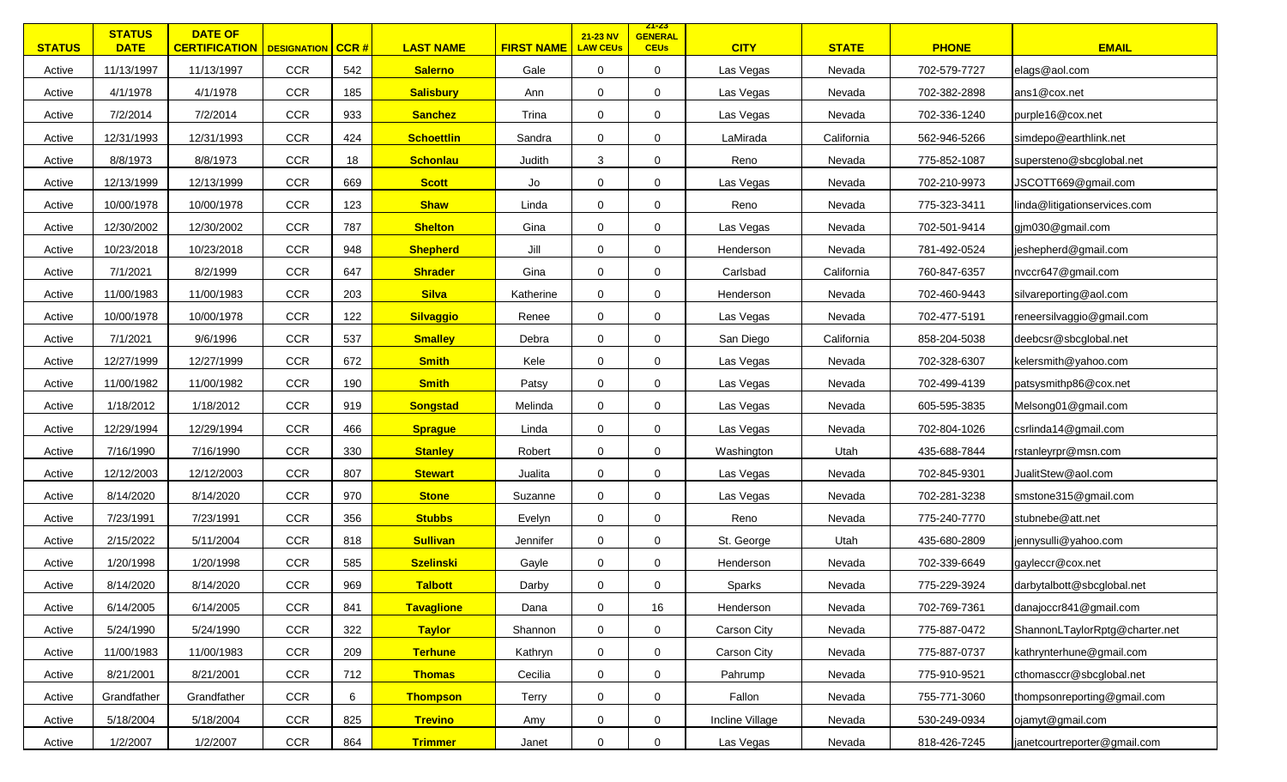| <b>STATUS</b> | <b>STATUS</b><br><b>DATE</b> | <b>DATE OF</b><br><b>CERTIFICATION</b>   DESIGNATION |            | $ $ CCR # | <b>LAST NAME</b>  | <b>FIRST NAME</b> | 21-23 NV<br><b>LAW CEUs</b> | <u> 21-23 </u><br><b>GENERAL</b><br><b>CEUs</b> | <b>CITY</b>     | <b>STATE</b> | <b>PHONE</b> | <b>EMAIL</b>                   |
|---------------|------------------------------|------------------------------------------------------|------------|-----------|-------------------|-------------------|-----------------------------|-------------------------------------------------|-----------------|--------------|--------------|--------------------------------|
| Active        | 11/13/1997                   | 11/13/1997                                           | <b>CCR</b> | 542       | <b>Salerno</b>    | Gale              | $\mathbf 0$                 | $\mathbf 0$                                     | Las Vegas       | Nevada       | 702-579-7727 | elags@aol.com                  |
| Active        | 4/1/1978                     | 4/1/1978                                             | <b>CCR</b> | 185       | <b>Salisbury</b>  | Ann               | 0                           | $\mathbf 0$                                     | Las Vegas       | Nevada       | 702-382-2898 | ans1@cox.net                   |
| Active        | 7/2/2014                     | 7/2/2014                                             | CCR        | 933       | <b>Sanchez</b>    | Trina             | $\mathbf 0$                 | $\mathbf 0$                                     | Las Vegas       | Nevada       | 702-336-1240 | purple16@cox.net               |
| Active        | 12/31/1993                   | 12/31/1993                                           | CCR        | 424       | <b>Schoettlin</b> | Sandra            | $\mathbf 0$                 | $\mathbf 0$                                     | LaMirada        | California   | 562-946-5266 | simdepo@earthlink.net          |
| Active        | 8/8/1973                     | 8/8/1973                                             | <b>CCR</b> | 18        | <b>Schonlau</b>   | Judith            | 3                           | $\mathbf 0$                                     | Reno            | Nevada       | 775-852-1087 | supersteno@sbcglobal.net       |
| Active        | 12/13/1999                   | 12/13/1999                                           | <b>CCR</b> | 669       | <b>Scott</b>      | Jo                | $\mathbf 0$                 | $\mathbf 0$                                     | Las Vegas       | Nevada       | 702-210-9973 | JSCOTT669@gmail.com            |
| Active        | 10/00/1978                   | 10/00/1978                                           | <b>CCR</b> | 123       | <b>Shaw</b>       | Linda             | $\mathbf 0$                 | $\Omega$                                        | Reno            | Nevada       | 775-323-3411 | linda@litigationservices.com   |
| Active        | 12/30/2002                   | 12/30/2002                                           | CCR        | 787       | <b>Shelton</b>    | Gina              | $\mathbf 0$                 | $\mathbf 0$                                     | Las Vegas       | Nevada       | 702-501-9414 | gjm030@gmail.com               |
| Active        | 10/23/2018                   | 10/23/2018                                           | <b>CCR</b> | 948       | <b>Shepherd</b>   | Jill              | 0                           | $\mathbf 0$                                     | Henderson       | Nevada       | 781-492-0524 | jeshepherd@gmail.com           |
| Active        | 7/1/2021                     | 8/2/1999                                             | <b>CCR</b> | 647       | <b>Shrader</b>    | Gina              | $\mathbf 0$                 | $\mathbf 0$                                     | Carlsbad        | California   | 760-847-6357 | nvccr647@gmail.com             |
| Active        | 11/00/1983                   | 11/00/1983                                           | <b>CCR</b> | 203       | <b>Silva</b>      | Katherine         | 0                           | $\mathbf 0$                                     | Henderson       | Nevada       | 702-460-9443 | silvareporting@aol.com         |
| Active        | 10/00/1978                   | 10/00/1978                                           | <b>CCR</b> | 122       | <b>Silvaggio</b>  | Renee             | 0                           | 0                                               | Las Vegas       | Nevada       | 702-477-5191 | reneersilvaggio@gmail.com      |
| Active        | 7/1/2021                     | 9/6/1996                                             | <b>CCR</b> | 537       | <b>Smalley</b>    | Debra             | 0                           | $\mathbf 0$                                     | San Diego       | California   | 858-204-5038 | deebcsr@sbcglobal.net          |
| Active        | 12/27/1999                   | 12/27/1999                                           | CCR        | 672       | <b>Smith</b>      | Kele              | 0                           | $\mathbf 0$                                     | Las Vegas       | Nevada       | 702-328-6307 | kelersmith@yahoo.com           |
| Active        | 11/00/1982                   | 11/00/1982                                           | <b>CCR</b> | 190       | <b>Smith</b>      | Patsy             | 0                           | $\mathbf 0$                                     | Las Vegas       | Nevada       | 702-499-4139 | patsysmithp86@cox.net          |
| Active        | 1/18/2012                    | 1/18/2012                                            | CCR        | 919       | <b>Songstad</b>   | Melinda           | $\mathbf 0$                 | $\mathbf 0$                                     | Las Vegas       | Nevada       | 605-595-3835 | Melsong01@gmail.com            |
| Active        | 12/29/1994                   | 12/29/1994                                           | <b>CCR</b> | 466       | <b>Sprague</b>    | Linda             | $\mathbf 0$                 | $\mathbf 0$                                     | Las Vegas       | Nevada       | 702-804-1026 | csrlinda14@gmail.com           |
| Active        | 7/16/1990                    | 7/16/1990                                            | <b>CCR</b> | 330       | <b>Stanley</b>    | Robert            | $\mathbf 0$                 | $\mathbf 0$                                     | Washington      | Utah         | 435-688-7844 | rstanleyrpr@msn.com            |
| Active        | 12/12/2003                   | 12/12/2003                                           | CCR        | 807       | <b>Stewart</b>    | Jualita           | $\mathbf 0$                 | $\mathbf 0$                                     | Las Vegas       | Nevada       | 702-845-9301 | JualitStew@aol.com             |
| Active        | 8/14/2020                    | 8/14/2020                                            | CCR        | 970       | <b>Stone</b>      | Suzanne           | $\mathbf 0$                 | $\Omega$                                        | Las Vegas       | Nevada       | 702-281-3238 | smstone315@gmail.com           |
| Active        | 7/23/1991                    | 7/23/1991                                            | <b>CCR</b> | 356       | <b>Stubbs</b>     | Evelyn            | $\mathbf 0$                 | $\mathbf 0$                                     | Reno            | Nevada       | 775-240-7770 | stubnebe@att.net               |
| Active        | 2/15/2022                    | 5/11/2004                                            | <b>CCR</b> | 818       | <b>Sullivan</b>   | Jennifer          | $\mathbf 0$                 | $\mathbf 0$                                     | St. George      | Utah         | 435-680-2809 | jennysulli@yahoo.com           |
| Active        | 1/20/1998                    | 1/20/1998                                            | <b>CCR</b> | 585       | <b>Szelinski</b>  | Gayle             | 0                           | $\mathbf 0$                                     | Henderson       | Nevada       | 702-339-6649 | gayleccr@cox.net               |
| Active        | 8/14/2020                    | 8/14/2020                                            | <b>CCR</b> | 969       | <b>Talbott</b>    | Darby             | $\mathbf 0$                 | $\mathbf 0$                                     | Sparks          | Nevada       | 775-229-3924 | darbytalbott@sbcglobal.net     |
| Active        | 6/14/2005                    | 6/14/2005                                            | CCR        | 841       | <b>Tavaglione</b> | Dana              | 0                           | 16                                              | Henderson       | Nevada       | 702-769-7361 | danajoccr841@gmail.com         |
| Active        | 5/24/1990                    | 5/24/1990                                            | CCR        | 322       | <b>Taylor</b>     | Shannon           | $\mathbf 0$                 | $\mathbf 0$                                     | Carson City     | Nevada       | 775-887-0472 | ShannonLTaylorRptg@charter.net |
| Active        | 11/00/1983                   | 11/00/1983                                           | CCR        | 209       | <b>Terhune</b>    | Kathryn           | 0                           | 0                                               | Carson City     | Nevada       | 775-887-0737 | kathrynterhune@gmail.com       |
| Active        | 8/21/2001                    | 8/21/2001                                            | <b>CCR</b> | 712       | <b>Thomas</b>     | Cecilia           | $\mathbf 0$                 | $\mathbf 0$                                     | Pahrump         | Nevada       | 775-910-9521 | cthomasccr@sbcglobal.net       |
| Active        | Grandfather                  | Grandfather                                          | <b>CCR</b> | 6         | <b>Thompson</b>   | Terry             | 0                           | 0                                               | Fallon          | Nevada       | 755-771-3060 | thompsonreporting@gmail.com    |
| Active        | 5/18/2004                    | 5/18/2004                                            | CCR        | 825       | <b>Trevino</b>    | Amy               | $\mathbf 0$                 | 0                                               | Incline Village | Nevada       | 530-249-0934 | ojamyt@gmail.com               |
| Active        | 1/2/2007                     | 1/2/2007                                             | CCR        | 864       | <b>Trimmer</b>    | Janet             | 0                           | $\mathbf 0$                                     | Las Vegas       | Nevada       | 818-426-7245 | janetcourtreporter@gmail.com   |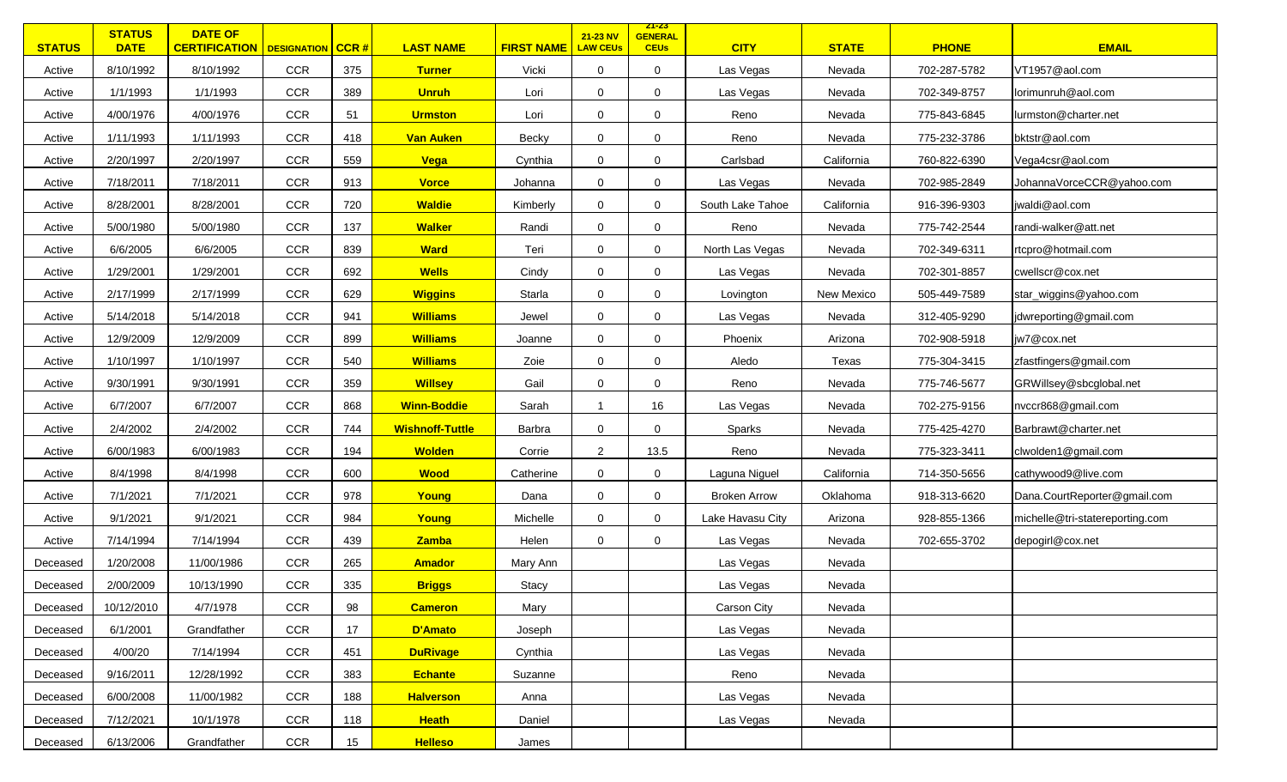| <b>STATUS</b> | <b>STATUS</b><br><b>DATE</b> | <b>DATE OF</b><br><b>CERTIFICATION</b>   DESIGNATION   CCR # |            |     | <b>LAST NAME</b>       | <b>FIRST NAME</b> | 21-23 NV<br><b>LAW CEUs</b> | <u> 21-23 </u><br><b>GENERAL</b><br><b>CEUs</b> | <b>CITY</b>         | <b>STATE</b> | <b>PHONE</b> | <b>EMAIL</b>                    |
|---------------|------------------------------|--------------------------------------------------------------|------------|-----|------------------------|-------------------|-----------------------------|-------------------------------------------------|---------------------|--------------|--------------|---------------------------------|
| Active        | 8/10/1992                    | 8/10/1992                                                    | <b>CCR</b> | 375 | <b>Turner</b>          | Vicki             | $\mathbf 0$                 | 0                                               | Las Vegas           | Nevada       | 702-287-5782 | VT1957@aol.com                  |
| Active        | 1/1/1993                     | 1/1/1993                                                     | <b>CCR</b> | 389 | <b>Unruh</b>           | Lori              | 0                           | 0                                               | Las Vegas           | Nevada       | 702-349-8757 | lorimunruh@aol.com              |
| Active        | 4/00/1976                    | 4/00/1976                                                    | CCR        | 51  | <b>Urmston</b>         | Lori              | $\mathbf 0$                 | 0                                               | Reno                | Nevada       | 775-843-6845 | lurmston@charter.net            |
| Active        | 1/11/1993                    | 1/11/1993                                                    | CCR        | 418 | Van Auken              | Becky             | $\mathbf 0$                 | 0                                               | Reno                | Nevada       | 775-232-3786 | bktstr@aol.com                  |
| Active        | 2/20/1997                    | 2/20/1997                                                    | <b>CCR</b> | 559 | Vega                   | Cynthia           | $\mathbf 0$                 | $\Omega$                                        | Carlsbad            | California   | 760-822-6390 | Vega4csr@aol.com                |
| Active        | 7/18/2011                    | 7/18/2011                                                    | <b>CCR</b> | 913 | <b>Vorce</b>           | Johanna           | $\mathbf 0$                 | 0                                               | Las Vegas           | Nevada       | 702-985-2849 | JohannaVorceCCR@yahoo.com       |
| Active        | 8/28/2001                    | 8/28/2001                                                    | <b>CCR</b> | 720 | <b>Waldie</b>          | Kimberly          | $\mathbf 0$                 | $\mathbf 0$                                     | South Lake Tahoe    | California   | 916-396-9303 | jwaldi@aol.com                  |
| Active        | 5/00/1980                    | 5/00/1980                                                    | <b>CCR</b> | 137 | <b>Walker</b>          | Randi             | $\mathbf 0$                 | 0                                               | Reno                | Nevada       | 775-742-2544 | randi-walker@att.net            |
| Active        | 6/6/2005                     | 6/6/2005                                                     | <b>CCR</b> | 839 | <b>Ward</b>            | Teri              | $\mathbf 0$                 | $\mathbf 0$                                     | North Las Vegas     | Nevada       | 702-349-6311 | rtcpro@hotmail.com              |
| Active        | 1/29/2001                    | 1/29/2001                                                    | CCR        | 692 | <b>Wells</b>           | Cindy             | $\mathbf 0$                 | 0                                               | Las Vegas           | Nevada       | 702-301-8857 | cwellscr@cox.net                |
| Active        | 2/17/1999                    | 2/17/1999                                                    | <b>CCR</b> | 629 | <b>Wiggins</b>         | Starla            | 0                           | 0                                               | Lovington           | New Mexico   | 505-449-7589 | star_wiggins@yahoo.com          |
| Active        | 5/14/2018                    | 5/14/2018                                                    | <b>CCR</b> | 941 | <b>Williams</b>        | Jewel             | 0                           | 0                                               | Las Vegas           | Nevada       | 312-405-9290 | jdwreporting@gmail.com          |
| Active        | 12/9/2009                    | 12/9/2009                                                    | CCR        | 899 | <b>Williams</b>        | Joanne            | $\mathbf 0$                 | 0                                               | Phoenix             | Arizona      | 702-908-5918 | jw7@cox.net                     |
| Active        | 1/10/1997                    | 1/10/1997                                                    | CCR        | 540 | <b>Williams</b>        | Zoie              | 0                           | 0                                               | Aledo               | Texas        | 775-304-3415 | zfastfingers@gmail.com          |
| Active        | 9/30/1991                    | 9/30/1991                                                    | CCR        | 359 | <b>Willsey</b>         | Gail              | 0                           | 0                                               | Reno                | Nevada       | 775-746-5677 | GRWillsey@sbcglobal.net         |
| Active        | 6/7/2007                     | 6/7/2007                                                     | CCR        | 868 | <b>Winn-Boddie</b>     | Sarah             | $\overline{\mathbf{1}}$     | 16                                              | Las Vegas           | Nevada       | 702-275-9156 | nvccr868@gmail.com              |
| Active        | 2/4/2002                     | 2/4/2002                                                     | CCR        | 744 | <b>Wishnoff-Tuttle</b> | Barbra            | $\mathbf 0$                 | $\Omega$                                        | Sparks              | Nevada       | 775-425-4270 | Barbrawt@charter.net            |
| Active        | 6/00/1983                    | 6/00/1983                                                    | <b>CCR</b> | 194 | <b>Wolden</b>          | Corrie            | $\overline{2}$              | 13.5                                            | Reno                | Nevada       | 775-323-3411 | clwolden1@gmail.com             |
| Active        | 8/4/1998                     | 8/4/1998                                                     | CCR        | 600 | <b>Wood</b>            | Catherine         | $\mathbf 0$                 | 0                                               | Laguna Niguel       | California   | 714-350-5656 | cathywood9@live.com             |
| Active        | 7/1/2021                     | 7/1/2021                                                     | CCR        | 978 | Young                  | Dana              | $\mathbf 0$                 | $\mathbf 0$                                     | <b>Broken Arrow</b> | Oklahoma     | 918-313-6620 | Dana.CourtReporter@gmail.com    |
| Active        | 9/1/2021                     | 9/1/2021                                                     | <b>CCR</b> | 984 | Young                  | Michelle          | $\mathbf 0$                 | $\mathbf 0$                                     | Lake Havasu City    | Arizona      | 928-855-1366 | michelle@tri-statereporting.com |
| Active        | 7/14/1994                    | 7/14/1994                                                    | CCR        | 439 | Zamba                  | Helen             | $\mathbf 0$                 | 0                                               | Las Vegas           | Nevada       | 702-655-3702 | depogirl@cox.net                |
| Deceased      | 1/20/2008                    | 11/00/1986                                                   | CCR        | 265 | <b>Amador</b>          | Mary Ann          |                             |                                                 | Las Vegas           | Nevada       |              |                                 |
| Deceased      | 2/00/2009                    | 10/13/1990                                                   | CCR        | 335 | <b>Briggs</b>          | Stacy             |                             |                                                 | Las Vegas           | Nevada       |              |                                 |
| Deceased      | 10/12/2010                   | 4/7/1978                                                     | CCR        | 98  | <b>Cameron</b>         | Mary              |                             |                                                 | Carson City         | Nevada       |              |                                 |
| Deceased      | 6/1/2001                     | Grandfather                                                  | CCR        | 17  | D'Amato                | Joseph            |                             |                                                 | Las Vegas           | Nevada       |              |                                 |
| Deceased      | 4/00/20                      | 7/14/1994                                                    | CCR        | 451 | <b>DuRivage</b>        | Cynthia           |                             |                                                 | Las Vegas           | Nevada       |              |                                 |
| Deceased      | 9/16/2011                    | 12/28/1992                                                   | <b>CCR</b> | 383 | <b>Echante</b>         | Suzanne           |                             |                                                 | Reno                | Nevada       |              |                                 |
| Deceased      | 6/00/2008                    | 11/00/1982                                                   | CCR        | 188 | <b>Halverson</b>       | Anna              |                             |                                                 | Las Vegas           | Nevada       |              |                                 |
| Deceased      | 7/12/2021                    | 10/1/1978                                                    | CCR        | 118 | <b>Heath</b>           | Daniel            |                             |                                                 | Las Vegas           | Nevada       |              |                                 |
| Deceased      | 6/13/2006                    | Grandfather                                                  | CCR        | 15  | <b>Helleso</b>         | James             |                             |                                                 |                     |              |              |                                 |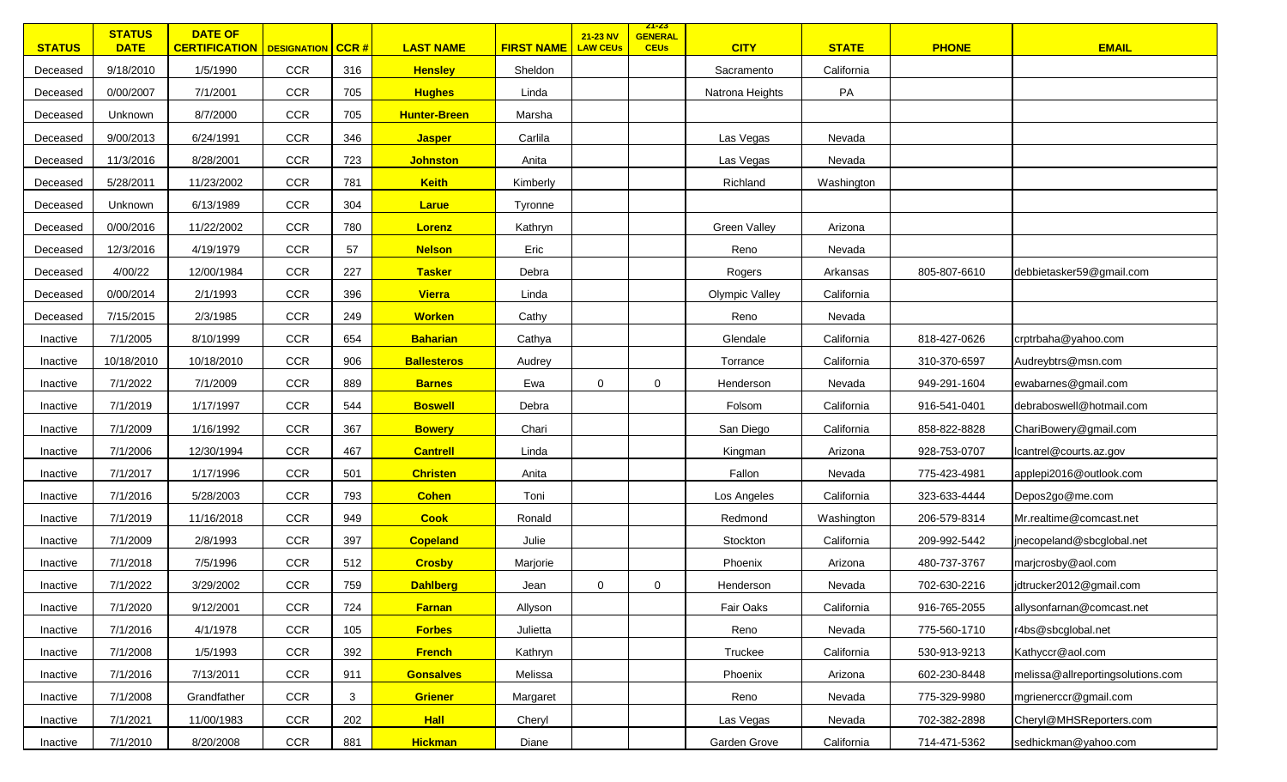| <b>STATUS</b> | <b>STATUS</b><br><b>DATE</b> | <b>DATE OF</b><br><b>CERTIFICATION</b>   DESIGNATION   CCR # |            |     | <b>LAST NAME</b>    | <b>FIRST NAME</b> | 21-23 NV<br><b>LAW CEUs</b> | <u> 21-23 </u><br><b>GENERAL</b><br><b>CEUs</b> | <b>CITY</b>           | <b>STATE</b> | <b>PHONE</b> | <b>EMAIL</b>                      |
|---------------|------------------------------|--------------------------------------------------------------|------------|-----|---------------------|-------------------|-----------------------------|-------------------------------------------------|-----------------------|--------------|--------------|-----------------------------------|
| Deceased      | 9/18/2010                    | 1/5/1990                                                     | <b>CCR</b> | 316 | <b>Hensley</b>      | Sheldon           |                             |                                                 | Sacramento            | California   |              |                                   |
| Deceased      | 0/00/2007                    | 7/1/2001                                                     | <b>CCR</b> | 705 | <b>Hughes</b>       | Linda             |                             |                                                 | Natrona Heights       | PA           |              |                                   |
| Deceased      | Unknown                      | 8/7/2000                                                     | <b>CCR</b> | 705 | <b>Hunter-Breen</b> | Marsha            |                             |                                                 |                       |              |              |                                   |
| Deceased      | 9/00/2013                    | 6/24/1991                                                    | <b>CCR</b> | 346 | <b>Jasper</b>       | Carlila           |                             |                                                 | Las Vegas             | Nevada       |              |                                   |
| Deceased      | 11/3/2016                    | 8/28/2001                                                    | <b>CCR</b> | 723 | <b>Johnston</b>     | Anita             |                             |                                                 | Las Vegas             | Nevada       |              |                                   |
| Deceased      | 5/28/2011                    | 11/23/2002                                                   | <b>CCR</b> | 781 | <b>Keith</b>        | Kimberly          |                             |                                                 | Richland              | Washington   |              |                                   |
| Deceased      | Unknown                      | 6/13/1989                                                    | <b>CCR</b> | 304 | Larue               | Tyronne           |                             |                                                 |                       |              |              |                                   |
| Deceased      | 0/00/2016                    | 11/22/2002                                                   | <b>CCR</b> | 780 | Lorenz              | Kathryn           |                             |                                                 | <b>Green Valley</b>   | Arizona      |              |                                   |
| Deceased      | 12/3/2016                    | 4/19/1979                                                    | <b>CCR</b> | 57  | <b>Nelson</b>       | Eric              |                             |                                                 | Reno                  | Nevada       |              |                                   |
| Deceased      | 4/00/22                      | 12/00/1984                                                   | <b>CCR</b> | 227 | <b>Tasker</b>       | Debra             |                             |                                                 | Rogers                | Arkansas     | 805-807-6610 | debbietasker59@gmail.com          |
| Deceased      | 0/00/2014                    | 2/1/1993                                                     | <b>CCR</b> | 396 | <b>Vierra</b>       | Linda             |                             |                                                 | <b>Olympic Valley</b> | California   |              |                                   |
| Deceased      | 7/15/2015                    | 2/3/1985                                                     | <b>CCR</b> | 249 | <b>Worken</b>       | Cathy             |                             |                                                 | Reno                  | Nevada       |              |                                   |
| Inactive      | 7/1/2005                     | 8/10/1999                                                    | <b>CCR</b> | 654 | <b>Baharian</b>     | Cathya            |                             |                                                 | Glendale              | California   | 818-427-0626 | crptrbaha@yahoo.com               |
| Inactive      | 10/18/2010                   | 10/18/2010                                                   | <b>CCR</b> | 906 | <b>Ballesteros</b>  | Audrey            |                             |                                                 | Torrance              | California   | 310-370-6597 | Audreybtrs@msn.com                |
| Inactive      | 7/1/2022                     | 7/1/2009                                                     | <b>CCR</b> | 889 | <b>Barnes</b>       | Ewa               | $\mathbf 0$                 | $\mathbf 0$                                     | Henderson             | Nevada       | 949-291-1604 | ewabarnes@gmail.com               |
| Inactive      | 7/1/2019                     | 1/17/1997                                                    | <b>CCR</b> | 544 | <b>Boswell</b>      | Debra             |                             |                                                 | Folsom                | California   | 916-541-0401 | debraboswell@hotmail.com          |
| Inactive      | 7/1/2009                     | 1/16/1992                                                    | <b>CCR</b> | 367 | <b>Bowery</b>       | Chari             |                             |                                                 | San Diego             | California   | 858-822-8828 | ChariBowery@gmail.com             |
| Inactive      | 7/1/2006                     | 12/30/1994                                                   | <b>CCR</b> | 467 | <b>Cantrell</b>     | Linda             |                             |                                                 | Kingman               | Arizona      | 928-753-0707 | lcantrel@courts.az.gov            |
| Inactive      | 7/1/2017                     | 1/17/1996                                                    | <b>CCR</b> | 501 | <b>Christen</b>     | Anita             |                             |                                                 | Fallon                | Nevada       | 775-423-4981 | applepi2016@outlook.com           |
| Inactive      | 7/1/2016                     | 5/28/2003                                                    | <b>CCR</b> | 793 | <b>Cohen</b>        | Toni              |                             |                                                 | Los Angeles           | California   | 323-633-4444 | Depos2go@me.com                   |
| Inactive      | 7/1/2019                     | 11/16/2018                                                   | <b>CCR</b> | 949 | <b>Cook</b>         | Ronald            |                             |                                                 | Redmond               | Washington   | 206-579-8314 | Mr.realtime@comcast.net           |
| Inactive      | 7/1/2009                     | 2/8/1993                                                     | <b>CCR</b> | 397 | <b>Copeland</b>     | Julie             |                             |                                                 | Stockton              | California   | 209-992-5442 | jnecopeland@sbcglobal.net         |
| Inactive      | 7/1/2018                     | 7/5/1996                                                     | <b>CCR</b> | 512 | <b>Crosby</b>       | Marjorie          |                             |                                                 | Phoenix               | Arizona      | 480-737-3767 | marjcrosby@aol.com                |
| Inactive      | 7/1/2022                     | 3/29/2002                                                    | <b>CCR</b> | 759 | <b>Dahlberg</b>     | Jean              | 0                           | 0                                               | Henderson             | Nevada       | 702-630-2216 | jdtrucker2012@gmail.com           |
| Inactive      | 7/1/2020                     | 9/12/2001                                                    | <b>CCR</b> | 724 | <b>Farnan</b>       | Allyson           |                             |                                                 | Fair Oaks             | California   | 916-765-2055 | allysonfarnan@comcast.net         |
| Inactive      | 7/1/2016                     | 4/1/1978                                                     | CCR        | 105 | <b>Forbes</b>       | Julietta          |                             |                                                 | Reno                  | Nevada       | 775-560-1710 | r4bs@sbcglobal.net                |
| Inactive      | 7/1/2008                     | 1/5/1993                                                     | <b>CCR</b> | 392 | <b>French</b>       | Kathryn           |                             |                                                 | Truckee               | California   | 530-913-9213 | Kathyccr@aol.com                  |
| Inactive      | 7/1/2016                     | 7/13/2011                                                    | <b>CCR</b> | 911 | <b>Gonsalves</b>    | Melissa           |                             |                                                 | Phoenix               | Arizona      | 602-230-8448 | melissa@allreportingsolutions.com |
| Inactive      | 7/1/2008                     | Grandfather                                                  | CCR        | 3   | Griener             | Margaret          |                             |                                                 | Reno                  | Nevada       | 775-329-9980 | mgrienerccr@gmail.com             |
| Inactive      | 7/1/2021                     | 11/00/1983                                                   | CCR        | 202 | <b>Hall</b>         | Cheryl            |                             |                                                 | Las Vegas             | Nevada       | 702-382-2898 | Cheryl@MHSReporters.com           |
| Inactive      | 7/1/2010                     | 8/20/2008                                                    | CCR        | 881 | <b>Hickman</b>      | Diane             |                             |                                                 | Garden Grove          | California   | 714-471-5362 | sedhickman@yahoo.com              |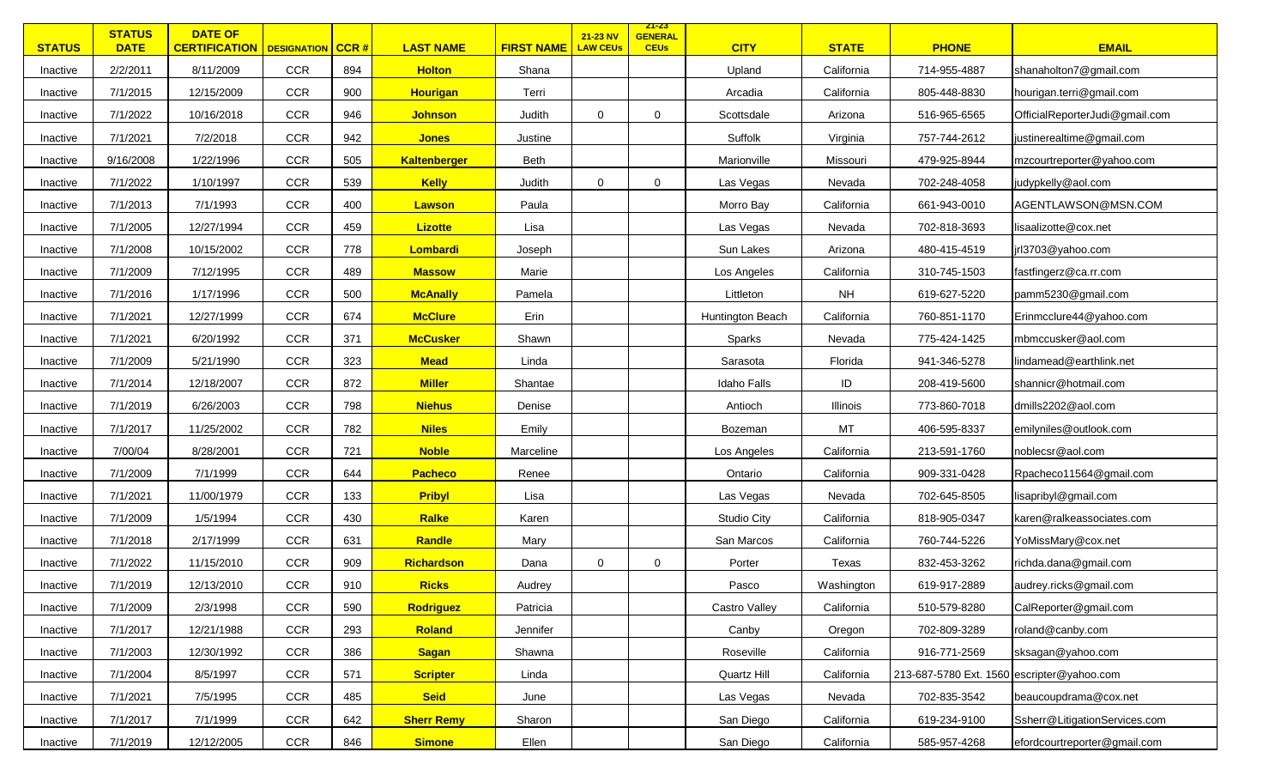| <b>STATUS</b> | <b>STATUS</b><br><b>DATE</b> | <b>DATE OF</b><br><b>CERTIFICATION   DESIGNATION   CCR #</b> |            |     | <b>LAST NAME</b>    | <b>FIRST NAME</b> | 21-23 NV<br><b>LAW CEUs</b> | <u>ZT-ZS</u><br><b>GENERAL</b><br><b>CEUs</b> | <b>CITY</b>        | <b>STATE</b> | <b>PHONE</b>                               | <b>EMAIL</b>                   |
|---------------|------------------------------|--------------------------------------------------------------|------------|-----|---------------------|-------------------|-----------------------------|-----------------------------------------------|--------------------|--------------|--------------------------------------------|--------------------------------|
| Inactive      | 2/2/2011                     | 8/11/2009                                                    | <b>CCR</b> | 894 | <b>Holton</b>       | Shana             |                             |                                               | Upland             | California   | 714-955-4887                               | shanaholton7@gmail.com         |
| Inactive      | 7/1/2015                     | 12/15/2009                                                   | <b>CCR</b> | 900 | <b>Hourigan</b>     | Terri             |                             |                                               | Arcadia            | California   | 805-448-8830                               | hourigan.terri@gmail.com       |
| Inactive      | 7/1/2022                     | 10/16/2018                                                   | <b>CCR</b> | 946 | <b>Johnson</b>      | Judith            | $\mathbf 0$                 | $\mathbf 0$                                   | Scottsdale         | Arizona      | 516-965-6565                               | OfficialReporterJudi@gmail.com |
| Inactive      | 7/1/2021                     | 7/2/2018                                                     | <b>CCR</b> | 942 | <b>Jones</b>        | Justine           |                             |                                               | Suffolk            | Virginia     | 757-744-2612                               | justinerealtime@gmail.com      |
| Inactive      | 9/16/2008                    | 1/22/1996                                                    | CCR        | 505 | <b>Kaltenberger</b> | Beth              |                             |                                               | Marionville        | Missouri     | 479-925-8944                               | mzcourtreporter@yahoo.com      |
| Inactive      | 7/1/2022                     | 1/10/1997                                                    | <b>CCR</b> | 539 | <b>Kelly</b>        | Judith            | $\mathbf 0$                 | $\mathbf 0$                                   | Las Vegas          | Nevada       | 702-248-4058                               | judypkelly@aol.com             |
| Inactive      | 7/1/2013                     | 7/1/1993                                                     | <b>CCR</b> | 400 | <b>Lawson</b>       | Paula             |                             |                                               | Morro Bay          | California   | 661-943-0010                               | AGENTLAWSON@MSN.COM            |
| Inactive      | 7/1/2005                     | 12/27/1994                                                   | <b>CCR</b> | 459 | <b>Lizotte</b>      | Lisa              |                             |                                               | Las Vegas          | Nevada       | 702-818-3693                               | lisaalizotte@cox.net           |
| Inactive      | 7/1/2008                     | 10/15/2002                                                   | <b>CCR</b> | 778 | Lombardi            | Joseph            |                             |                                               | Sun Lakes          | Arizona      | 480-415-4519                               | jrl3703@yahoo.com              |
| Inactive      | 7/1/2009                     | 7/12/1995                                                    | <b>CCR</b> | 489 | <b>Massow</b>       | Marie             |                             |                                               | Los Angeles        | California   | 310-745-1503                               | fastfingerz@ca.rr.com          |
| Inactive      | 7/1/2016                     | 1/17/1996                                                    | <b>CCR</b> | 500 | <b>McAnally</b>     | Pamela            |                             |                                               | Littleton          | <b>NH</b>    | 619-627-5220                               | pamm5230@gmail.com             |
| Inactive      | 7/1/2021                     | 12/27/1999                                                   | <b>CCR</b> | 674 | <b>McClure</b>      | Erin              |                             |                                               | Huntington Beach   | California   | 760-851-1170                               | Erinmcclure44@yahoo.com        |
| Inactive      | 7/1/2021                     | 6/20/1992                                                    | <b>CCR</b> | 371 | <b>McCusker</b>     | Shawn             |                             |                                               | Sparks             | Nevada       | 775-424-1425                               | mbmccusker@aol.com             |
| Inactive      | 7/1/2009                     | 5/21/1990                                                    | <b>CCR</b> | 323 | <b>Mead</b>         | Linda             |                             |                                               | Sarasota           | Florida      | 941-346-5278                               | lindamead@earthlink.net        |
| Inactive      | 7/1/2014                     | 12/18/2007                                                   | <b>CCR</b> | 872 | <b>Miller</b>       | Shantae           |                             |                                               | <b>Idaho Falls</b> | ID           | 208-419-5600                               | shannicr@hotmail.com           |
| Inactive      | 7/1/2019                     | 6/26/2003                                                    | <b>CCR</b> | 798 | <b>Niehus</b>       | Denise            |                             |                                               | Antioch            | Illinois     | 773-860-7018                               | dmills2202@aol.com             |
| Inactive      | 7/1/2017                     | 11/25/2002                                                   | <b>CCR</b> | 782 | <b>Niles</b>        | Emily             |                             |                                               | Bozeman            | MT           | 406-595-8337                               | emilyniles@outlook.com         |
| Inactive      | 7/00/04                      | 8/28/2001                                                    | <b>CCR</b> | 721 | <b>Noble</b>        | Marceline         |                             |                                               | Los Angeles        | California   | 213-591-1760                               | noblecsr@aol.com               |
| Inactive      | 7/1/2009                     | 7/1/1999                                                     | <b>CCR</b> | 644 | <b>Pacheco</b>      | Renee             |                             |                                               | Ontario            | California   | 909-331-0428                               | Rpacheco11564@gmail.com        |
| Inactive      | 7/1/2021                     | 11/00/1979                                                   | <b>CCR</b> | 133 | <b>Pribyl</b>       | Lisa              |                             |                                               | Las Vegas          | Nevada       | 702-645-8505                               | lisapribyl@gmail.com           |
| Inactive      | 7/1/2009                     | 1/5/1994                                                     | <b>CCR</b> | 430 | Ralke               | Karen             |                             |                                               | <b>Studio City</b> | California   | 818-905-0347                               | karen@ralkeassociates.com      |
| Inactive      | 7/1/2018                     | 2/17/1999                                                    | <b>CCR</b> | 631 | Randle              | Mary              |                             |                                               | San Marcos         | California   | 760-744-5226                               | YoMissMary@cox.net             |
| Inactive      | 7/1/2022                     | 11/15/2010                                                   | <b>CCR</b> | 909 | Richardson          | Dana              | $\mathbf 0$                 | $\mathbf 0$                                   | Porter             | Texas        | 832-453-3262                               | richda.dana@gmail.com          |
| Inactive      | 7/1/2019                     | 12/13/2010                                                   | <b>CCR</b> | 910 | <b>Ricks</b>        | Audrey            |                             |                                               | Pasco              | Washington   | 619-917-2889                               | audrey.ricks@gmail.com         |
| Inactive      | 7/1/2009                     | 2/3/1998                                                     | <b>CCR</b> | 590 | <b>Rodriguez</b>    | Patricia          |                             |                                               | Castro Valley      | California   | 510-579-8280                               | CalReporter@gmail.com          |
| Inactive      | 7/1/2017                     | 12/21/1988                                                   | CCR        | 293 | Roland              | Jennifer          |                             |                                               | Canby              | Oregon       | 702-809-3289                               | roland@canby.com               |
| Inactive      | 7/1/2003                     | 12/30/1992                                                   | <b>CCR</b> | 386 | <b>Sagan</b>        | Shawna            |                             |                                               | Roseville          | California   | 916-771-2569                               | sksagan@yahoo.com              |
| Inactive      | 7/1/2004                     | 8/5/1997                                                     | <b>CCR</b> | 571 | <b>Scripter</b>     | Linda             |                             |                                               | Quartz Hill        | California   | 213-687-5780 Ext. 1560 escripter@yahoo.com |                                |
| Inactive      | 7/1/2021                     | 7/5/1995                                                     | CCR        | 485 | <b>Seid</b>         | June              |                             |                                               | Las Vegas          | Nevada       | 702-835-3542                               | beaucoupdrama@cox.net          |
| Inactive      | 7/1/2017                     | 7/1/1999                                                     | <b>CCR</b> | 642 | <b>Sherr Remy</b>   | Sharon            |                             |                                               | San Diego          | California   | 619-234-9100                               | Ssherr@LitigationServices.com  |
| Inactive      | 7/1/2019                     | 12/12/2005                                                   | CCR        | 846 | <b>Simone</b>       | Ellen             |                             |                                               | San Diego          | California   | 585-957-4268                               | efordcourtreporter@gmail.com   |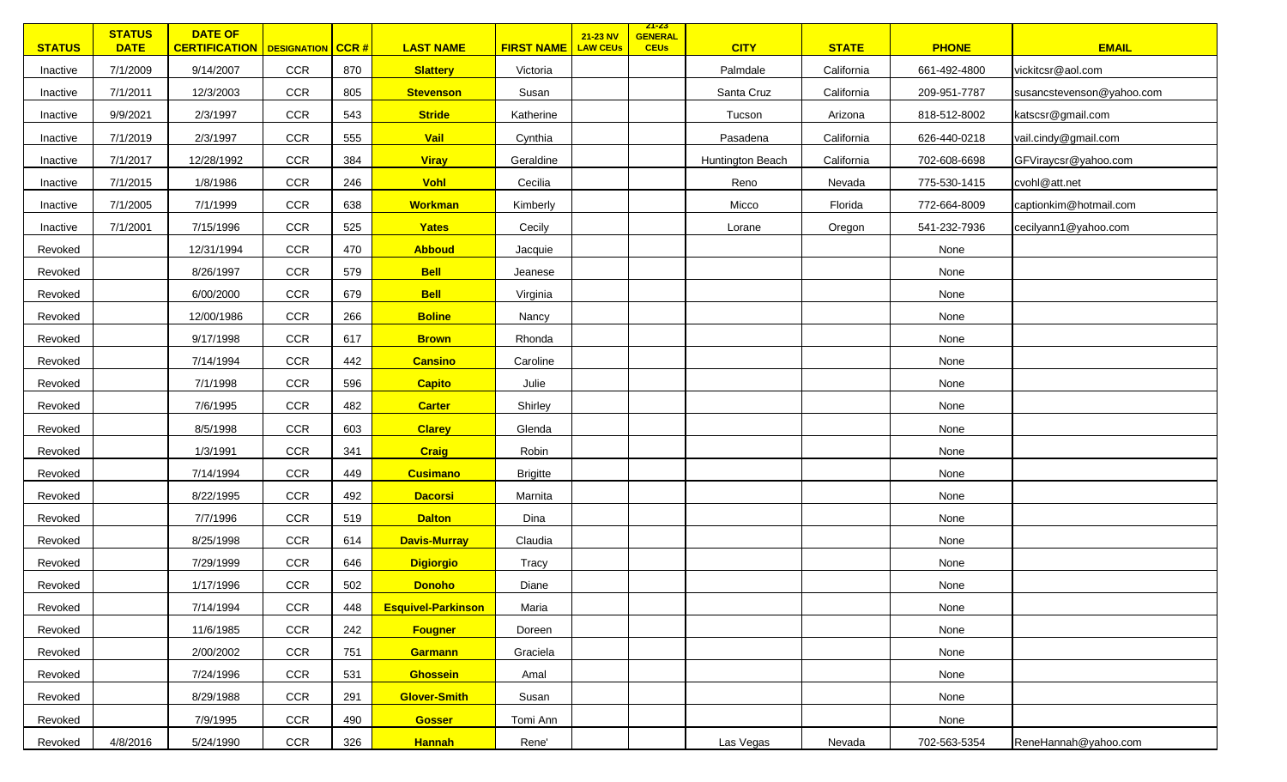| <b>STATUS</b> | <b>STATUS</b><br><b>DATE</b> | <b>DATE OF</b><br><b>CERTIFICATION</b>   DESIGNATION   CCR # |            |     | <b>LAST NAME</b>          | <b>FIRST NAME</b> | 21-23 NV<br><b>LAW CEUS</b> | <mark>Z1-23</mark><br><b>GENERAL</b><br><b>CEUs</b> | <b>CITY</b>      | <b>STATE</b> | <b>PHONE</b> | <b>EMAIL</b>              |
|---------------|------------------------------|--------------------------------------------------------------|------------|-----|---------------------------|-------------------|-----------------------------|-----------------------------------------------------|------------------|--------------|--------------|---------------------------|
| Inactive      | 7/1/2009                     | 9/14/2007                                                    | <b>CCR</b> | 870 | <b>Slattery</b>           | Victoria          |                             |                                                     | Palmdale         | California   | 661-492-4800 | vickitcsr@aol.com         |
| Inactive      | 7/1/2011                     | 12/3/2003                                                    | CCR        | 805 | <b>Stevenson</b>          | Susan             |                             |                                                     | Santa Cruz       | California   | 209-951-7787 | susancstevenson@yahoo.com |
| Inactive      | 9/9/2021                     | 2/3/1997                                                     | CCR        | 543 | <b>Stride</b>             | Katherine         |                             |                                                     | Tucson           | Arizona      | 818-512-8002 | katscsr@gmail.com         |
| Inactive      | 7/1/2019                     | 2/3/1997                                                     | CCR        | 555 | Vail                      | Cynthia           |                             |                                                     | Pasadena         | California   | 626-440-0218 | vail.cindy@gmail.com      |
| Inactive      | 7/1/2017                     | 12/28/1992                                                   | <b>CCR</b> | 384 | <b>Viray</b>              | Geraldine         |                             |                                                     | Huntington Beach | California   | 702-608-6698 | GFViraycsr@yahoo.com      |
| Inactive      | 7/1/2015                     | 1/8/1986                                                     | <b>CCR</b> | 246 | Vohl                      | Cecilia           |                             |                                                     | Reno             | Nevada       | 775-530-1415 | cvohl@att.net             |
| Inactive      | 7/1/2005                     | 7/1/1999                                                     | CCR        | 638 | <b>Workman</b>            | Kimberly          |                             |                                                     | Micco            | Florida      | 772-664-8009 | captionkim@hotmail.com    |
| Inactive      | 7/1/2001                     | 7/15/1996                                                    | CCR        | 525 | Yates                     | Cecily            |                             |                                                     | Lorane           | Oregon       | 541-232-7936 | cecilyann1@yahoo.com      |
| Revoked       |                              | 12/31/1994                                                   | CCR        | 470 | <b>Abboud</b>             | Jacquie           |                             |                                                     |                  |              | None         |                           |
| Revoked       |                              | 8/26/1997                                                    | <b>CCR</b> | 579 | <b>Bell</b>               | Jeanese           |                             |                                                     |                  |              | None         |                           |
| Revoked       |                              | 6/00/2000                                                    | CCR        | 679 | <b>Bell</b>               | Virginia          |                             |                                                     |                  |              | None         |                           |
| Revoked       |                              | 12/00/1986                                                   | CCR        | 266 | <b>Boline</b>             | Nancy             |                             |                                                     |                  |              | None         |                           |
| Revoked       |                              | 9/17/1998                                                    | <b>CCR</b> | 617 | <b>Brown</b>              | Rhonda            |                             |                                                     |                  |              | None         |                           |
| Revoked       |                              | 7/14/1994                                                    | CCR        | 442 | <b>Cansino</b>            | Caroline          |                             |                                                     |                  |              | None         |                           |
| Revoked       |                              | 7/1/1998                                                     | CCR        | 596 | <b>Capito</b>             | Julie             |                             |                                                     |                  |              | None         |                           |
| Revoked       |                              | 7/6/1995                                                     | CCR        | 482 | <b>Carter</b>             | Shirley           |                             |                                                     |                  |              | None         |                           |
| Revoked       |                              | 8/5/1998                                                     | <b>CCR</b> | 603 | <b>Clarey</b>             | Glenda            |                             |                                                     |                  |              | None         |                           |
| Revoked       |                              | 1/3/1991                                                     | CCR        | 341 | <b>Craig</b>              | Robin             |                             |                                                     |                  |              | None         |                           |
| Revoked       |                              | 7/14/1994                                                    | CCR        | 449 | <b>Cusimano</b>           | <b>Brigitte</b>   |                             |                                                     |                  |              | None         |                           |
| Revoked       |                              | 8/22/1995                                                    | CCR        | 492 | <b>Dacorsi</b>            | Marnita           |                             |                                                     |                  |              | None         |                           |
| Revoked       |                              | 7/7/1996                                                     | <b>CCR</b> | 519 | <b>Dalton</b>             | Dina              |                             |                                                     |                  |              | None         |                           |
| Revoked       |                              | 8/25/1998                                                    | CCR        | 614 | <b>Davis-Murray</b>       | Claudia           |                             |                                                     |                  |              | None         |                           |
| Revoked       |                              | 7/29/1999                                                    | <b>CCR</b> | 646 | <b>Digiorgio</b>          | Tracy             |                             |                                                     |                  |              | None         |                           |
| Revoked       |                              | 1/17/1996                                                    | CCR        | 502 | <b>Donoho</b>             | Diane             |                             |                                                     |                  |              | None         |                           |
| Revoked       |                              | 7/14/1994                                                    | CCR        | 448 | <b>Esquivel-Parkinson</b> | Maria             |                             |                                                     |                  |              | None         |                           |
| Revoked       |                              | 11/6/1985                                                    | CCR        | 242 | <b>Fougner</b>            | Doreen            |                             |                                                     |                  |              | None         |                           |
| Revoked       |                              | 2/00/2002                                                    | CCR        | 751 | <b>Garmann</b>            | Graciela          |                             |                                                     |                  |              | None         |                           |
| Revoked       |                              | 7/24/1996                                                    | CCR        | 531 | <b>Ghossein</b>           | Amal              |                             |                                                     |                  |              | None         |                           |
| Revoked       |                              | 8/29/1988                                                    | <b>CCR</b> | 291 | <b>Glover-Smith</b>       | Susan             |                             |                                                     |                  |              | None         |                           |
| Revoked       |                              | 7/9/1995                                                     | CCR        | 490 | <b>Gosser</b>             | Tomi Ann          |                             |                                                     |                  |              | None         |                           |
| Revoked       | 4/8/2016                     | 5/24/1990                                                    | CCR        | 326 | <b>Hannah</b>             | Rene'             |                             |                                                     | Las Vegas        | Nevada       | 702-563-5354 | ReneHannah@yahoo.com      |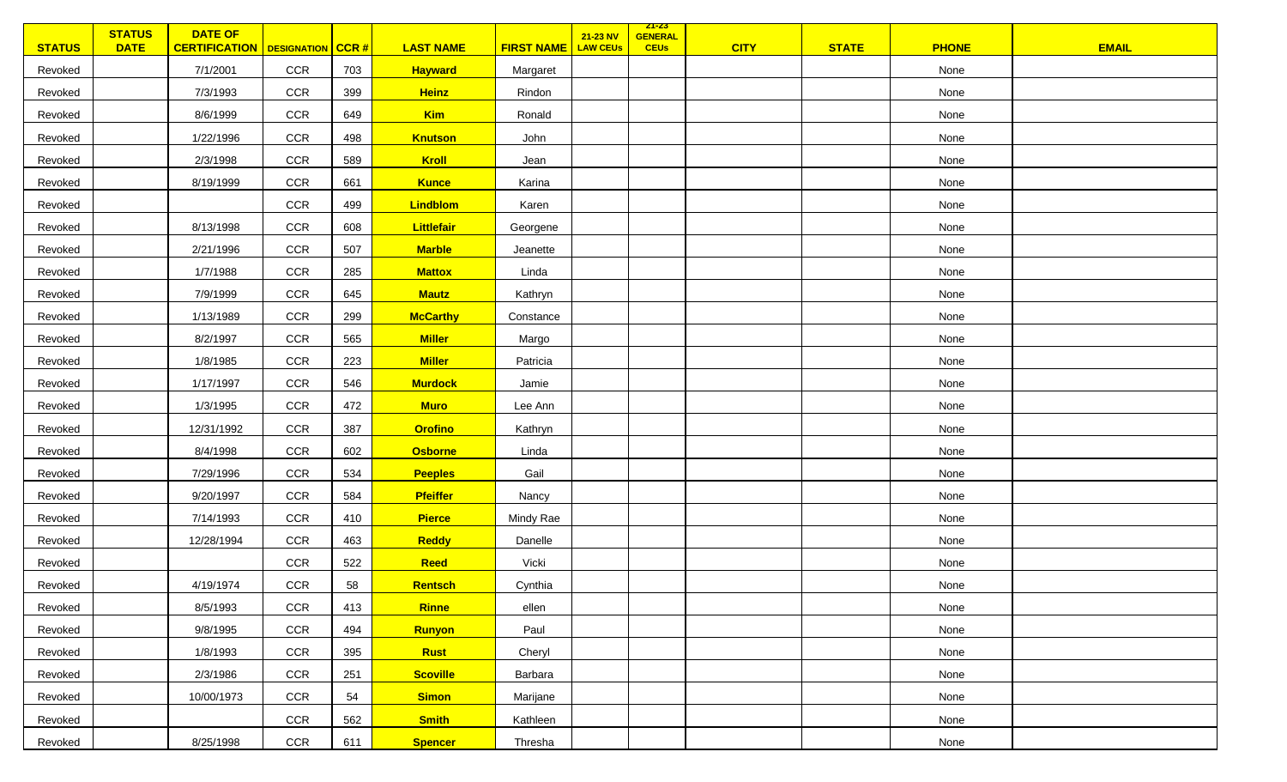| <b>STATUS</b> | <b>STATUS</b><br><b>DATE</b> | <b>DATE OF</b><br><b>CERTIFICATION</b>   DESIGNATION   CCR # |            |     | <b>LAST NAME</b> | <b>FIRST NAME</b> | 21-23 NV<br><b>LAW CEUS</b> | <u> 21-23 </u><br><b>GENERAL</b><br><b>CEUs</b> | <b>CITY</b> | <b>STATE</b> | <b>PHONE</b> | <b>EMAIL</b> |
|---------------|------------------------------|--------------------------------------------------------------|------------|-----|------------------|-------------------|-----------------------------|-------------------------------------------------|-------------|--------------|--------------|--------------|
| Revoked       |                              | 7/1/2001                                                     | CCR        | 703 | <b>Hayward</b>   | Margaret          |                             |                                                 |             |              | None         |              |
| Revoked       |                              | 7/3/1993                                                     | <b>CCR</b> | 399 | <b>Heinz</b>     | Rindon            |                             |                                                 |             |              | None         |              |
| Revoked       |                              | 8/6/1999                                                     | <b>CCR</b> | 649 | <b>Kim</b>       | Ronald            |                             |                                                 |             |              | None         |              |
| Revoked       |                              | 1/22/1996                                                    | <b>CCR</b> | 498 | <b>Knutson</b>   | John              |                             |                                                 |             |              | None         |              |
| Revoked       |                              | 2/3/1998                                                     | <b>CCR</b> | 589 | Kroll            | Jean              |                             |                                                 |             |              | None         |              |
| Revoked       |                              | 8/19/1999                                                    | CCR        | 661 | <b>Kunce</b>     | Karina            |                             |                                                 |             |              | None         |              |
| Revoked       |                              |                                                              | CCR        | 499 | Lindblom         | Karen             |                             |                                                 |             |              | None         |              |
| Revoked       |                              | 8/13/1998                                                    | CCR        | 608 | Littlefair       | Georgene          |                             |                                                 |             |              | None         |              |
| Revoked       |                              | 2/21/1996                                                    | CCR        | 507 | <b>Marble</b>    | Jeanette          |                             |                                                 |             |              | None         |              |
| Revoked       |                              | 1/7/1988                                                     | <b>CCR</b> | 285 | <b>Mattox</b>    | Linda             |                             |                                                 |             |              | None         |              |
| Revoked       |                              | 7/9/1999                                                     | <b>CCR</b> | 645 | <b>Mautz</b>     | Kathryn           |                             |                                                 |             |              | None         |              |
| Revoked       |                              | 1/13/1989                                                    | CCR        | 299 | <b>McCarthy</b>  | Constance         |                             |                                                 |             |              | None         |              |
| Revoked       |                              | 8/2/1997                                                     | CCR        | 565 | <b>Miller</b>    | Margo             |                             |                                                 |             |              | None         |              |
| Revoked       |                              | 1/8/1985                                                     | <b>CCR</b> | 223 | <b>Miller</b>    | Patricia          |                             |                                                 |             |              | None         |              |
| Revoked       |                              | 1/17/1997                                                    | <b>CCR</b> | 546 | <b>Murdock</b>   | Jamie             |                             |                                                 |             |              | None         |              |
| Revoked       |                              | 1/3/1995                                                     | <b>CCR</b> | 472 | <b>Muro</b>      | Lee Ann           |                             |                                                 |             |              | None         |              |
| Revoked       |                              | 12/31/1992                                                   | <b>CCR</b> | 387 | <b>Orofino</b>   | Kathryn           |                             |                                                 |             |              | None         |              |
| Revoked       |                              | 8/4/1998                                                     | <b>CCR</b> | 602 | <b>Osborne</b>   | Linda             |                             |                                                 |             |              | None         |              |
| Revoked       |                              | 7/29/1996                                                    | CCR        | 534 | <b>Peeples</b>   | Gail              |                             |                                                 |             |              | None         |              |
| Revoked       |                              | 9/20/1997                                                    | CCR        | 584 | <b>Pfeiffer</b>  | Nancy             |                             |                                                 |             |              | None         |              |
| Revoked       |                              | 7/14/1993                                                    | CCR        | 410 | <b>Pierce</b>    | Mindy Rae         |                             |                                                 |             |              | None         |              |
| Revoked       |                              | 12/28/1994                                                   | <b>CCR</b> | 463 | <b>Reddy</b>     | Danelle           |                             |                                                 |             |              | None         |              |
| Revoked       |                              |                                                              | CCR        | 522 | Reed             | Vicki             |                             |                                                 |             |              | None         |              |
| Revoked       |                              | 4/19/1974                                                    | <b>CCR</b> | 58  | <b>Rentsch</b>   | Cynthia           |                             |                                                 |             |              | None         |              |
| Revoked       |                              | 8/5/1993                                                     | CCR        | 413 | <b>Rinne</b>     | ellen             |                             |                                                 |             |              | None         |              |
| Revoked       |                              | 9/8/1995                                                     | CCR        | 494 | Runyon           | Paul              |                             |                                                 |             |              | None         |              |
| Revoked       |                              | 1/8/1993                                                     | CCR        | 395 | <b>Rust</b>      | Cheryl            |                             |                                                 |             |              | None         |              |
| Revoked       |                              | 2/3/1986                                                     | CCR        | 251 | <b>Scoville</b>  | Barbara           |                             |                                                 |             |              | None         |              |
| Revoked       |                              | 10/00/1973                                                   | CCR        | 54  | <b>Simon</b>     | Marijane          |                             |                                                 |             |              | None         |              |
| Revoked       |                              |                                                              | CCR        | 562 | <b>Smith</b>     | Kathleen          |                             |                                                 |             |              | None         |              |
| Revoked       |                              | 8/25/1998                                                    | CCR        | 611 | <b>Spencer</b>   | Thresha           |                             |                                                 |             |              | None         |              |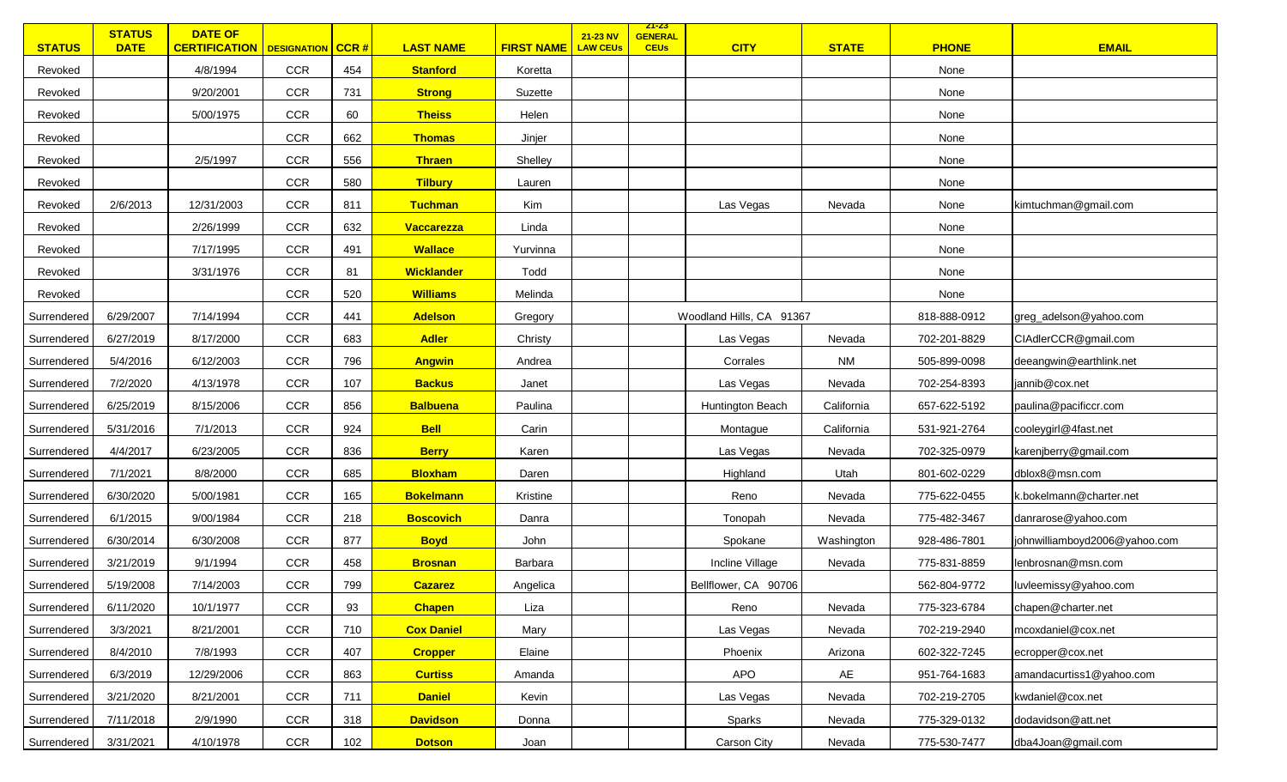| <b>STATUS</b> | <b>STATUS</b><br><b>DATE</b> | <b>DATE OF</b><br><b>CERTIFICATION</b> | <b>DESIGNATION</b> | $ $ CCR # | <b>LAST NAME</b>  | <b>FIRST NAME</b> | 21-23 NV<br><b>LAW CEUs</b> | <u> 21-23 </u><br><b>GENERAL</b><br><b>CEUs</b> | <b>CITY</b>              | <b>STATE</b> | <b>PHONE</b> | <b>EMAIL</b>                  |
|---------------|------------------------------|----------------------------------------|--------------------|-----------|-------------------|-------------------|-----------------------------|-------------------------------------------------|--------------------------|--------------|--------------|-------------------------------|
| Revoked       |                              | 4/8/1994                               | <b>CCR</b>         | 454       | <b>Stanford</b>   | Koretta           |                             |                                                 |                          |              | None         |                               |
| Revoked       |                              | 9/20/2001                              | CCR                | 731       | <b>Strong</b>     | Suzette           |                             |                                                 |                          |              | None         |                               |
| Revoked       |                              | 5/00/1975                              | <b>CCR</b>         | 60        | <b>Theiss</b>     | Helen             |                             |                                                 |                          |              | None         |                               |
| Revoked       |                              |                                        | <b>CCR</b>         | 662       | <b>Thomas</b>     | Jinjer            |                             |                                                 |                          |              | None         |                               |
| Revoked       |                              | 2/5/1997                               | <b>CCR</b>         | 556       | <b>Thraen</b>     | Shelley           |                             |                                                 |                          |              | None         |                               |
| Revoked       |                              |                                        | <b>CCR</b>         | 580       | <b>Tilbury</b>    | Lauren            |                             |                                                 |                          |              | None         |                               |
| Revoked       | 2/6/2013                     | 12/31/2003                             | <b>CCR</b>         | 811       | <b>Tuchman</b>    | Kim               |                             |                                                 | Las Vegas                | Nevada       | None         | kimtuchman@gmail.com          |
| Revoked       |                              | 2/26/1999                              | <b>CCR</b>         | 632       | Vaccarezza        | Linda             |                             |                                                 |                          |              | None         |                               |
| Revoked       |                              | 7/17/1995                              | <b>CCR</b>         | 491       | <b>Wallace</b>    | Yurvinna          |                             |                                                 |                          |              | None         |                               |
| Revoked       |                              | 3/31/1976                              | <b>CCR</b>         | 81        | <b>Wicklander</b> | Todd              |                             |                                                 |                          |              | None         |                               |
| Revoked       |                              |                                        | <b>CCR</b>         | 520       | <b>Williams</b>   | Melinda           |                             |                                                 |                          |              | None         |                               |
| Surrendered   | 6/29/2007                    | 7/14/1994                              | <b>CCR</b>         | 441       | <b>Adelson</b>    | Gregory           |                             |                                                 | Woodland Hills, CA 91367 |              | 818-888-0912 | greg_adelson@yahoo.com        |
| Surrendered   | 6/27/2019                    | 8/17/2000                              | <b>CCR</b>         | 683       | <b>Adler</b>      | Christy           |                             |                                                 | Las Vegas                | Nevada       | 702-201-8829 | CIAdlerCCR@gmail.com          |
| Surrendered   | 5/4/2016                     | 6/12/2003                              | <b>CCR</b>         | 796       | <b>Angwin</b>     | Andrea            |                             |                                                 | Corrales                 | <b>NM</b>    | 505-899-0098 | deeangwin@earthlink.net       |
| Surrendered   | 7/2/2020                     | 4/13/1978                              | <b>CCR</b>         | 107       | <b>Backus</b>     | Janet             |                             |                                                 | Las Vegas                | Nevada       | 702-254-8393 | jannib@cox.net                |
| Surrendered   | 6/25/2019                    | 8/15/2006                              | <b>CCR</b>         | 856       | <b>Balbuena</b>   | Paulina           |                             |                                                 | Huntington Beach         | California   | 657-622-5192 | paulina@pacificcr.com         |
| Surrendered   | 5/31/2016                    | 7/1/2013                               | <b>CCR</b>         | 924       | <b>Bell</b>       | Carin             |                             |                                                 | Montague                 | California   | 531-921-2764 | cooleygirl@4fast.net          |
| Surrendered   | 4/4/2017                     | 6/23/2005                              | <b>CCR</b>         | 836       | <b>Berry</b>      | Karen             |                             |                                                 | Las Vegas                | Nevada       | 702-325-0979 | karenjberry@gmail.com         |
| Surrendered   | 7/1/2021                     | 8/8/2000                               | <b>CCR</b>         | 685       | <b>Bloxham</b>    | Daren             |                             |                                                 | Highland                 | Utah         | 801-602-0229 | dblox8@msn.com                |
| Surrendered   | 6/30/2020                    | 5/00/1981                              | <b>CCR</b>         | 165       | <b>Bokelmann</b>  | Kristine          |                             |                                                 | Reno                     | Nevada       | 775-622-0455 | k.bokelmann@charter.net       |
| Surrendered   | 6/1/2015                     | 9/00/1984                              | <b>CCR</b>         | 218       | <b>Boscovich</b>  | Danra             |                             |                                                 | Tonopah                  | Nevada       | 775-482-3467 | danrarose@yahoo.com           |
| Surrendered   | 6/30/2014                    | 6/30/2008                              | <b>CCR</b>         | 877       | <b>Boyd</b>       | John              |                             |                                                 | Spokane                  | Washington   | 928-486-7801 | johnwilliamboyd2006@yahoo.com |
| Surrendered   | 3/21/2019                    | 9/1/1994                               | CCR                | 458       | <b>Brosnan</b>    | Barbara           |                             |                                                 | Incline Village          | Nevada       | 775-831-8859 | lenbrosnan@msn.com            |
| Surrendered   | 5/19/2008                    | 7/14/2003                              | <b>CCR</b>         | 799       | <b>Cazarez</b>    | Angelica          |                             |                                                 | Bellflower, CA 90706     |              | 562-804-9772 | luvleemissy@yahoo.com         |
| Surrendered   | 6/11/2020                    | 10/1/1977                              | CCR                | 93        | <b>Chapen</b>     | Liza              |                             |                                                 | Reno                     | Nevada       | 775-323-6784 | chapen@charter.net            |
| Surrendered   | 3/3/2021                     | 8/21/2001                              | <b>CCR</b>         | 710       | <b>Cox Daniel</b> | Mary              |                             |                                                 | Las Vegas                | Nevada       | 702-219-2940 | mcoxdaniel@cox.net            |
| Surrendered   | 8/4/2010                     | 7/8/1993                               | <b>CCR</b>         | 407       | <b>Cropper</b>    | Elaine            |                             |                                                 | Phoenix                  | Arizona      | 602-322-7245 | ecropper@cox.net              |
| Surrendered   | 6/3/2019                     | 12/29/2006                             | <b>CCR</b>         | 863       | <b>Curtiss</b>    | Amanda            |                             |                                                 | <b>APO</b>               | AE           | 951-764-1683 | amandacurtiss1@yahoo.com      |
| Surrendered   | 3/21/2020                    | 8/21/2001                              | CCR                | 711       | <b>Daniel</b>     | Kevin             |                             |                                                 | Las Vegas                | Nevada       | 702-219-2705 | kwdaniel@cox.net              |
| Surrendered   | 7/11/2018                    | 2/9/1990                               | <b>CCR</b>         | 318       | <b>Davidson</b>   | Donna             |                             |                                                 | Sparks                   | Nevada       | 775-329-0132 | dodavidson@att.net            |
| Surrendered   | 3/31/2021                    | 4/10/1978                              | CCR                | 102       | <b>Dotson</b>     | Joan              |                             |                                                 | Carson City              | Nevada       | 775-530-7477 | dba4Joan@gmail.com            |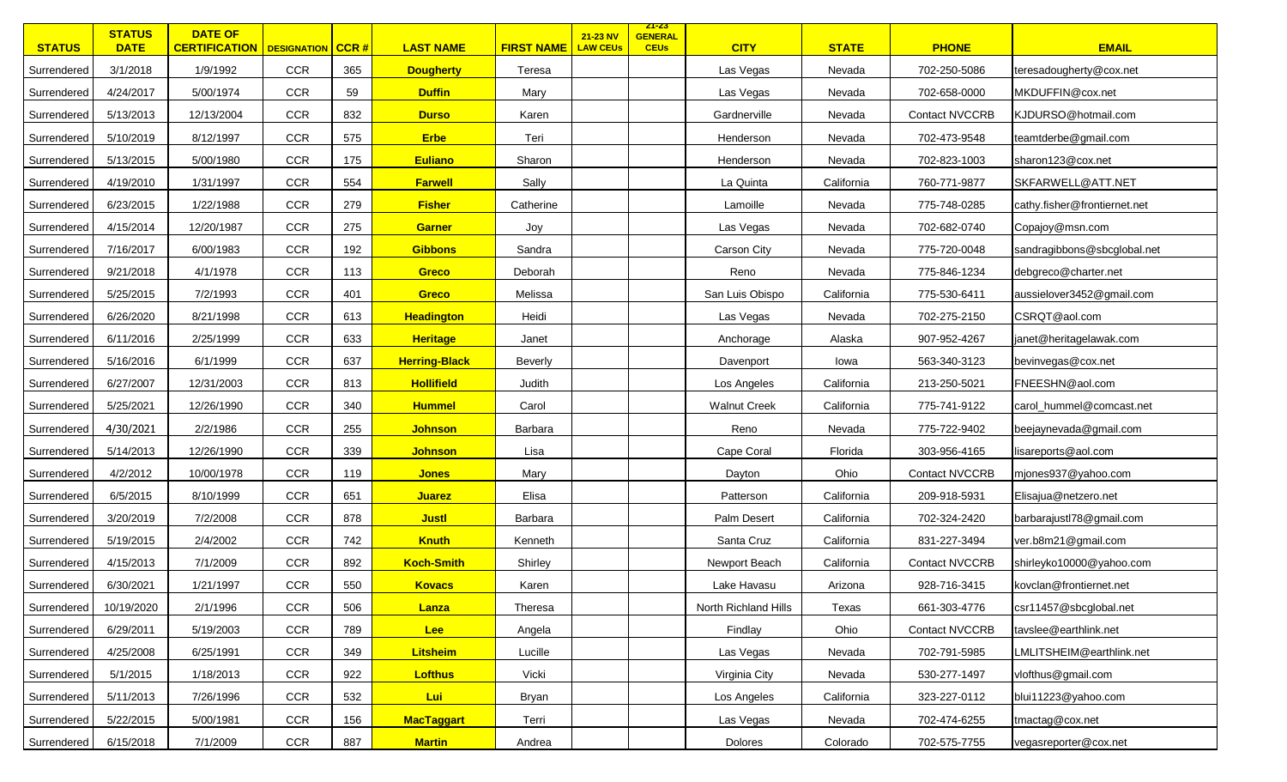| <b>STATUS</b> | <b>STATUS</b><br><b>DATE</b> | <b>DATE OF</b><br><b>CERTIFICATION</b>   DESIGNATION   CCR # |            |     | <b>LAST NAME</b>     | <b>FIRST NAME</b> | 21-23 NV<br><b>LAW CEUs</b> | <u>ZT-ZS</u><br><b>GENERAL</b><br><b>CEUs</b> | <b>CITY</b>          | <b>STATE</b> | <b>PHONE</b>          | <b>EMAIL</b>                 |
|---------------|------------------------------|--------------------------------------------------------------|------------|-----|----------------------|-------------------|-----------------------------|-----------------------------------------------|----------------------|--------------|-----------------------|------------------------------|
| Surrendered   | 3/1/2018                     | 1/9/1992                                                     | <b>CCR</b> | 365 | <b>Dougherty</b>     | Teresa            |                             |                                               | Las Vegas            | Nevada       | 702-250-5086          | teresadougherty@cox.net      |
| Surrendered   | 4/24/2017                    | 5/00/1974                                                    | <b>CCR</b> | 59  | <b>Duffin</b>        | Mary              |                             |                                               | Las Vegas            | Nevada       | 702-658-0000          | MKDUFFIN@cox.net             |
| Surrendered   | 5/13/2013                    | 12/13/2004                                                   | <b>CCR</b> | 832 | <b>Durso</b>         | Karen             |                             |                                               | Gardnerville         | Nevada       | <b>Contact NVCCRB</b> | KJDURSO@hotmail.com          |
| Surrendered   | 5/10/2019                    | 8/12/1997                                                    | CCR        | 575 | <b>Erbe</b>          | Teri              |                             |                                               | Henderson            | Nevada       | 702-473-9548          | teamtderbe@gmail.com         |
| Surrendered   | 5/13/2015                    | 5/00/1980                                                    | CCR        | 175 | <b>Euliano</b>       | Sharon            |                             |                                               | Henderson            | Nevada       | 702-823-1003          | sharon123@cox.net            |
| Surrendered   | 4/19/2010                    | 1/31/1997                                                    | <b>CCR</b> | 554 | <b>Farwell</b>       | Sally             |                             |                                               | La Quinta            | California   | 760-771-9877          | SKFARWELL@ATT.NET            |
| Surrendered   | 6/23/2015                    | 1/22/1988                                                    | <b>CCR</b> | 279 | <b>Fisher</b>        | Catherine         |                             |                                               | Lamoille             | Nevada       | 775-748-0285          | cathy.fisher@frontiernet.net |
| Surrendered   | 4/15/2014                    | 12/20/1987                                                   | <b>CCR</b> | 275 | Garner               | Joy               |                             |                                               | Las Vegas            | Nevada       | 702-682-0740          | Copajoy@msn.com              |
| Surrendered   | 7/16/2017                    | 6/00/1983                                                    | <b>CCR</b> | 192 | <b>Gibbons</b>       | Sandra            |                             |                                               | Carson City          | Nevada       | 775-720-0048          | sandragibbons@sbcglobal.net  |
| Surrendered   | 9/21/2018                    | 4/1/1978                                                     | <b>CCR</b> | 113 | <b>Greco</b>         | Deborah           |                             |                                               | Reno                 | Nevada       | 775-846-1234          | debgreco@charter.net         |
| Surrendered   | 5/25/2015                    | 7/2/1993                                                     | <b>CCR</b> | 401 | <b>Greco</b>         | Melissa           |                             |                                               | San Luis Obispo      | California   | 775-530-6411          | aussielover3452@gmail.com    |
| Surrendered   | 6/26/2020                    | 8/21/1998                                                    | <b>CCR</b> | 613 | <b>Headington</b>    | Heidi             |                             |                                               | Las Vegas            | Nevada       | 702-275-2150          | CSRQT@aol.com                |
| Surrendered   | 6/11/2016                    | 2/25/1999                                                    | <b>CCR</b> | 633 | <b>Heritage</b>      | Janet             |                             |                                               | Anchorage            | Alaska       | 907-952-4267          | janet@heritagelawak.com      |
| Surrendered   | 5/16/2016                    | 6/1/1999                                                     | <b>CCR</b> | 637 | <b>Herring-Black</b> | <b>Beverly</b>    |                             |                                               | Davenport            | lowa         | 563-340-3123          | bevinvegas@cox.net           |
| Surrendered   | 6/27/2007                    | 12/31/2003                                                   | <b>CCR</b> | 813 | <b>Hollifield</b>    | Judith            |                             |                                               | Los Angeles          | California   | 213-250-5021          | FNEESHN@aol.com              |
| Surrendered   | 5/25/2021                    | 12/26/1990                                                   | <b>CCR</b> | 340 | <b>Hummel</b>        | Carol             |                             |                                               | <b>Walnut Creek</b>  | California   | 775-741-9122          | carol_hummel@comcast.net     |
| Surrendered   | 4/30/2021                    | 2/2/1986                                                     | <b>CCR</b> | 255 | <b>Johnson</b>       | Barbara           |                             |                                               | Reno                 | Nevada       | 775-722-9402          | beejaynevada@gmail.com       |
| Surrendered   | 5/14/2013                    | 12/26/1990                                                   | <b>CCR</b> | 339 | <b>Johnson</b>       | Lisa              |                             |                                               | Cape Coral           | Florida      | 303-956-4165          | lisareports@aol.com          |
| Surrendered   | 4/2/2012                     | 10/00/1978                                                   | <b>CCR</b> | 119 | <b>Jones</b>         | Mary              |                             |                                               | Dayton               | Ohio         | <b>Contact NVCCRB</b> | mjones937@yahoo.com          |
| Surrendered   | 6/5/2015                     | 8/10/1999                                                    | <b>CCR</b> | 651 | Juarez               | Elisa             |                             |                                               | Patterson            | California   | 209-918-5931          | Elisajua@netzero.net         |
| Surrendered   | 3/20/2019                    | 7/2/2008                                                     | <b>CCR</b> | 878 | <b>Justl</b>         | Barbara           |                             |                                               | Palm Desert          | California   | 702-324-2420          | barbarajustl78@gmail.com     |
| Surrendered   | 5/19/2015                    | 2/4/2002                                                     | <b>CCR</b> | 742 | <b>Knuth</b>         | Kenneth           |                             |                                               | Santa Cruz           | California   | 831-227-3494          | ver.b8m21@gmail.com          |
| Surrendered   | 4/15/2013                    | 7/1/2009                                                     | <b>CCR</b> | 892 | <b>Koch-Smith</b>    | Shirley           |                             |                                               | Newport Beach        | California   | <b>Contact NVCCRB</b> | shirleyko10000@yahoo.com     |
| Surrendered   | 6/30/2021                    | 1/21/1997                                                    | CCR        | 550 | <b>Kovacs</b>        | Karen             |                             |                                               | Lake Havasu          | Arizona      | 928-716-3415          | kovclan@frontiernet.net      |
| Surrendered   | 10/19/2020                   | 2/1/1996                                                     | CCR        | 506 | Lanza                | Theresa           |                             |                                               | North Richland Hills | Texas        | 661-303-4776          | csr11457@sbcglobal.net       |
| Surrendered   | 6/29/2011                    | 5/19/2003                                                    | CCR        | 789 | Lee                  | Angela            |                             |                                               | Findlay              | Ohio         | <b>Contact NVCCRB</b> | tavslee@earthlink.net        |
| Surrendered   | 4/25/2008                    | 6/25/1991                                                    | <b>CCR</b> | 349 | <b>Litsheim</b>      | Lucille           |                             |                                               | Las Vegas            | Nevada       | 702-791-5985          | LMLITSHEIM@earthlink.net     |
| Surrendered   | 5/1/2015                     | 1/18/2013                                                    | <b>CCR</b> | 922 | <b>Lofthus</b>       | Vicki             |                             |                                               | Virginia City        | Nevada       | 530-277-1497          | vlofthus@gmail.com           |
| Surrendered   | 5/11/2013                    | 7/26/1996                                                    | CCR        | 532 | Lui                  | Bryan             |                             |                                               | Los Angeles          | California   | 323-227-0112          | blui11223@yahoo.com          |
| Surrendered   | 5/22/2015                    | 5/00/1981                                                    | <b>CCR</b> | 156 | <b>MacTaggart</b>    | Terri             |                             |                                               | Las Vegas            | Nevada       | 702-474-6255          | tmactag@cox.net              |
| Surrendered   | 6/15/2018                    | 7/1/2009                                                     | CCR        | 887 | <b>Martin</b>        | Andrea            |                             |                                               | Dolores              | Colorado     | 702-575-7755          | vegasreporter@cox.net        |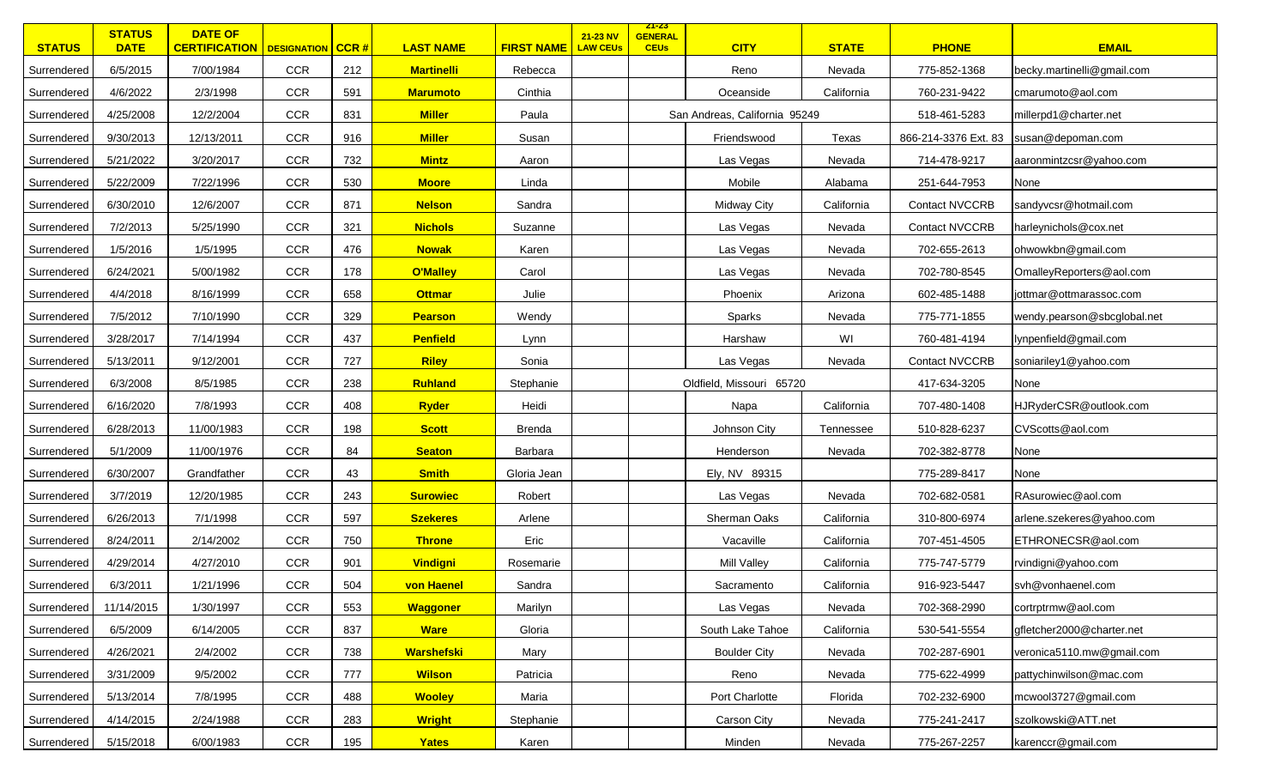| <b>STATUS</b> | <b>STATUS</b><br><b>DATE</b> | <b>DATE OF</b><br><b>CERTIFICATION   DESIGNATION   CCR #</b> |            |     | <b>LAST NAME</b>  | <b>FIRST NAME</b> | 21-23 NV<br><b>LAW CEUs</b> | <u>ZT-ZS</u><br><b>GENERAL</b><br><b>CEUs</b> | <b>CITY</b>                   | <b>STATE</b> | <b>PHONE</b>                           | <b>EMAIL</b>                |
|---------------|------------------------------|--------------------------------------------------------------|------------|-----|-------------------|-------------------|-----------------------------|-----------------------------------------------|-------------------------------|--------------|----------------------------------------|-----------------------------|
| Surrendered   | 6/5/2015                     | 7/00/1984                                                    | <b>CCR</b> | 212 | <b>Martinelli</b> | Rebecca           |                             |                                               | Reno                          | Nevada       | 775-852-1368                           | becky.martinelli@gmail.com  |
| Surrendered   | 4/6/2022                     | 2/3/1998                                                     | <b>CCR</b> | 591 | <b>Marumoto</b>   | Cinthia           |                             |                                               | Oceanside                     | California   | 760-231-9422                           | cmarumoto@aol.com           |
| Surrendered   | 4/25/2008                    | 12/2/2004                                                    | <b>CCR</b> | 831 | <b>Miller</b>     | Paula             |                             |                                               | San Andreas, California 95249 |              | 518-461-5283                           | millerpd1@charter.net       |
| Surrendered   | 9/30/2013                    | 12/13/2011                                                   | CCR        | 916 | <b>Miller</b>     | Susan             |                             |                                               | Friendswood                   | Texas        | 866-214-3376 Ext. 83 susan@depoman.com |                             |
| Surrendered   | 5/21/2022                    | 3/20/2017                                                    | <b>CCR</b> | 732 | <b>Mintz</b>      | Aaron             |                             |                                               | Las Vegas                     | Nevada       | 714-478-9217                           | aaronmintzcsr@yahoo.com     |
| Surrendered   | 5/22/2009                    | 7/22/1996                                                    | <b>CCR</b> | 530 | <b>Moore</b>      | Linda             |                             |                                               | Mobile                        | Alabama      | 251-644-7953                           | None                        |
| Surrendered   | 6/30/2010                    | 12/6/2007                                                    | <b>CCR</b> | 871 | <b>Nelson</b>     | Sandra            |                             |                                               | Midway City                   | California   | <b>Contact NVCCRB</b>                  | sandyvcsr@hotmail.com       |
| Surrendered   | 7/2/2013                     | 5/25/1990                                                    | <b>CCR</b> | 321 | <b>Nichols</b>    | Suzanne           |                             |                                               | Las Vegas                     | Nevada       | Contact NVCCRB                         | harleynichols@cox.net       |
| Surrendered   | 1/5/2016                     | 1/5/1995                                                     | <b>CCR</b> | 476 | <b>Nowak</b>      | Karen             |                             |                                               | Las Vegas                     | Nevada       | 702-655-2613                           | ohwowkbn@gmail.com          |
| Surrendered   | 6/24/2021                    | 5/00/1982                                                    | <b>CCR</b> | 178 | <b>O'Malley</b>   | Carol             |                             |                                               | Las Vegas                     | Nevada       | 702-780-8545                           | OmalleyReporters@aol.com    |
| Surrendered   | 4/4/2018                     | 8/16/1999                                                    | <b>CCR</b> | 658 | <b>Ottmar</b>     | Julie             |                             |                                               | Phoenix                       | Arizona      | 602-485-1488                           | jottmar@ottmarassoc.com     |
| Surrendered   | 7/5/2012                     | 7/10/1990                                                    | <b>CCR</b> | 329 | <b>Pearson</b>    | Wendy             |                             |                                               | Sparks                        | Nevada       | 775-771-1855                           | wendy.pearson@sbcglobal.net |
| Surrendered   | 3/28/2017                    | 7/14/1994                                                    | <b>CCR</b> | 437 | <b>Penfield</b>   | Lynn              |                             |                                               | Harshaw                       | WI           | 760-481-4194                           | lynpenfield@gmail.com       |
| Surrendered   | 5/13/2011                    | 9/12/2001                                                    | <b>CCR</b> | 727 | <b>Riley</b>      | Sonia             |                             |                                               | Las Vegas                     | Nevada       | <b>Contact NVCCRB</b>                  | soniariley1@yahoo.com       |
| Surrendered   | 6/3/2008                     | 8/5/1985                                                     | <b>CCR</b> | 238 | Ruhland           | Stephanie         |                             |                                               | Oldfield, Missouri 65720      |              | 417-634-3205                           | None                        |
| Surrendered   | 6/16/2020                    | 7/8/1993                                                     | CCR        | 408 | <b>Ryder</b>      | Heidi             |                             |                                               | Napa                          | California   | 707-480-1408                           | HJRyderCSR@outlook.com      |
| Surrendered   | 6/28/2013                    | 11/00/1983                                                   | CCR        | 198 | <b>Scott</b>      | <b>Brenda</b>     |                             |                                               | Johnson City                  | Tennessee    | 510-828-6237                           | CVScotts@aol.com            |
| Surrendered   | 5/1/2009                     | 11/00/1976                                                   | <b>CCR</b> | 84  | <b>Seaton</b>     | Barbara           |                             |                                               | Henderson                     | Nevada       | 702-382-8778                           | None                        |
| Surrendered   | 6/30/2007                    | Grandfather                                                  | <b>CCR</b> | 43  | <b>Smith</b>      | Gloria Jean       |                             |                                               | Ely, NV 89315                 |              | 775-289-8417                           | None                        |
| Surrendered   | 3/7/2019                     | 12/20/1985                                                   | CCR        | 243 | <b>Surowiec</b>   | Robert            |                             |                                               | Las Vegas                     | Nevada       | 702-682-0581                           | RAsurowiec@aol.com          |
| Surrendered   | 6/26/2013                    | 7/1/1998                                                     | <b>CCR</b> | 597 | <b>Szekeres</b>   | Arlene            |                             |                                               | Sherman Oaks                  | California   | 310-800-6974                           | arlene.szekeres@yahoo.com   |
| Surrendered   | 8/24/2011                    | 2/14/2002                                                    | <b>CCR</b> | 750 | <b>Throne</b>     | Eric              |                             |                                               | Vacaville                     | California   | 707-451-4505                           | ETHRONECSR@aol.com          |
| Surrendered   | 4/29/2014                    | 4/27/2010                                                    | <b>CCR</b> | 901 | <b>Vindigni</b>   | Rosemarie         |                             |                                               | Mill Valley                   | California   | 775-747-5779                           | rvindigni@yahoo.com         |
| Surrendered   | 6/3/2011                     | 1/21/1996                                                    | CCR        | 504 | von Haenel        | Sandra            |                             |                                               | Sacramento                    | California   | 916-923-5447                           | svh@vonhaenel.com           |
| Surrendered   | 11/14/2015                   | 1/30/1997                                                    | CCR        | 553 | <b>Waggoner</b>   | Marilyn           |                             |                                               | Las Vegas                     | Nevada       | 702-368-2990                           | cortrptrmw@aol.com          |
| Surrendered   | 6/5/2009                     | 6/14/2005                                                    | CCR        | 837 | <b>Ware</b>       | Gloria            |                             |                                               | South Lake Tahoe              | California   | 530-541-5554                           | gfletcher2000@charter.net   |
| Surrendered   | 4/26/2021                    | 2/4/2002                                                     | <b>CCR</b> | 738 | <b>Warshefski</b> | Mary              |                             |                                               | <b>Boulder City</b>           | Nevada       | 702-287-6901                           | veronica5110.mw@gmail.com   |
| Surrendered   | 3/31/2009                    | 9/5/2002                                                     | <b>CCR</b> | 777 | <b>Wilson</b>     | Patricia          |                             |                                               | Reno                          | Nevada       | 775-622-4999                           | pattychinwilson@mac.com     |
| Surrendered   | 5/13/2014                    | 7/8/1995                                                     | CCR        | 488 | <b>Wooley</b>     | Maria             |                             |                                               | Port Charlotte                | Florida      | 702-232-6900                           | mcwool3727@gmail.com        |
| Surrendered   | 4/14/2015                    | 2/24/1988                                                    | <b>CCR</b> | 283 | <b>Wright</b>     | Stephanie         |                             |                                               | Carson City                   | Nevada       | 775-241-2417                           | szolkowski@ATT.net          |
| Surrendered   | 5/15/2018                    | 6/00/1983                                                    | CCR        | 195 | Yates             | Karen             |                             |                                               | Minden                        | Nevada       | 775-267-2257                           | karenccr@gmail.com          |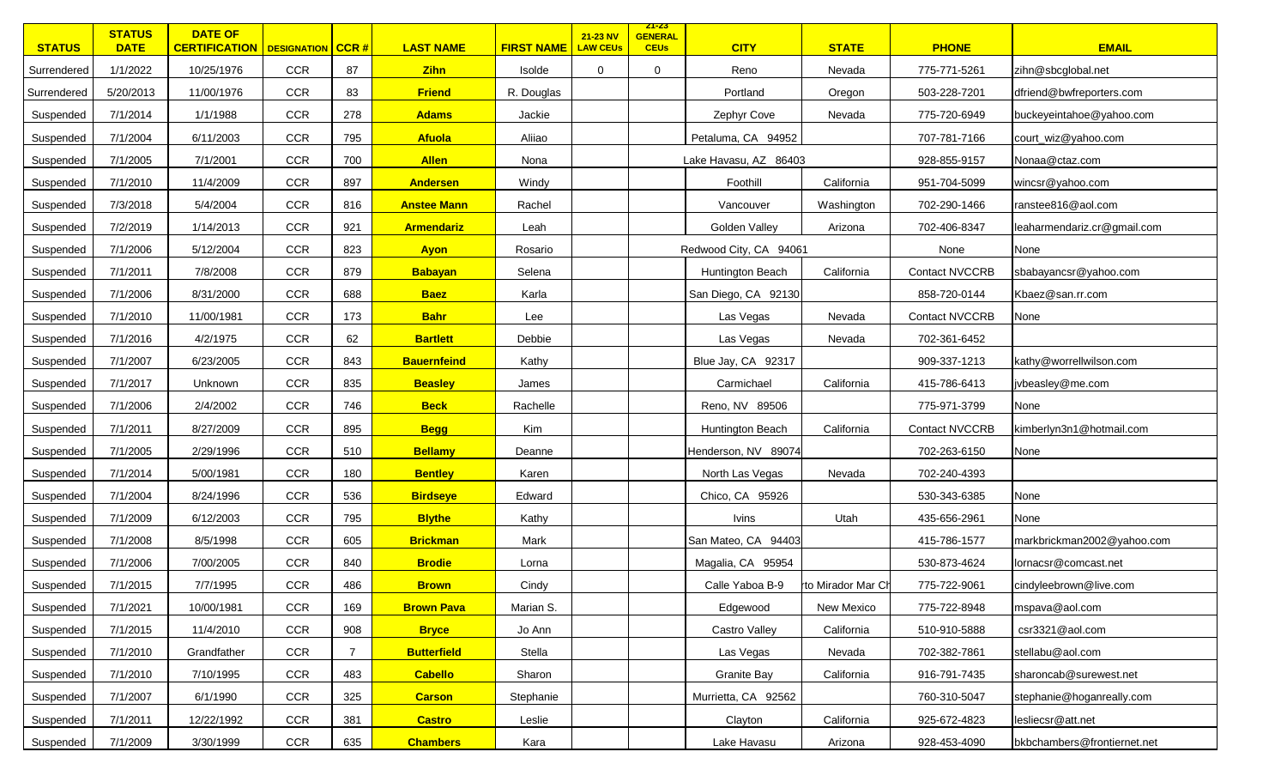| <b>STATUS</b> | <b>STATUS</b><br><b>DATE</b> | <b>DATE OF</b><br><b>CERTIFICATION   DESIGNATION   CCR #</b> |            |     | <b>LAST NAME</b>   | <b>FIRST NAME</b> | 21-23 NV<br><b>LAW CEUs</b> | <u>ZT-ZS</u><br><b>GENERAL</b><br><b>CEUs</b> | <b>CITY</b>            | <b>STATE</b>      | <b>PHONE</b>          | <b>EMAIL</b>                |
|---------------|------------------------------|--------------------------------------------------------------|------------|-----|--------------------|-------------------|-----------------------------|-----------------------------------------------|------------------------|-------------------|-----------------------|-----------------------------|
| Surrendered   | 1/1/2022                     | 10/25/1976                                                   | <b>CCR</b> | 87  | <b>Zihn</b>        | Isolde            | 0                           | 0                                             | Reno                   | Nevada            | 775-771-5261          | zihn@sbcglobal.net          |
| Surrendered   | 5/20/2013                    | 11/00/1976                                                   | CCR        | 83  | <b>Friend</b>      | R. Douglas        |                             |                                               | Portland               | Oregon            | 503-228-7201          | dfriend@bwfreporters.com    |
| Suspended     | 7/1/2014                     | 1/1/1988                                                     | CCR        | 278 | <b>Adams</b>       | Jackie            |                             |                                               | Zephyr Cove            | Nevada            | 775-720-6949          | buckeyeintahoe@yahoo.com    |
| Suspended     | 7/1/2004                     | 6/11/2003                                                    | CCR        | 795 | <b>Afuola</b>      | Aliiao            |                             |                                               | Petaluma, CA 94952     |                   | 707-781-7166          | court_wiz@yahoo.com         |
| Suspended     | 7/1/2005                     | 7/1/2001                                                     | <b>CCR</b> | 700 | <b>Allen</b>       | Nona              |                             |                                               | Lake Havasu, AZ 86403  |                   | 928-855-9157          | Nonaa@ctaz.com              |
| Suspended     | 7/1/2010                     | 11/4/2009                                                    | <b>CCR</b> | 897 | <b>Andersen</b>    | Windy             |                             |                                               | Foothill               | California        | 951-704-5099          | wincsr@yahoo.com            |
| Suspended     | 7/3/2018                     | 5/4/2004                                                     | <b>CCR</b> | 816 | <b>Anstee Mann</b> | Rachel            |                             |                                               | Vancouver              | Washington        | 702-290-1466          | ranstee816@aol.com          |
| Suspended     | 7/2/2019                     | 1/14/2013                                                    | CCR        | 921 | <b>Armendariz</b>  | Leah              |                             |                                               | Golden Valley          | Arizona           | 702-406-8347          | leaharmendariz.cr@gmail.com |
| Suspended     | 7/1/2006                     | 5/12/2004                                                    | CCR        | 823 | <b>Ayon</b>        | Rosario           |                             |                                               | Redwood City, CA 94061 |                   | None                  | None                        |
| Suspended     | 7/1/2011                     | 7/8/2008                                                     | CCR        | 879 | <b>Babayan</b>     | Selena            |                             |                                               | Huntington Beach       | California        | <b>Contact NVCCRB</b> | sbabayancsr@yahoo.com       |
| Suspended     | 7/1/2006                     | 8/31/2000                                                    | <b>CCR</b> | 688 | <b>Baez</b>        | Karla             |                             |                                               | San Diego, CA 92130    |                   | 858-720-0144          | Kbaez@san.rr.com            |
| Suspended     | 7/1/2010                     | 11/00/1981                                                   | <b>CCR</b> | 173 | <b>Bahr</b>        | Lee               |                             |                                               | Las Vegas              | Nevada            | <b>Contact NVCCRB</b> | None                        |
| Suspended     | 7/1/2016                     | 4/2/1975                                                     | CCR        | 62  | <b>Bartlett</b>    | Debbie            |                             |                                               | Las Vegas              | Nevada            | 702-361-6452          |                             |
| Suspended     | 7/1/2007                     | 6/23/2005                                                    | CCR        | 843 | <b>Bauernfeind</b> | Kathy             |                             |                                               | Blue Jay, CA 92317     |                   | 909-337-1213          | kathy@worrellwilson.com     |
| Suspended     | 7/1/2017                     | Unknown                                                      | <b>CCR</b> | 835 | <b>Beasley</b>     | James             |                             |                                               | Carmichael             | California        | 415-786-6413          | ivbeasley@me.com            |
| Suspended     | 7/1/2006                     | 2/4/2002                                                     | CCR        | 746 | <b>Beck</b>        | Rachelle          |                             |                                               | Reno, NV 89506         |                   | 775-971-3799          | None                        |
| Suspended     | 7/1/2011                     | 8/27/2009                                                    | <b>CCR</b> | 895 | <b>Begg</b>        | Kim               |                             |                                               | Huntington Beach       | California        | <b>Contact NVCCRB</b> | kimberlyn3n1@hotmail.com    |
| Suspended     | 7/1/2005                     | 2/29/1996                                                    | <b>CCR</b> | 510 | <b>Bellamy</b>     | Deanne            |                             |                                               | Henderson, NV 89074    |                   | 702-263-6150          | None                        |
| Suspended     | 7/1/2014                     | 5/00/1981                                                    | CCR        | 180 | <b>Bentley</b>     | Karen             |                             |                                               | North Las Vegas        | Nevada            | 702-240-4393          |                             |
| Suspended     | 7/1/2004                     | 8/24/1996                                                    | CCR        | 536 | <b>Birdseye</b>    | Edward            |                             |                                               | Chico, CA 95926        |                   | 530-343-6385          | None                        |
| Suspended     | 7/1/2009                     | 6/12/2003                                                    | <b>CCR</b> | 795 | <b>Blythe</b>      | Kathy             |                             |                                               | <b>Ivins</b>           | Utah              | 435-656-2961          | None                        |
| Suspended     | 7/1/2008                     | 8/5/1998                                                     | <b>CCR</b> | 605 | <b>Brickman</b>    | Mark              |                             |                                               | San Mateo, CA 94403    |                   | 415-786-1577          | markbrickman2002@yahoo.com  |
| Suspended     | 7/1/2006                     | 7/00/2005                                                    | CCR        | 840 | <b>Brodie</b>      | Lorna             |                             |                                               | Magalia, CA 95954      |                   | 530-873-4624          | lornacsr@comcast.net        |
| Suspended     | 7/1/2015                     | 7/7/1995                                                     | CCR        | 486 | <b>Brown</b>       | Cindy             |                             |                                               | Calle Yaboa B-9        | to Mirador Mar Ch | 775-722-9061          | cindyleebrown@live.com      |
| Suspended     | 7/1/2021                     | 10/00/1981                                                   | CCR        | 169 | <b>Brown Pava</b>  | Marian S.         |                             |                                               | Edgewood               | New Mexico        | 775-722-8948          | mspava@aol.com              |
| Suspended     | 7/1/2015                     | 11/4/2010                                                    | CCR        | 908 | <b>Bryce</b>       | Jo Ann            |                             |                                               | Castro Valley          | California        | 510-910-5888          | csr3321@aol.com             |
| Suspended     | 7/1/2010                     | Grandfather                                                  | <b>CCR</b> | 7   | <b>Butterfield</b> | Stella            |                             |                                               | Las Vegas              | Nevada            | 702-382-7861          | stellabu@aol.com            |
| Suspended     | 7/1/2010                     | 7/10/1995                                                    | CCR        | 483 | <b>Cabello</b>     | Sharon            |                             |                                               | <b>Granite Bay</b>     | California        | 916-791-7435          | sharoncab@surewest.net      |
| Suspended     | 7/1/2007                     | 6/1/1990                                                     | CCR        | 325 | <b>Carson</b>      | Stephanie         |                             |                                               | Murrietta, CA 92562    |                   | 760-310-5047          | stephanie@hoganreally.com   |
| Suspended     | 7/1/2011                     | 12/22/1992                                                   | <b>CCR</b> | 381 | <b>Castro</b>      | Leslie            |                             |                                               | Clayton                | California        | 925-672-4823          | lesliecsr@att.net           |
| Suspended     | 7/1/2009                     | 3/30/1999                                                    | CCR        | 635 | <b>Chambers</b>    | Kara              |                             |                                               | Lake Havasu            | Arizona           | 928-453-4090          | bkbchambers@frontiernet.net |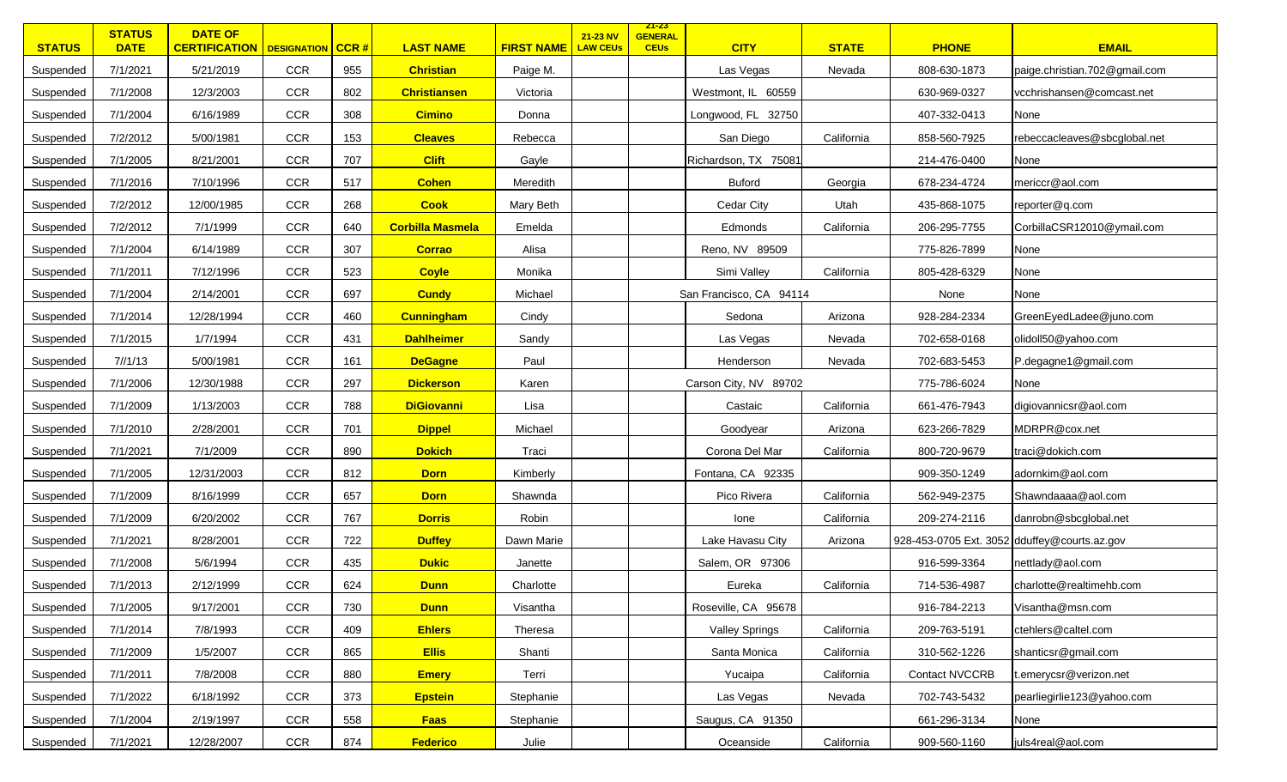| <b>STATUS</b> | <b>STATUS</b><br><b>DATE</b> | <b>DATE OF</b><br><b>CERTIFICATION</b>   DESIGNATION   CCR # |            |     | <b>LAST NAME</b>        | <b>FIRST NAME</b> | 21-23 NV<br><b>LAW CEUs</b> | <u>ZI-ZS</u><br><b>GENERAL</b><br><b>CEUs</b> | <b>CITY</b>             | <b>STATE</b> | <b>PHONE</b>                                 | <b>EMAIL</b>                  |
|---------------|------------------------------|--------------------------------------------------------------|------------|-----|-------------------------|-------------------|-----------------------------|-----------------------------------------------|-------------------------|--------------|----------------------------------------------|-------------------------------|
| Suspended     | 7/1/2021                     | 5/21/2019                                                    | <b>CCR</b> | 955 | <b>Christian</b>        | Paige M.          |                             |                                               | Las Vegas               | Nevada       | 808-630-1873                                 | paige.christian.702@gmail.com |
| Suspended     | 7/1/2008                     | 12/3/2003                                                    | <b>CCR</b> | 802 | <b>Christiansen</b>     | Victoria          |                             |                                               | Westmont, IL 60559      |              | 630-969-0327                                 | vcchrishansen@comcast.net     |
| Suspended     | 7/1/2004                     | 6/16/1989                                                    | <b>CCR</b> | 308 | <b>Cimino</b>           | Donna             |                             |                                               | Longwood, FL 32750      |              | 407-332-0413                                 | None                          |
| Suspended     | 7/2/2012                     | 5/00/1981                                                    | <b>CCR</b> | 153 | <b>Cleaves</b>          | Rebecca           |                             |                                               | San Diego               | California   | 858-560-7925                                 | rebeccacleaves@sbcglobal.net  |
| Suspended     | 7/1/2005                     | 8/21/2001                                                    | <b>CCR</b> | 707 | <b>Clift</b>            | Gayle             |                             |                                               | Richardson, TX 75081    |              | 214-476-0400                                 | None                          |
| Suspended     | 7/1/2016                     | 7/10/1996                                                    | <b>CCR</b> | 517 | <b>Cohen</b>            | Meredith          |                             |                                               | <b>Buford</b>           | Georgia      | 678-234-4724                                 | mericcr@aol.com               |
| Suspended     | 7/2/2012                     | 12/00/1985                                                   | <b>CCR</b> | 268 | <b>Cook</b>             | Mary Beth         |                             |                                               | Cedar City              | Utah         | 435-868-1075                                 | reporter@q.com                |
| Suspended     | 7/2/2012                     | 7/1/1999                                                     | <b>CCR</b> | 640 | <b>Corbilla Masmela</b> | Emelda            |                             |                                               | Edmonds                 | California   | 206-295-7755                                 | CorbillaCSR12010@ymail.com    |
| Suspended     | 7/1/2004                     | 6/14/1989                                                    | <b>CCR</b> | 307 | <b>Corrao</b>           | Alisa             |                             |                                               | Reno, NV 89509          |              | 775-826-7899                                 | None                          |
| Suspended     | 7/1/2011                     | 7/12/1996                                                    | <b>CCR</b> | 523 | <b>Coyle</b>            | Monika            |                             |                                               | Simi Valley             | California   | 805-428-6329                                 | None                          |
| Suspended     | 7/1/2004                     | 2/14/2001                                                    | <b>CCR</b> | 697 | <b>Cundy</b>            | Michael           |                             |                                               | San Francisco, CA 94114 |              | None                                         | None                          |
| Suspended     | 7/1/2014                     | 12/28/1994                                                   | <b>CCR</b> | 460 | <b>Cunningham</b>       | Cindy             |                             |                                               | Sedona                  | Arizona      | 928-284-2334                                 | GreenEyedLadee@juno.com       |
| Suspended     | 7/1/2015                     | 1/7/1994                                                     | <b>CCR</b> | 431 | <b>Dahlheimer</b>       | Sandy             |                             |                                               | Las Vegas               | Nevada       | 702-658-0168                                 | olidoll50@yahoo.com           |
| Suspended     | 7/1/13                       | 5/00/1981                                                    | <b>CCR</b> | 161 | <b>DeGagne</b>          | Paul              |                             |                                               | Henderson               | Nevada       | 702-683-5453                                 | P.degagne1@gmail.com          |
| Suspended     | 7/1/2006                     | 12/30/1988                                                   | <b>CCR</b> | 297 | <b>Dickerson</b>        | Karen             |                             |                                               | Carson City, NV 89702   |              | 775-786-6024                                 | None                          |
| Suspended     | 7/1/2009                     | 1/13/2003                                                    | <b>CCR</b> | 788 | <b>DiGiovanni</b>       | Lisa              |                             |                                               | Castaic                 | California   | 661-476-7943                                 | digiovannicsr@aol.com         |
| Suspended     | 7/1/2010                     | 2/28/2001                                                    | <b>CCR</b> | 701 | <b>Dippel</b>           | Michael           |                             |                                               | Goodyear                | Arizona      | 623-266-7829                                 | MDRPR@cox.net                 |
| Suspended     | 7/1/2021                     | 7/1/2009                                                     | <b>CCR</b> | 890 | <b>Dokich</b>           | Traci             |                             |                                               | Corona Del Mar          | California   | 800-720-9679                                 | traci@dokich.com              |
| Suspended     | 7/1/2005                     | 12/31/2003                                                   | <b>CCR</b> | 812 | <b>Dorn</b>             | Kimberly          |                             |                                               | Fontana, CA 92335       |              | 909-350-1249                                 | adornkim@aol.com              |
| Suspended     | 7/1/2009                     | 8/16/1999                                                    | <b>CCR</b> | 657 | <b>Dorn</b>             | Shawnda           |                             |                                               | Pico Rivera             | California   | 562-949-2375                                 | Shawndaaaa@aol.com            |
| Suspended     | 7/1/2009                     | 6/20/2002                                                    | <b>CCR</b> | 767 | <b>Dorris</b>           | Robin             |                             |                                               | lone                    | California   | 209-274-2116                                 | danrobn@sbcglobal.net         |
| Suspended     | 7/1/2021                     | 8/28/2001                                                    | <b>CCR</b> | 722 | <b>Duffey</b>           | Dawn Marie        |                             |                                               | Lake Havasu City        | Arizona      | 928-453-0705 Ext. 3052 dduffey@courts.az.gov |                               |
| Suspended     | 7/1/2008                     | 5/6/1994                                                     | <b>CCR</b> | 435 | <b>Dukic</b>            | Janette           |                             |                                               | Salem, OR 97306         |              | 916-599-3364                                 | nettlady@aol.com              |
| Suspended     | 7/1/2013                     | 2/12/1999                                                    | <b>CCR</b> | 624 | <b>Dunn</b>             | Charlotte         |                             |                                               | Eureka                  | California   | 714-536-4987                                 | charlotte@realtimehb.com      |
| Suspended     | 7/1/2005                     | 9/17/2001                                                    | <b>CCR</b> | 730 | <b>Dunn</b>             | Visantha          |                             |                                               | Roseville, CA 95678     |              | 916-784-2213                                 | Visantha@msn.com              |
| Suspended     | 7/1/2014                     | 7/8/1993                                                     | CCR        | 409 | <b>Ehlers</b>           | Theresa           |                             |                                               | <b>Valley Springs</b>   | California   | 209-763-5191                                 | ctehlers@caltel.com           |
| Suspended     | 7/1/2009                     | 1/5/2007                                                     | <b>CCR</b> | 865 | <b>Ellis</b>            | Shanti            |                             |                                               | Santa Monica            | California   | 310-562-1226                                 | shanticsr@gmail.com           |
| Suspended     | 7/1/2011                     | 7/8/2008                                                     | <b>CCR</b> | 880 | <b>Emery</b>            | Terri             |                             |                                               | Yucaipa                 | California   | Contact NVCCRB                               | t.emerycsr@verizon.net        |
| Suspended     | 7/1/2022                     | 6/18/1992                                                    | CCR        | 373 | <b>Epstein</b>          | Stephanie         |                             |                                               | Las Vegas               | Nevada       | 702-743-5432                                 | pearliegirlie123@yahoo.com    |
| Suspended     | 7/1/2004                     | 2/19/1997                                                    | <b>CCR</b> | 558 | <b>Faas</b>             | Stephanie         |                             |                                               | Saugus, CA 91350        |              | 661-296-3134                                 | None                          |
| Suspended     | 7/1/2021                     | 12/28/2007                                                   | CCR        | 874 | <b>Federico</b>         | Julie             |                             |                                               | Oceanside               | California   | 909-560-1160                                 | juls4real@aol.com             |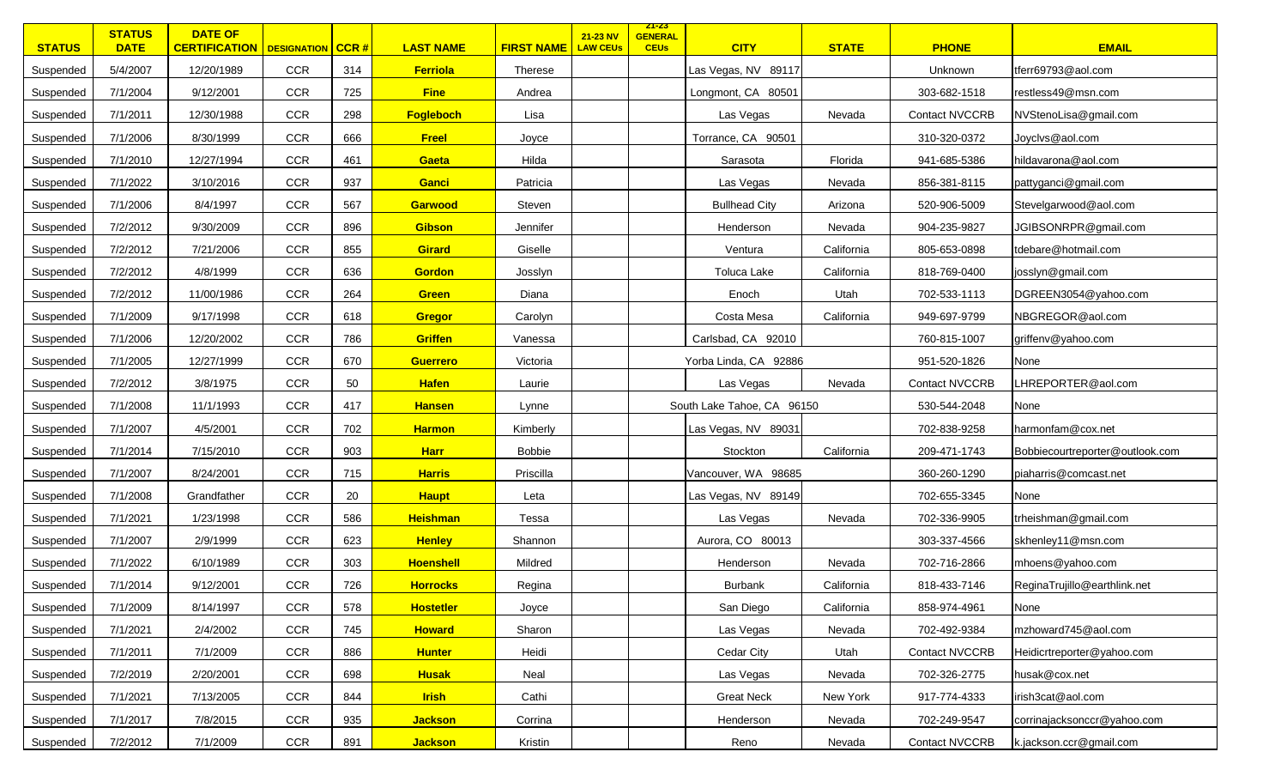| <b>STATUS</b> | <b>STATUS</b><br><b>DATE</b> | <b>DATE OF</b><br><b>CERTIFICATION   DESIGNATION   CCR #</b> |            |     | <b>LAST NAME</b> | <b>FIRST NAME</b> | 21-23 NV<br><b>LAW CEUs</b> | <u>ZT-ZS</u><br><b>GENERAL</b><br><b>CEUs</b> | <b>CITY</b>                | <b>STATE</b> | <b>PHONE</b>          | <b>EMAIL</b>                    |
|---------------|------------------------------|--------------------------------------------------------------|------------|-----|------------------|-------------------|-----------------------------|-----------------------------------------------|----------------------------|--------------|-----------------------|---------------------------------|
| Suspended     | 5/4/2007                     | 12/20/1989                                                   | <b>CCR</b> | 314 | <b>Ferriola</b>  | Therese           |                             |                                               | Las Vegas, NV 89117        |              | Unknown               | tferr69793@aol.com              |
| Suspended     | 7/1/2004                     | 9/12/2001                                                    | CCR        | 725 | <b>Fine</b>      | Andrea            |                             |                                               | Longmont, CA 80501         |              | 303-682-1518          | restless49@msn.com              |
| Suspended     | 7/1/2011                     | 12/30/1988                                                   | CCR        | 298 | Fogleboch        | Lisa              |                             |                                               | Las Vegas                  | Nevada       | <b>Contact NVCCRB</b> | NVStenoLisa@gmail.com           |
| Suspended     | 7/1/2006                     | 8/30/1999                                                    | CCR        | 666 | <b>Freel</b>     | Joyce             |                             |                                               | Torrance, CA 90501         |              | 310-320-0372          | Joyclvs@aol.com                 |
| Suspended     | 7/1/2010                     | 12/27/1994                                                   | <b>CCR</b> | 461 | Gaeta            | Hilda             |                             |                                               | Sarasota                   | Florida      | 941-685-5386          | hildavarona@aol.com             |
| Suspended     | 7/1/2022                     | 3/10/2016                                                    | <b>CCR</b> | 937 | Ganci            | Patricia          |                             |                                               | Las Vegas                  | Nevada       | 856-381-8115          | pattyganci@gmail.com            |
| Suspended     | 7/1/2006                     | 8/4/1997                                                     | <b>CCR</b> | 567 | Garwood          | Steven            |                             |                                               | <b>Bullhead City</b>       | Arizona      | 520-906-5009          | Stevelgarwood@aol.com           |
| Suspended     | 7/2/2012                     | 9/30/2009                                                    | <b>CCR</b> | 896 | <b>Gibson</b>    | Jennifer          |                             |                                               | Henderson                  | Nevada       | 904-235-9827          | JGIBSONRPR@gmail.com            |
| Suspended     | 7/2/2012                     | 7/21/2006                                                    | <b>CCR</b> | 855 | <b>Girard</b>    | Giselle           |                             |                                               | Ventura                    | California   | 805-653-0898          | tdebare@hotmail.com             |
| Suspended     | 7/2/2012                     | 4/8/1999                                                     | CCR        | 636 | <b>Gordon</b>    | Josslyn           |                             |                                               | Toluca Lake                | California   | 818-769-0400          | josslyn@gmail.com               |
| Suspended     | 7/2/2012                     | 11/00/1986                                                   | <b>CCR</b> | 264 | <b>Green</b>     | Diana             |                             |                                               | Enoch                      | Utah         | 702-533-1113          | DGREEN3054@yahoo.com            |
| Suspended     | 7/1/2009                     | 9/17/1998                                                    | <b>CCR</b> | 618 | Gregor           | Carolyn           |                             |                                               | Costa Mesa                 | California   | 949-697-9799          | NBGREGOR@aol.com                |
| Suspended     | 7/1/2006                     | 12/20/2002                                                   | <b>CCR</b> | 786 | <b>Griffen</b>   | Vanessa           |                             |                                               | Carlsbad, CA 92010         |              | 760-815-1007          | griffenv@yahoo.com              |
| Suspended     | 7/1/2005                     | 12/27/1999                                                   | CCR        | 670 | <b>Guerrero</b>  | Victoria          |                             |                                               | Yorba Linda, CA 92886      |              | 951-520-1826          | None                            |
| Suspended     | 7/2/2012                     | 3/8/1975                                                     | CCR        | 50  | <b>Hafen</b>     | Laurie            |                             |                                               | Las Vegas                  | Nevada       | <b>Contact NVCCRB</b> | LHREPORTER@aol.com              |
| Suspended     | 7/1/2008                     | 11/1/1993                                                    | CCR        | 417 | <b>Hansen</b>    | Lynne             |                             |                                               | South Lake Tahoe, CA 96150 |              | 530-544-2048          | None                            |
| Suspended     | 7/1/2007                     | 4/5/2001                                                     | <b>CCR</b> | 702 | <b>Harmon</b>    | Kimberly          |                             |                                               | Las Vegas, NV 89031        |              | 702-838-9258          | harmonfam@cox.net               |
| Suspended     | 7/1/2014                     | 7/15/2010                                                    | <b>CCR</b> | 903 | <b>Harr</b>      | <b>Bobbie</b>     |                             |                                               | Stockton                   | California   | 209-471-1743          | Bobbiecourtreporter@outlook.com |
| Suspended     | 7/1/2007                     | 8/24/2001                                                    | CCR        | 715 | <b>Harris</b>    | Priscilla         |                             |                                               | Vancouver, WA 98685        |              | 360-260-1290          | piaharris@comcast.net           |
| Suspended     | 7/1/2008                     | Grandfather                                                  | CCR        | 20  | <b>Haupt</b>     | Leta              |                             |                                               | Las Vegas, NV 89149        |              | 702-655-3345          | None                            |
| Suspended     | 7/1/2021                     | 1/23/1998                                                    | <b>CCR</b> | 586 | <b>Heishman</b>  | Tessa             |                             |                                               | Las Vegas                  | Nevada       | 702-336-9905          | trheishman@gmail.com            |
| Suspended     | 7/1/2007                     | 2/9/1999                                                     | <b>CCR</b> | 623 | <b>Henley</b>    | Shannon           |                             |                                               | Aurora, CO 80013           |              | 303-337-4566          | skhenley11@msn.com              |
| Suspended     | 7/1/2022                     | 6/10/1989                                                    | CCR        | 303 | <b>Hoenshell</b> | Mildred           |                             |                                               | Henderson                  | Nevada       | 702-716-2866          | mhoens@yahoo.com                |
| Suspended     | 7/1/2014                     | 9/12/2001                                                    | CCR        | 726 | <b>Horrocks</b>  | Regina            |                             |                                               | <b>Burbank</b>             | California   | 818-433-7146          | ReginaTrujillo@earthlink.net    |
| Suspended     | 7/1/2009                     | 8/14/1997                                                    | CCR        | 578 | <b>Hostetler</b> | Joyce             |                             |                                               | San Diego                  | California   | 858-974-4961          | None                            |
| Suspended     | 7/1/2021                     | 2/4/2002                                                     | <b>CCR</b> | 745 | <b>Howard</b>    | Sharon            |                             |                                               | Las Vegas                  | Nevada       | 702-492-9384          | mzhoward745@aol.com             |
| Suspended     | 7/1/2011                     | 7/1/2009                                                     | <b>CCR</b> | 886 | <b>Hunter</b>    | Heidi             |                             |                                               | Cedar City                 | Utah         | <b>Contact NVCCRB</b> | Heidicrtreporter@yahoo.com      |
| Suspended     | 7/2/2019                     | 2/20/2001                                                    | <b>CCR</b> | 698 | <b>Husak</b>     | Neal              |                             |                                               | Las Vegas                  | Nevada       | 702-326-2775          | husak@cox.net                   |
| Suspended     | 7/1/2021                     | 7/13/2005                                                    | CCR        | 844 | <b>Irish</b>     | Cathi             |                             |                                               | <b>Great Neck</b>          | New York     | 917-774-4333          | irish3cat@aol.com               |
| Suspended     | 7/1/2017                     | 7/8/2015                                                     | <b>CCR</b> | 935 | <b>Jackson</b>   | Corrina           |                             |                                               | Henderson                  | Nevada       | 702-249-9547          | corrinajacksonccr@yahoo.com     |
| Suspended     | 7/2/2012                     | 7/1/2009                                                     | CCR        | 891 | <b>Jackson</b>   | Kristin           |                             |                                               | Reno                       | Nevada       | <b>Contact NVCCRB</b> | k.jackson.ccr@gmail.com         |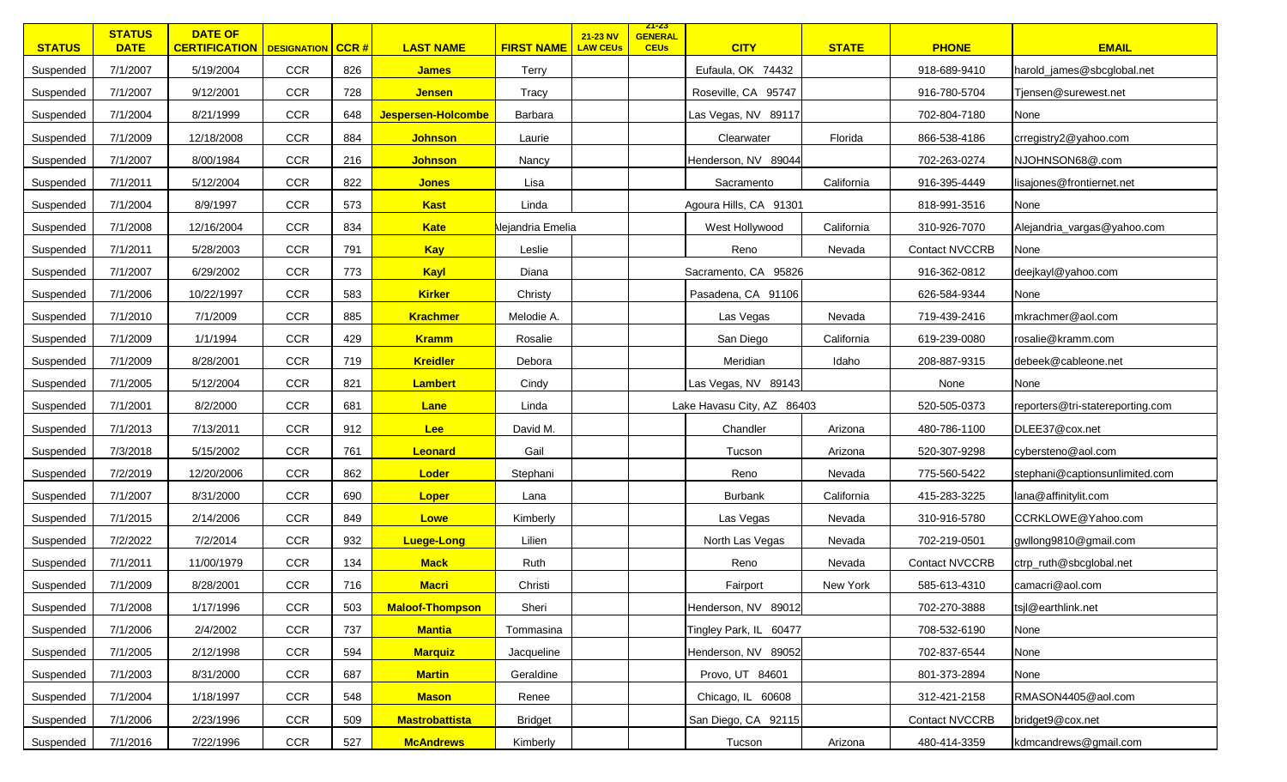| <b>STATUS</b> | <b>STATUS</b><br><b>DATE</b> | <b>DATE OF</b><br><b>CERTIFICATION   DESIGNATION   CCR #</b> |            |     | <b>LAST NAME</b>       | <b>FIRST NAME</b>       | 21-23 NV<br><b>LAW CEUs</b> | <u>ZI-ZS</u><br><b>GENERAL</b><br><b>CEUs</b> | <b>CITY</b>                | <b>STATE</b> | <b>PHONE</b>          | <b>EMAIL</b>                     |
|---------------|------------------------------|--------------------------------------------------------------|------------|-----|------------------------|-------------------------|-----------------------------|-----------------------------------------------|----------------------------|--------------|-----------------------|----------------------------------|
| Suspended     | 7/1/2007                     | 5/19/2004                                                    | <b>CCR</b> | 826 | <b>James</b>           | Terry                   |                             |                                               | Eufaula, OK 74432          |              | 918-689-9410          | harold_james@sbcglobal.net       |
| Suspended     | 7/1/2007                     | 9/12/2001                                                    | <b>CCR</b> | 728 | <b>Jensen</b>          | Tracy                   |                             |                                               | Roseville, CA 95747        |              | 916-780-5704          | Tjensen@surewest.net             |
| Suspended     | 7/1/2004                     | 8/21/1999                                                    | <b>CCR</b> | 648 | Jespersen-Holcombe     | Barbara                 |                             |                                               | Las Vegas, NV 89117        |              | 702-804-7180          | None                             |
| Suspended     | 7/1/2009                     | 12/18/2008                                                   | CCR        | 884 | <b>Johnson</b>         | Laurie                  |                             |                                               | Clearwater                 | Florida      | 866-538-4186          | crregistry2@yahoo.com            |
| Suspended     | 7/1/2007                     | 8/00/1984                                                    | <b>CCR</b> | 216 | <b>Johnson</b>         | Nancy                   |                             |                                               | Henderson, NV 89044        |              | 702-263-0274          | NJOHNSON68@.com                  |
| Suspended     | 7/1/2011                     | 5/12/2004                                                    | <b>CCR</b> | 822 | <b>Jones</b>           | Lisa                    |                             |                                               | Sacramento                 | California   | 916-395-4449          | lisajones@frontiernet.net        |
| Suspended     | 7/1/2004                     | 8/9/1997                                                     | <b>CCR</b> | 573 | <b>Kast</b>            | Linda                   |                             |                                               | Agoura Hills, CA 91301     |              | 818-991-3516          | None                             |
| Suspended     | 7/1/2008                     | 12/16/2004                                                   | <b>CCR</b> | 834 | <b>Kate</b>            | <b>Nejandria Emelia</b> |                             |                                               | West Hollywood             | California   | 310-926-7070          | Alejandria_vargas@yahoo.com      |
| Suspended     | 7/1/2011                     | 5/28/2003                                                    | <b>CCR</b> | 791 | <b>Kay</b>             | Leslie                  |                             |                                               | Reno                       | Nevada       | <b>Contact NVCCRB</b> | None                             |
| Suspended     | 7/1/2007                     | 6/29/2002                                                    | <b>CCR</b> | 773 | Kayl                   | Diana                   |                             |                                               | Sacramento, CA 95826       |              | 916-362-0812          | deejkayl@yahoo.com               |
| Suspended     | 7/1/2006                     | 10/22/1997                                                   | <b>CCR</b> | 583 | <b>Kirker</b>          | Christy                 |                             |                                               | Pasadena, CA 91106         |              | 626-584-9344          | None                             |
| Suspended     | 7/1/2010                     | 7/1/2009                                                     | <b>CCR</b> | 885 | <b>Krachmer</b>        | Melodie A.              |                             |                                               | Las Vegas                  | Nevada       | 719-439-2416          | mkrachmer@aol.com                |
| Suspended     | 7/1/2009                     | 1/1/1994                                                     | <b>CCR</b> | 429 | <b>Kramm</b>           | Rosalie                 |                             |                                               | San Diego                  | California   | 619-239-0080          | rosalie@kramm.com                |
| Suspended     | 7/1/2009                     | 8/28/2001                                                    | <b>CCR</b> | 719 | <b>Kreidler</b>        | Debora                  |                             |                                               | Meridian                   | Idaho        | 208-887-9315          | debeek@cableone.net              |
| Suspended     | 7/1/2005                     | 5/12/2004                                                    | <b>CCR</b> | 821 | <b>Lambert</b>         | Cindy                   |                             |                                               | Las Vegas, NV 89143        |              | None                  | None                             |
| Suspended     | 7/1/2001                     | 8/2/2000                                                     | <b>CCR</b> | 681 | Lane                   | Linda                   |                             |                                               | Lake Havasu City, AZ 86403 |              | 520-505-0373          | reporters@tri-statereporting.com |
| Suspended     | 7/1/2013                     | 7/13/2011                                                    | <b>CCR</b> | 912 | Lee                    | David M.                |                             |                                               | Chandler                   | Arizona      | 480-786-1100          | DLEE37@cox.net                   |
| Suspended     | 7/3/2018                     | 5/15/2002                                                    | <b>CCR</b> | 761 | Leonard                | Gail                    |                             |                                               | Tucson                     | Arizona      | 520-307-9298          | cybersteno@aol.com               |
| Suspended     | 7/2/2019                     | 12/20/2006                                                   | <b>CCR</b> | 862 | Loder                  | Stephani                |                             |                                               | Reno                       | Nevada       | 775-560-5422          | stephani@captionsunlimited.com   |
| Suspended     | 7/1/2007                     | 8/31/2000                                                    | <b>CCR</b> | 690 | <b>Loper</b>           | Lana                    |                             |                                               | <b>Burbank</b>             | California   | 415-283-3225          | lana@affinitylit.com             |
| Suspended     | 7/1/2015                     | 2/14/2006                                                    | <b>CCR</b> | 849 | Lowe                   | Kimberly                |                             |                                               | Las Vegas                  | Nevada       | 310-916-5780          | CCRKLOWE@Yahoo.com               |
| Suspended     | 7/2/2022                     | 7/2/2014                                                     | <b>CCR</b> | 932 | <b>Luege-Long</b>      | Lilien                  |                             |                                               | North Las Vegas            | Nevada       | 702-219-0501          | gwllong9810@gmail.com            |
| Suspended     | 7/1/2011                     | 11/00/1979                                                   | <b>CCR</b> | 134 | <b>Mack</b>            | Ruth                    |                             |                                               | Reno                       | Nevada       | <b>Contact NVCCRB</b> | ctrp_ruth@sbcglobal.net          |
| Suspended     | 7/1/2009                     | 8/28/2001                                                    | <b>CCR</b> | 716 | <b>Macri</b>           | Christi                 |                             |                                               | Fairport                   | New York     | 585-613-4310          | camacri@aol.com                  |
| Suspended     | 7/1/2008                     | 1/17/1996                                                    | CCR        | 503 | <b>Maloof-Thompson</b> | Sheri                   |                             |                                               | Henderson, NV 89012        |              | 702-270-3888          | tsjl@earthlink.net               |
| Suspended     | 7/1/2006                     | 2/4/2002                                                     | CCR        | 737 | <b>Mantia</b>          | Tommasina               |                             |                                               | Tingley Park, IL 60477     |              | 708-532-6190          | None                             |
| Suspended     | 7/1/2005                     | 2/12/1998                                                    | <b>CCR</b> | 594 | <b>Marquiz</b>         | Jacqueline              |                             |                                               | Henderson, NV 89052        |              | 702-837-6544          | None                             |
| Suspended     | 7/1/2003                     | 8/31/2000                                                    | <b>CCR</b> | 687 | <b>Martin</b>          | Geraldine               |                             |                                               | Provo, UT 84601            |              | 801-373-2894          | None                             |
| Suspended     | 7/1/2004                     | 1/18/1997                                                    | CCR        | 548 | <b>Mason</b>           | Renee                   |                             |                                               | Chicago, IL 60608          |              | 312-421-2158          | RMASON4405@aol.com               |
| Suspended     | 7/1/2006                     | 2/23/1996                                                    | <b>CCR</b> | 509 | <b>Mastrobattista</b>  | Bridget                 |                             |                                               | San Diego, CA 92115        |              | <b>Contact NVCCRB</b> | bridget9@cox.net                 |
| Suspended     | 7/1/2016                     | 7/22/1996                                                    | <b>CCR</b> | 527 | <b>McAndrews</b>       | Kimberly                |                             |                                               | Tucson                     | Arizona      | 480-414-3359          | kdmcandrews@gmail.com            |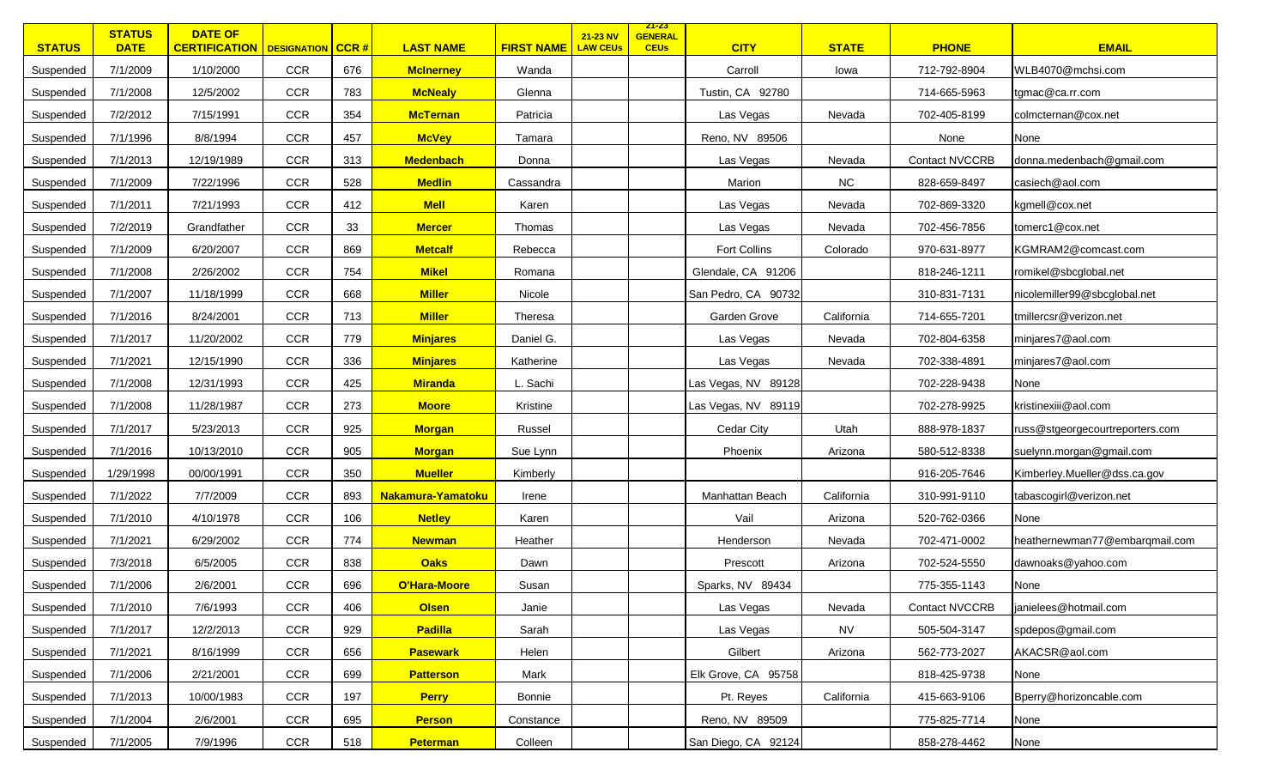| <b>STATUS</b> | <b>STATUS</b><br><b>DATE</b> | <b>DATE OF</b><br><b>CERTIFICATION   DESIGNATION   CCR #</b> |            |     | <b>LAST NAME</b>  | <b>FIRST NAME</b> | 21-23 NV<br><b>LAW CEUs</b> | <u>ZI-ZS</u><br><b>GENERAL</b><br><b>CEUs</b> | <b>CITY</b>         | <b>STATE</b> | <b>PHONE</b>          | <b>EMAIL</b>                    |
|---------------|------------------------------|--------------------------------------------------------------|------------|-----|-------------------|-------------------|-----------------------------|-----------------------------------------------|---------------------|--------------|-----------------------|---------------------------------|
| Suspended     | 7/1/2009                     | 1/10/2000                                                    | <b>CCR</b> | 676 | <b>McInerney</b>  | Wanda             |                             |                                               | Carroll             | lowa         | 712-792-8904          | WLB4070@mchsi.com               |
| Suspended     | 7/1/2008                     | 12/5/2002                                                    | <b>CCR</b> | 783 | <b>McNealy</b>    | Glenna            |                             |                                               | Tustin, CA 92780    |              | 714-665-5963          | tgmac@ca.rr.com                 |
| Suspended     | 7/2/2012                     | 7/15/1991                                                    | <b>CCR</b> | 354 | <b>McTernan</b>   | Patricia          |                             |                                               | Las Vegas           | Nevada       | 702-405-8199          | colmcternan@cox.net             |
| Suspended     | 7/1/1996                     | 8/8/1994                                                     | <b>CCR</b> | 457 | <b>McVey</b>      | Tamara            |                             |                                               | Reno, NV 89506      |              | None                  | None                            |
| Suspended     | 7/1/2013                     | 12/19/1989                                                   | <b>CCR</b> | 313 | <b>Medenbach</b>  | Donna             |                             |                                               | Las Vegas           | Nevada       | <b>Contact NVCCRB</b> | donna.medenbach@gmail.com       |
| Suspended     | 7/1/2009                     | 7/22/1996                                                    | <b>CCR</b> | 528 | <b>Medlin</b>     | Cassandra         |                             |                                               | Marion              | ${\sf NC}$   | 828-659-8497          | casiech@aol.com                 |
| Suspended     | 7/1/2011                     | 7/21/1993                                                    | <b>CCR</b> | 412 | <b>Mell</b>       | Karen             |                             |                                               | Las Vegas           | Nevada       | 702-869-3320          | kgmell@cox.net                  |
| Suspended     | 7/2/2019                     | Grandfather                                                  | <b>CCR</b> | 33  | <b>Mercer</b>     | Thomas            |                             |                                               | Las Vegas           | Nevada       | 702-456-7856          | tomerc1@cox.net                 |
| Suspended     | 7/1/2009                     | 6/20/2007                                                    | <b>CCR</b> | 869 | <b>Metcalf</b>    | Rebecca           |                             |                                               | Fort Collins        | Colorado     | 970-631-8977          | KGMRAM2@comcast.com             |
| Suspended     | 7/1/2008                     | 2/26/2002                                                    | <b>CCR</b> | 754 | <b>Mikel</b>      | Romana            |                             |                                               | Glendale, CA 91206  |              | 818-246-1211          | romikel@sbcglobal.net           |
| Suspended     | 7/1/2007                     | 11/18/1999                                                   | <b>CCR</b> | 668 | <b>Miller</b>     | Nicole            |                             |                                               | San Pedro, CA 90732 |              | 310-831-7131          | nicolemiller99@sbcglobal.net    |
| Suspended     | 7/1/2016                     | 8/24/2001                                                    | <b>CCR</b> | 713 | <b>Miller</b>     | Theresa           |                             |                                               | Garden Grove        | California   | 714-655-7201          | tmillercsr@verizon.net          |
| Suspended     | 7/1/2017                     | 11/20/2002                                                   | <b>CCR</b> | 779 | <b>Minjares</b>   | Daniel G.         |                             |                                               | Las Vegas           | Nevada       | 702-804-6358          | minjares7@aol.com               |
| Suspended     | 7/1/2021                     | 12/15/1990                                                   | <b>CCR</b> | 336 | <b>Minjares</b>   | Katherine         |                             |                                               | Las Vegas           | Nevada       | 702-338-4891          | minjares7@aol.com               |
| Suspended     | 7/1/2008                     | 12/31/1993                                                   | <b>CCR</b> | 425 | <b>Miranda</b>    | L. Sachi          |                             |                                               | Las Vegas, NV 89128 |              | 702-228-9438          | None                            |
| Suspended     | 7/1/2008                     | 11/28/1987                                                   | <b>CCR</b> | 273 | <b>Moore</b>      | Kristine          |                             |                                               | Las Vegas, NV 89119 |              | 702-278-9925          | kristinexiii@aol.com            |
| Suspended     | 7/1/2017                     | 5/23/2013                                                    | <b>CCR</b> | 925 | <b>Morgan</b>     | Russel            |                             |                                               | Cedar City          | Utah         | 888-978-1837          | russ@stgeorgecourtreporters.com |
| Suspended     | 7/1/2016                     | 10/13/2010                                                   | <b>CCR</b> | 905 | <b>Morgan</b>     | Sue Lynn          |                             |                                               | Phoenix             | Arizona      | 580-512-8338          | suelynn.morgan@gmail.com        |
| Suspended     | 1/29/1998                    | 00/00/1991                                                   | <b>CCR</b> | 350 | <b>Mueller</b>    | Kimberly          |                             |                                               |                     |              | 916-205-7646          | Kimberley.Mueller@dss.ca.gov    |
| Suspended     | 7/1/2022                     | 7/7/2009                                                     | <b>CCR</b> | 893 | Nakamura-Yamatoku | Irene             |                             |                                               | Manhattan Beach     | California   | 310-991-9110          | tabascogirl@verizon.net         |
| Suspended     | 7/1/2010                     | 4/10/1978                                                    | <b>CCR</b> | 106 | <b>Netley</b>     | Karen             |                             |                                               | Vail                | Arizona      | 520-762-0366          | None                            |
| Suspended     | 7/1/2021                     | 6/29/2002                                                    | <b>CCR</b> | 774 | <b>Newman</b>     | Heather           |                             |                                               | Henderson           | Nevada       | 702-471-0002          | heathernewman77@embarqmail.com  |
| Suspended     | 7/3/2018                     | 6/5/2005                                                     | <b>CCR</b> | 838 | <b>Oaks</b>       | Dawn              |                             |                                               | Prescott            | Arizona      | 702-524-5550          | dawnoaks@yahoo.com              |
| Suspended     | 7/1/2006                     | 2/6/2001                                                     | <b>CCR</b> | 696 | O'Hara-Moore      | Susan             |                             |                                               | Sparks, NV 89434    |              | 775-355-1143          | None                            |
| Suspended     | 7/1/2010                     | 7/6/1993                                                     | CCR        | 406 | <b>Olsen</b>      | Janie             |                             |                                               | Las Vegas           | Nevada       | <b>Contact NVCCRB</b> | janielees@hotmail.com           |
| Suspended     | 7/1/2017                     | 12/2/2013                                                    | CCR        | 929 | <b>Padilla</b>    | Sarah             |                             |                                               | Las Vegas           | <b>NV</b>    | 505-504-3147          | spdepos@gmail.com               |
| Suspended     | 7/1/2021                     | 8/16/1999                                                    | <b>CCR</b> | 656 | <b>Pasewark</b>   | Helen             |                             |                                               | Gilbert             | Arizona      | 562-773-2027          | AKACSR@aol.com                  |
| Suspended     | 7/1/2006                     | 2/21/2001                                                    | CCR        | 699 | <b>Patterson</b>  | Mark              |                             |                                               | Elk Grove, CA 95758 |              | 818-425-9738          | None                            |
| Suspended     | 7/1/2013                     | 10/00/1983                                                   | CCR        | 197 | <b>Perry</b>      | Bonnie            |                             |                                               | Pt. Reyes           | California   | 415-663-9106          | Bperry@horizoncable.com         |
| Suspended     | 7/1/2004                     | 2/6/2001                                                     | <b>CCR</b> | 695 | <b>Person</b>     | Constance         |                             |                                               | Reno, NV 89509      |              | 775-825-7714          | None                            |
| Suspended     | 7/1/2005                     | 7/9/1996                                                     | CCR        | 518 | <b>Peterman</b>   | Colleen           |                             |                                               | San Diego, CA 92124 |              | 858-278-4462          | None                            |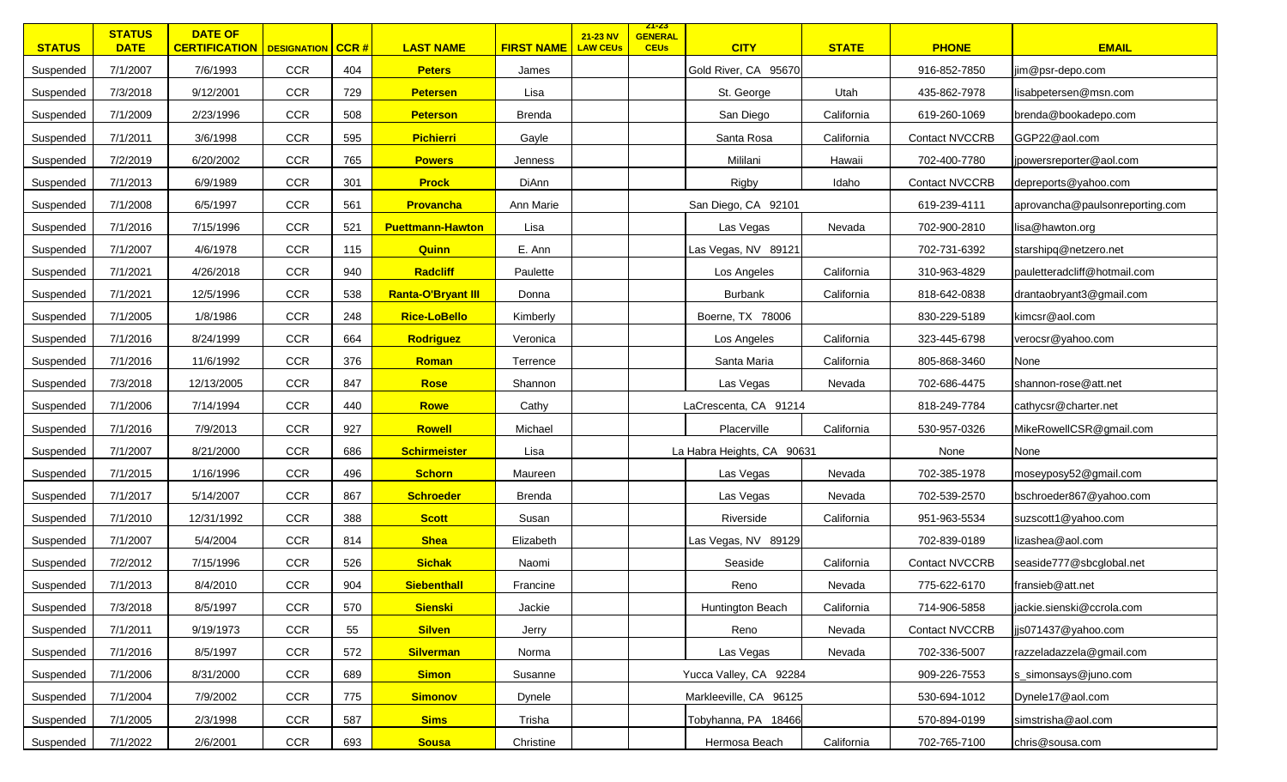| <b>STATUS</b> | <b>STATUS</b><br><b>DATE</b> | <b>DATE OF</b><br><b>CERTIFICATION   DESIGNATION   CCR #</b> |            |     | <b>LAST NAME</b>          | <b>FIRST NAME</b> | 21-23 NV<br><b>LAW CEUs</b> | <u>ZT-ZS</u><br><b>GENERAL</b><br><b>CEUs</b> | <b>CITY</b>                | <b>STATE</b> | <b>PHONE</b>          | <b>EMAIL</b>                    |
|---------------|------------------------------|--------------------------------------------------------------|------------|-----|---------------------------|-------------------|-----------------------------|-----------------------------------------------|----------------------------|--------------|-----------------------|---------------------------------|
| Suspended     | 7/1/2007                     | 7/6/1993                                                     | <b>CCR</b> | 404 | <b>Peters</b>             | James             |                             |                                               | Gold River, CA 95670       |              | 916-852-7850          | jim@psr-depo.com                |
| Suspended     | 7/3/2018                     | 9/12/2001                                                    | CCR        | 729 | <b>Petersen</b>           | Lisa              |                             |                                               | St. George                 | Utah         | 435-862-7978          | lisabpetersen@msn.com           |
| Suspended     | 7/1/2009                     | 2/23/1996                                                    | CCR        | 508 | <b>Peterson</b>           | <b>Brenda</b>     |                             |                                               | San Diego                  | California   | 619-260-1069          | brenda@bookadepo.com            |
| Suspended     | 7/1/2011                     | 3/6/1998                                                     | CCR        | 595 | <b>Pichierri</b>          | Gayle             |                             |                                               | Santa Rosa                 | California   | <b>Contact NVCCRB</b> | GGP22@aol.com                   |
| Suspended     | 7/2/2019                     | 6/20/2002                                                    | <b>CCR</b> | 765 | <b>Powers</b>             | Jenness           |                             |                                               | Mililani                   | Hawaii       | 702-400-7780          | jpowersreporter@aol.com         |
| Suspended     | 7/1/2013                     | 6/9/1989                                                     | <b>CCR</b> | 301 | <b>Prock</b>              | DiAnn             |                             |                                               | Rigby                      | Idaho        | <b>Contact NVCCRB</b> | depreports@yahoo.com            |
| Suspended     | 7/1/2008                     | 6/5/1997                                                     | <b>CCR</b> | 561 | <b>Provancha</b>          | Ann Marie         |                             |                                               | San Diego, CA 92101        |              | 619-239-4111          | aprovancha@paulsonreporting.com |
| Suspended     | 7/1/2016                     | 7/15/1996                                                    | <b>CCR</b> | 521 | <b>Puettmann-Hawton</b>   | Lisa              |                             |                                               | Las Vegas                  | Nevada       | 702-900-2810          | lisa@hawton.org                 |
| Suspended     | 7/1/2007                     | 4/6/1978                                                     | <b>CCR</b> | 115 | <b>Quinn</b>              | E. Ann            |                             |                                               | Las Vegas, NV 89121        |              | 702-731-6392          | starshipq@netzero.net           |
| Suspended     | 7/1/2021                     | 4/26/2018                                                    | CCR        | 940 | <b>Radcliff</b>           | Paulette          |                             |                                               | Los Angeles                | California   | 310-963-4829          | pauletteradcliff@hotmail.com    |
| Suspended     | 7/1/2021                     | 12/5/1996                                                    | <b>CCR</b> | 538 | <b>Ranta-O'Bryant III</b> | Donna             |                             |                                               | Burbank                    | California   | 818-642-0838          | drantaobryant3@gmail.com        |
| Suspended     | 7/1/2005                     | 1/8/1986                                                     | <b>CCR</b> | 248 | <b>Rice-LoBello</b>       | Kimberly          |                             |                                               | Boerne, TX 78006           |              | 830-229-5189          | kimcsr@aol.com                  |
| Suspended     | 7/1/2016                     | 8/24/1999                                                    | CCR        | 664 | <b>Rodriguez</b>          | Veronica          |                             |                                               | Los Angeles                | California   | 323-445-6798          | verocsr@yahoo.com               |
| Suspended     | 7/1/2016                     | 11/6/1992                                                    | CCR        | 376 | Roman                     | Terrence          |                             |                                               | Santa Maria                | California   | 805-868-3460          | None                            |
| Suspended     | 7/3/2018                     | 12/13/2005                                                   | <b>CCR</b> | 847 | <b>Rose</b>               | Shannon           |                             |                                               | Las Vegas                  | Nevada       | 702-686-4475          | shannon-rose@att.net            |
| Suspended     | 7/1/2006                     | 7/14/1994                                                    | CCR        | 440 | Rowe                      | Cathy             |                             |                                               | LaCrescenta, CA 91214      |              | 818-249-7784          | cathycsr@charter.net            |
| Suspended     | 7/1/2016                     | 7/9/2013                                                     | <b>CCR</b> | 927 | <b>Rowell</b>             | Michael           |                             |                                               | Placerville                | California   | 530-957-0326          | MikeRowellCSR@gmail.com         |
| Suspended     | 7/1/2007                     | 8/21/2000                                                    | <b>CCR</b> | 686 | <b>Schirmeister</b>       | Lisa              |                             |                                               | La Habra Heights, CA 90631 |              | None                  | None                            |
| Suspended     | 7/1/2015                     | 1/16/1996                                                    | <b>CCR</b> | 496 | <b>Schorn</b>             | Maureen           |                             |                                               | Las Vegas                  | Nevada       | 702-385-1978          | moseyposy52@gmail.com           |
| Suspended     | 7/1/2017                     | 5/14/2007                                                    | <b>CCR</b> | 867 | <b>Schroeder</b>          | Brenda            |                             |                                               | Las Vegas                  | Nevada       | 702-539-2570          | bschroeder867@yahoo.com         |
| Suspended     | 7/1/2010                     | 12/31/1992                                                   | <b>CCR</b> | 388 | <b>Scott</b>              | Susan             |                             |                                               | Riverside                  | California   | 951-963-5534          | suzscott1@yahoo.com             |
| Suspended     | 7/1/2007                     | 5/4/2004                                                     | CCR        | 814 | <b>Shea</b>               | Elizabeth         |                             |                                               | Las Vegas, NV 89129        |              | 702-839-0189          | lizashea@aol.com                |
| Suspended     | 7/2/2012                     | 7/15/1996                                                    | CCR        | 526 | <b>Sichak</b>             | Naomi             |                             |                                               | Seaside                    | California   | <b>Contact NVCCRB</b> | seaside777@sbcglobal.net        |
| Suspended     | 7/1/2013                     | 8/4/2010                                                     | CCR        | 904 | <b>Siebenthall</b>        | Francine          |                             |                                               | Reno                       | Nevada       | 775-622-6170          | fransieb@att.net                |
| Suspended     | 7/3/2018                     | 8/5/1997                                                     | CCR        | 570 | <b>Sienski</b>            | Jackie            |                             |                                               | Huntington Beach           | California   | 714-906-5858          | jackie.sienski@ccrola.com       |
| Suspended     | 7/1/2011                     | 9/19/1973                                                    | <b>CCR</b> | 55  | <b>Silven</b>             | Jerry             |                             |                                               | Reno                       | Nevada       | <b>Contact NVCCRB</b> | jjs071437@yahoo.com             |
| Suspended     | 7/1/2016                     | 8/5/1997                                                     | <b>CCR</b> | 572 | <b>Silverman</b>          | Norma             |                             |                                               | Las Vegas                  | Nevada       | 702-336-5007          | razzeladazzela@gmail.com        |
| Suspended     | 7/1/2006                     | 8/31/2000                                                    | <b>CCR</b> | 689 | <b>Simon</b>              | Susanne           |                             |                                               | Yucca Valley, CA 92284     |              | 909-226-7553          | s_simonsays@juno.com            |
| Suspended     | 7/1/2004                     | 7/9/2002                                                     | CCR        | 775 | <b>Simonov</b>            | Dynele            |                             |                                               | Markleeville, CA 96125     |              | 530-694-1012          | Dynele17@aol.com                |
| Suspended     | 7/1/2005                     | 2/3/1998                                                     | <b>CCR</b> | 587 | <b>Sims</b>               | Trisha            |                             |                                               | Tobyhanna, PA 18466        |              | 570-894-0199          | simstrisha@aol.com              |
| Suspended     | 7/1/2022                     | 2/6/2001                                                     | CCR        | 693 | <b>Sousa</b>              | Christine         |                             |                                               | Hermosa Beach              | California   | 702-765-7100          | chris@sousa.com                 |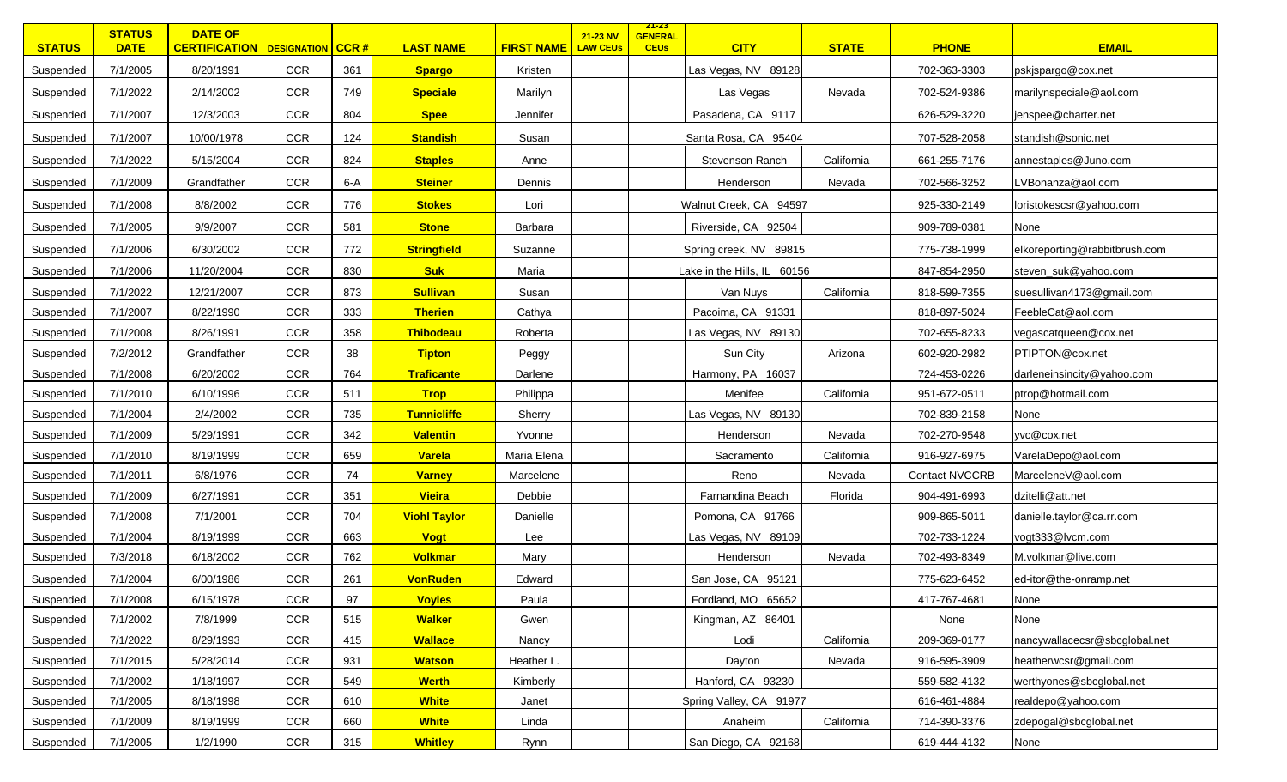| <b>STATUS</b> | <b>STATUS</b><br><b>DATE</b> | <b>DATE OF</b><br><b>CERTIFICATION   DESIGNATION   CCR #</b> |            |       | <b>LAST NAME</b>    | <b>FIRST NAME</b> | 21-23 NV<br><b>LAW CEUs</b> | <u>ZT-ZS</u><br><b>GENERAL</b><br><b>CEUs</b> | <b>CITY</b>                 | <b>STATE</b> | <b>PHONE</b>          | <b>EMAIL</b>                  |
|---------------|------------------------------|--------------------------------------------------------------|------------|-------|---------------------|-------------------|-----------------------------|-----------------------------------------------|-----------------------------|--------------|-----------------------|-------------------------------|
| Suspended     | 7/1/2005                     | 8/20/1991                                                    | <b>CCR</b> | 361   | <b>Spargo</b>       | Kristen           |                             |                                               | Las Vegas, NV 89128         |              | 702-363-3303          | pskjspargo@cox.net            |
| Suspended     | 7/1/2022                     | 2/14/2002                                                    | <b>CCR</b> | 749   | <b>Speciale</b>     | Marilyn           |                             |                                               | Las Vegas                   | Nevada       | 702-524-9386          | marilynspeciale@aol.com       |
| Suspended     | 7/1/2007                     | 12/3/2003                                                    | <b>CCR</b> | 804   | <b>Spee</b>         | Jennifer          |                             |                                               | Pasadena, CA 9117           |              | 626-529-3220          | jenspee@charter.net           |
| Suspended     | 7/1/2007                     | 10/00/1978                                                   | CCR        | 124   | <b>Standish</b>     | Susan             |                             |                                               | Santa Rosa, CA 95404        |              | 707-528-2058          | standish@sonic.net            |
| Suspended     | 7/1/2022                     | 5/15/2004                                                    | <b>CCR</b> | 824   | <b>Staples</b>      | Anne              |                             |                                               | Stevenson Ranch             | California   | 661-255-7176          | annestaples@Juno.com          |
| Suspended     | 7/1/2009                     | Grandfather                                                  | <b>CCR</b> | $6-A$ | <b>Steiner</b>      | Dennis            |                             |                                               | Henderson                   | Nevada       | 702-566-3252          | LVBonanza@aol.com             |
| Suspended     | 7/1/2008                     | 8/8/2002                                                     | <b>CCR</b> | 776   | <b>Stokes</b>       | Lori              |                             |                                               | Walnut Creek, CA 94597      |              | 925-330-2149          | loristokescsr@yahoo.com       |
| Suspended     | 7/1/2005                     | 9/9/2007                                                     | <b>CCR</b> | 581   | <b>Stone</b>        | Barbara           |                             |                                               | Riverside, CA 92504         |              | 909-789-0381          | None                          |
| Suspended     | 7/1/2006                     | 6/30/2002                                                    | <b>CCR</b> | 772   | <b>Stringfield</b>  | Suzanne           |                             |                                               | Spring creek, NV 89815      |              | 775-738-1999          | elkoreporting@rabbitbrush.com |
| Suspended     | 7/1/2006                     | 11/20/2004                                                   | <b>CCR</b> | 830   | <b>Suk</b>          | Maria             |                             |                                               | Lake in the Hills, IL 60156 |              | 847-854-2950          | steven_suk@yahoo.com          |
| Suspended     | 7/1/2022                     | 12/21/2007                                                   | CCR        | 873   | <b>Sullivan</b>     | Susan             |                             |                                               | Van Nuys                    | California   | 818-599-7355          | suesullivan4173@gmail.com     |
| Suspended     | 7/1/2007                     | 8/22/1990                                                    | <b>CCR</b> | 333   | <b>Therien</b>      | Cathya            |                             |                                               | Pacoima, CA 91331           |              | 818-897-5024          | FeebleCat@aol.com             |
| Suspended     | 7/1/2008                     | 8/26/1991                                                    | CCR        | 358   | Thibodeau           | Roberta           |                             |                                               | Las Vegas, NV 89130         |              | 702-655-8233          | vegascatqueen@cox.net         |
| Suspended     | 7/2/2012                     | Grandfather                                                  | <b>CCR</b> | 38    | <b>Tipton</b>       | Peggy             |                             |                                               | Sun City                    | Arizona      | 602-920-2982          | PTIPTON@cox.net               |
| Suspended     | 7/1/2008                     | 6/20/2002                                                    | <b>CCR</b> | 764   | Traficante          | Darlene           |                             |                                               | Harmony, PA 16037           |              | 724-453-0226          | darleneinsincity@yahoo.com    |
| Suspended     | 7/1/2010                     | 6/10/1996                                                    | <b>CCR</b> | 511   | <b>Trop</b>         | Philippa          |                             |                                               | Menifee                     | California   | 951-672-0511          | ptrop@hotmail.com             |
| Suspended     | 7/1/2004                     | 2/4/2002                                                     | CCR        | 735   | <b>Tunnicliffe</b>  | Sherry            |                             |                                               | Las Vegas, NV 89130         |              | 702-839-2158          | None                          |
| Suspended     | 7/1/2009                     | 5/29/1991                                                    | CCR        | 342   | <b>Valentin</b>     | Yvonne            |                             |                                               | Henderson                   | Nevada       | 702-270-9548          | yvc@cox.net                   |
| Suspended     | 7/1/2010                     | 8/19/1999                                                    | CCR        | 659   | Varela              | Maria Elena       |                             |                                               | Sacramento                  | California   | 916-927-6975          | VarelaDepo@aol.com            |
| Suspended     | 7/1/2011                     | 6/8/1976                                                     | <b>CCR</b> | 74    | <b>Varney</b>       | Marcelene         |                             |                                               | Reno                        | Nevada       | <b>Contact NVCCRB</b> | MarceleneV@aol.com            |
| Suspended     | 7/1/2009                     | 6/27/1991                                                    | <b>CCR</b> | 351   | <b>Vieira</b>       | Debbie            |                             |                                               | Farnandina Beach            | Florida      | 904-491-6993          | dzitelli@att.net              |
| Suspended     | 7/1/2008                     | 7/1/2001                                                     | <b>CCR</b> | 704   | <b>Viohl Taylor</b> | Danielle          |                             |                                               | Pomona, CA 91766            |              | 909-865-5011          | danielle.taylor@ca.rr.com     |
| Suspended     | 7/1/2004                     | 8/19/1999                                                    | <b>CCR</b> | 663   | <b>Vogt</b>         | Lee               |                             |                                               | Las Vegas, NV 89109         |              | 702-733-1224          | vogt333@lvcm.com              |
| Suspended     | 7/3/2018                     | 6/18/2002                                                    | <b>CCR</b> | 762   | <b>Volkmar</b>      | Mary              |                             |                                               | Henderson                   | Nevada       | 702-493-8349          | M.volkmar@live.com            |
| Suspended     | 7/1/2004                     | 6/00/1986                                                    | CCR        | 261   | <b>VonRuden</b>     | Edward            |                             |                                               | San Jose, CA 95121          |              | 775-623-6452          | ed-itor@the-onramp.net        |
| Suspended     | 7/1/2008                     | 6/15/1978                                                    | <b>CCR</b> | 97    | <b>Voyles</b>       | Paula             |                             |                                               | Fordland, MO 65652          |              | 417-767-4681          | None                          |
| Suspended     | 7/1/2002                     | 7/8/1999                                                     | CCR        | 515   | <b>Walker</b>       | Gwen              |                             |                                               | Kingman, AZ 86401           |              | None                  | None                          |
| Suspended     | 7/1/2022                     | 8/29/1993                                                    | CCR        | 415   | <b>Wallace</b>      | Nancy             |                             |                                               | Lodi                        | California   | 209-369-0177          | nancywallacecsr@sbcglobal.net |
| Suspended     | 7/1/2015                     | 5/28/2014                                                    | CCR        | 931   | <b>Watson</b>       | Heather L.        |                             |                                               | Dayton                      | Nevada       | 916-595-3909          | heatherwcsr@gmail.com         |
| Suspended     | 7/1/2002                     | 1/18/1997                                                    | CCR        | 549   | <b>Werth</b>        | Kimberly          |                             |                                               | Hanford, CA 93230           |              | 559-582-4132          | werthyones@sbcglobal.net      |
| Suspended     | 7/1/2005                     | 8/18/1998                                                    | CCR        | 610   | <b>White</b>        | Janet             |                             |                                               | Spring Valley, CA 91977     |              | 616-461-4884          | realdepo@yahoo.com            |
| Suspended     | 7/1/2009                     | 8/19/1999                                                    | CCR        | 660   | <b>White</b>        | Linda             |                             |                                               | Anaheim                     | California   | 714-390-3376          | zdepogal@sbcglobal.net        |
| Suspended     | 7/1/2005                     | 1/2/1990                                                     | <b>CCR</b> | 315   | <b>Whitley</b>      | Rynn              |                             |                                               | San Diego, CA 92168         |              | 619-444-4132          | None                          |